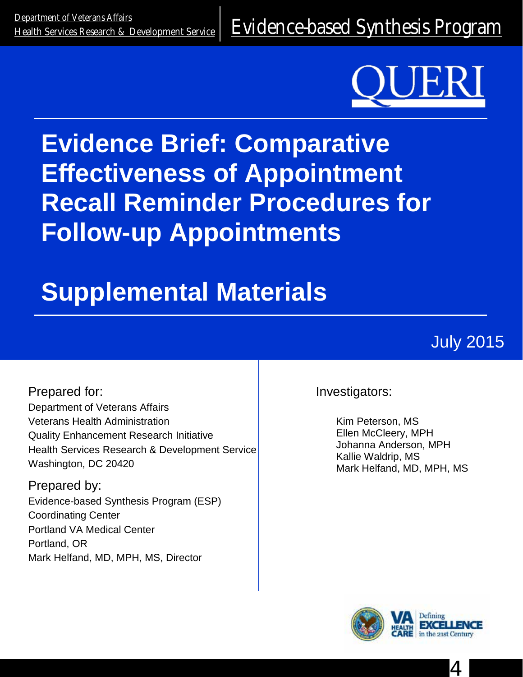<u>Department of Veteralis Alialis</u><br>[Health Services Research & Development Service](http://www.hsrd.research.va.gov/) E**Vidence-based Synthesis Program** 



# **Evidence Brief: Comparative Effectiveness of Appointment Recall Reminder Procedures for Follow-up Appointments**

# **Supplemental Materials**

July 2015

Prepared for: Department of Veterans Affairs Veterans Health Administration Quality Enhancement Research Initiative Health Services Research & Development Service Washington, DC 20420

Prepared by: Evidence-based Synthesis Program (ESP) Coordinating Center Portland VA Medical Center Portland, OR Mark Helfand, MD, MPH, MS, Director

Investigators:

Kim Peterson, MS Ellen McCleery, MPH Johanna Anderson, MPH Kallie Waldrip, MS Mark Helfand, MD, MPH, MS



4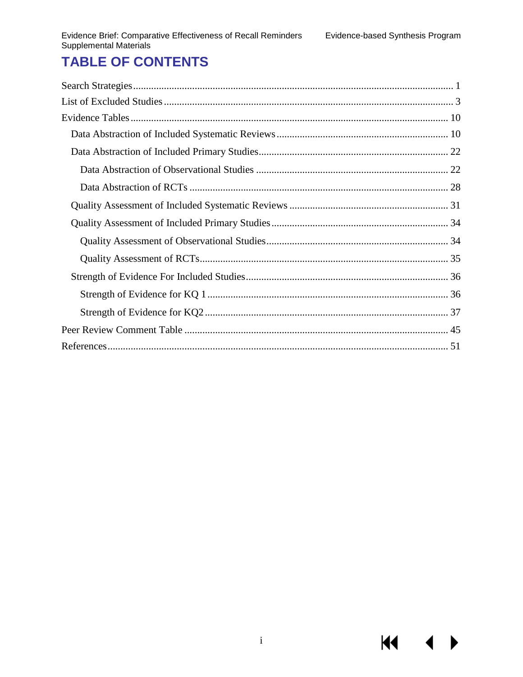$\blacklozenge$ 

KI I

# **TABLE OF CONTENTS**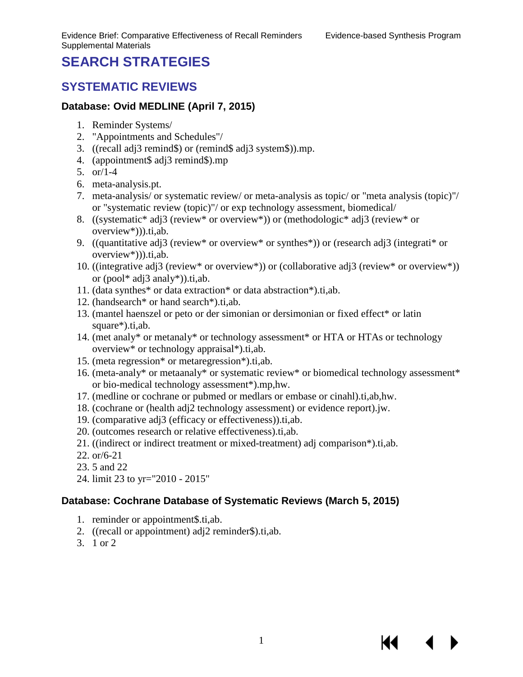К

## <span id="page-2-0"></span>**SEARCH STRATEGIES**

#### **SYSTEMATIC REVIEWS**

#### **Database: Ovid MEDLINE (April 7, 2015)**

- 1. Reminder Systems/
- 2. "Appointments and Schedules"/
- 3. ((recall adj3 remind\$) or (remind\$ adj3 system\$)).mp.
- 4. (appointment\$ adj3 remind\$).mp
- 5. or/1-4
- 6. meta-analysis.pt.
- 7. meta-analysis/ or systematic review/ or meta-analysis as topic/ or "meta analysis (topic)"/ or "systematic review (topic)"/ or exp technology assessment, biomedical/
- 8. ((systematic\* adj3 (review\* or overview\*)) or (methodologic\* adj3 (review\* or overview\*))).ti,ab.
- 9. ((quantitative adj3 (review\* or overview\* or synthes\*)) or (research adj3 (integrati\* or overview\*))).ti,ab.
- 10. ((integrative adj3 (review\* or overview\*)) or (collaborative adj3 (review\* or overview\*)) or  $(pool^*$  adj3 analy\*)).ti,ab.
- 11. (data synthes\* or data extraction\* or data abstraction\*).ti,ab.
- 12. (handsearch\* or hand search\*).ti,ab.
- 13. (mantel haenszel or peto or der simonian or dersimonian or fixed effect\* or latin square\*).ti,ab.
- 14. (met analy\* or metanaly\* or technology assessment\* or HTA or HTAs or technology overview\* or technology appraisal\*).ti,ab.
- 15. (meta regression\* or metaregression\*).ti,ab.
- 16. (meta-analy\* or metaanaly\* or systematic review\* or biomedical technology assessment\* or bio-medical technology assessment\*).mp,hw.
- 17. (medline or cochrane or pubmed or medlars or embase or cinahl).ti,ab,hw.
- 18. (cochrane or (health adj2 technology assessment) or evidence report).jw.
- 19. (comparative adj3 (efficacy or effectiveness)).ti,ab.
- 20. (outcomes research or relative effectiveness).ti,ab.
- 21. ((indirect or indirect treatment or mixed-treatment) adj comparison\*).ti,ab.
- 22. or/6-21
- 23. 5 and 22
- 24. limit 23 to yr="2010 2015"

#### **Database: Cochrane Database of Systematic Reviews (March 5, 2015)**

- 1. reminder or appointment\$.ti,ab.
- 2. ((recall or appointment) adj2 reminder\$).ti,ab.
- 3. 1 or 2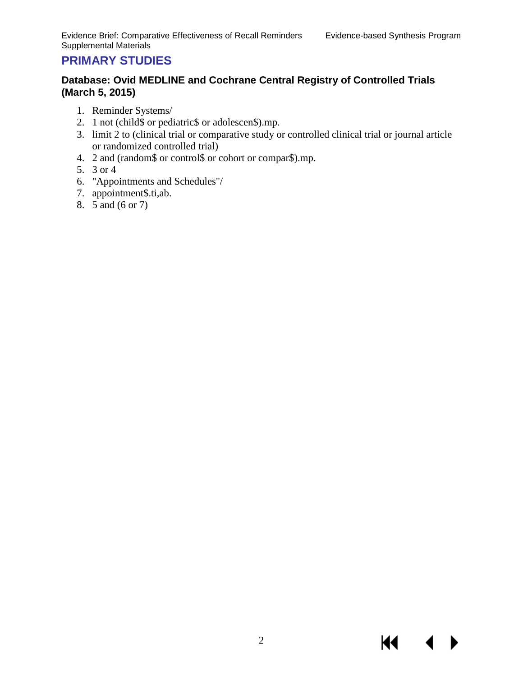KI.

### **PRIMARY STUDIES**

#### **Database: Ovid MEDLINE and Cochrane Central Registry of Controlled Trials (March 5, 2015)**

- 1. Reminder Systems/
- 2. 1 not (child\$ or pediatric\$ or adolescen\$).mp.
- 3. limit 2 to (clinical trial or comparative study or controlled clinical trial or journal article or randomized controlled trial)
- 4. 2 and (random\$ or control\$ or cohort or compar\$).mp.
- 5. 3 or 4
- 6. "Appointments and Schedules"/
- 7. appointment\$.ti,ab.
- 8. 5 and (6 or 7)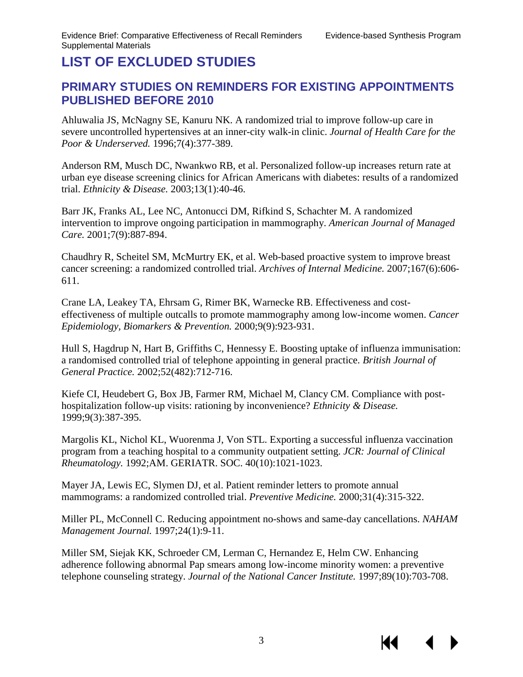К

# <span id="page-4-0"></span>**LIST OF EXCLUDED STUDIES**

#### **PRIMARY STUDIES ON REMINDERS FOR EXISTING APPOINTMENTS PUBLISHED BEFORE 2010**

Ahluwalia JS, McNagny SE, Kanuru NK. A randomized trial to improve follow-up care in severe uncontrolled hypertensives at an inner-city walk-in clinic. *Journal of Health Care for the Poor & Underserved.* 1996;7(4):377-389.

Anderson RM, Musch DC, Nwankwo RB, et al. Personalized follow-up increases return rate at urban eye disease screening clinics for African Americans with diabetes: results of a randomized trial. *Ethnicity & Disease.* 2003;13(1):40-46.

Barr JK, Franks AL, Lee NC, Antonucci DM, Rifkind S, Schachter M. A randomized intervention to improve ongoing participation in mammography. *American Journal of Managed Care.* 2001;7(9):887-894.

Chaudhry R, Scheitel SM, McMurtry EK, et al. Web-based proactive system to improve breast cancer screening: a randomized controlled trial. *Archives of Internal Medicine.* 2007;167(6):606- 611.

Crane LA, Leakey TA, Ehrsam G, Rimer BK, Warnecke RB. Effectiveness and costeffectiveness of multiple outcalls to promote mammography among low-income women. *Cancer Epidemiology, Biomarkers & Prevention.* 2000;9(9):923-931.

Hull S, Hagdrup N, Hart B, Griffiths C, Hennessy E. Boosting uptake of influenza immunisation: a randomised controlled trial of telephone appointing in general practice. *British Journal of General Practice.* 2002;52(482):712-716.

Kiefe CI, Heudebert G, Box JB, Farmer RM, Michael M, Clancy CM. Compliance with posthospitalization follow-up visits: rationing by inconvenience? *Ethnicity & Disease.*  1999;9(3):387-395.

Margolis KL, Nichol KL, Wuorenma J, Von STL. Exporting a successful influenza vaccination program from a teaching hospital to a community outpatient setting. *JCR: Journal of Clinical Rheumatology.* 1992;AM. GERIATR. SOC. 40(10):1021-1023.

Mayer JA, Lewis EC, Slymen DJ, et al. Patient reminder letters to promote annual mammograms: a randomized controlled trial. *Preventive Medicine.* 2000;31(4):315-322.

Miller PL, McConnell C. Reducing appointment no-shows and same-day cancellations. *NAHAM Management Journal.* 1997;24(1):9-11.

Miller SM, Siejak KK, Schroeder CM, Lerman C, Hernandez E, Helm CW. Enhancing adherence following abnormal Pap smears among low-income minority women: a preventive telephone counseling strategy. *Journal of the National Cancer Institute.* 1997;89(10):703-708.

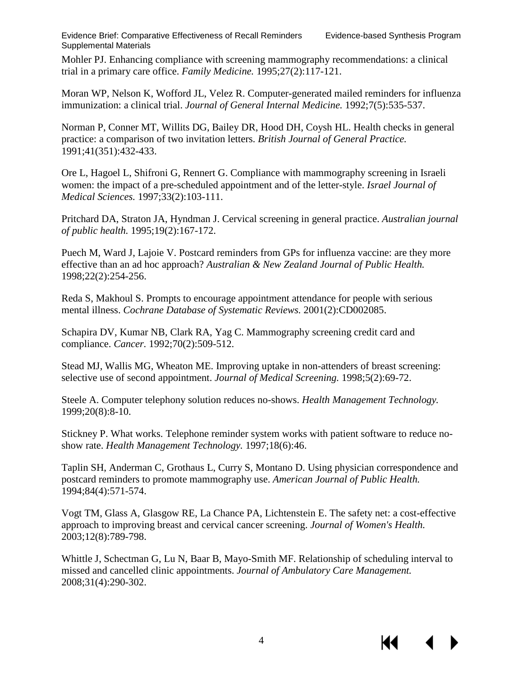К

Mohler PJ. Enhancing compliance with screening mammography recommendations: a clinical trial in a primary care office. *Family Medicine.* 1995;27(2):117-121.

Moran WP, Nelson K, Wofford JL, Velez R. Computer-generated mailed reminders for influenza immunization: a clinical trial. *Journal of General Internal Medicine.* 1992;7(5):535-537.

Norman P, Conner MT, Willits DG, Bailey DR, Hood DH, Coysh HL. Health checks in general practice: a comparison of two invitation letters. *British Journal of General Practice.*  1991;41(351):432-433.

Ore L, Hagoel L, Shifroni G, Rennert G. Compliance with mammography screening in Israeli women: the impact of a pre-scheduled appointment and of the letter-style. *Israel Journal of Medical Sciences.* 1997;33(2):103-111.

Pritchard DA, Straton JA, Hyndman J. Cervical screening in general practice. *Australian journal of public health.* 1995;19(2):167-172.

Puech M, Ward J, Lajoie V. Postcard reminders from GPs for influenza vaccine: are they more effective than an ad hoc approach? *Australian & New Zealand Journal of Public Health.*  1998;22(2):254-256.

Reda S, Makhoul S. Prompts to encourage appointment attendance for people with serious mental illness. *Cochrane Database of Systematic Reviews.* 2001(2):CD002085.

Schapira DV, Kumar NB, Clark RA, Yag C. Mammography screening credit card and compliance. *Cancer.* 1992;70(2):509-512.

Stead MJ, Wallis MG, Wheaton ME. Improving uptake in non-attenders of breast screening: selective use of second appointment. *Journal of Medical Screening.* 1998;5(2):69-72.

Steele A. Computer telephony solution reduces no-shows. *Health Management Technology.*  1999;20(8):8-10.

Stickney P. What works. Telephone reminder system works with patient software to reduce noshow rate. *Health Management Technology.* 1997;18(6):46.

Taplin SH, Anderman C, Grothaus L, Curry S, Montano D. Using physician correspondence and postcard reminders to promote mammography use. *American Journal of Public Health.*  1994;84(4):571-574.

Vogt TM, Glass A, Glasgow RE, La Chance PA, Lichtenstein E. The safety net: a cost-effective approach to improving breast and cervical cancer screening. *Journal of Women's Health.*  2003;12(8):789-798.

Whittle J, Schectman G, Lu N, Baar B, Mayo-Smith MF. Relationship of scheduling interval to missed and cancelled clinic appointments. *Journal of Ambulatory Care Management.*  2008;31(4):290-302.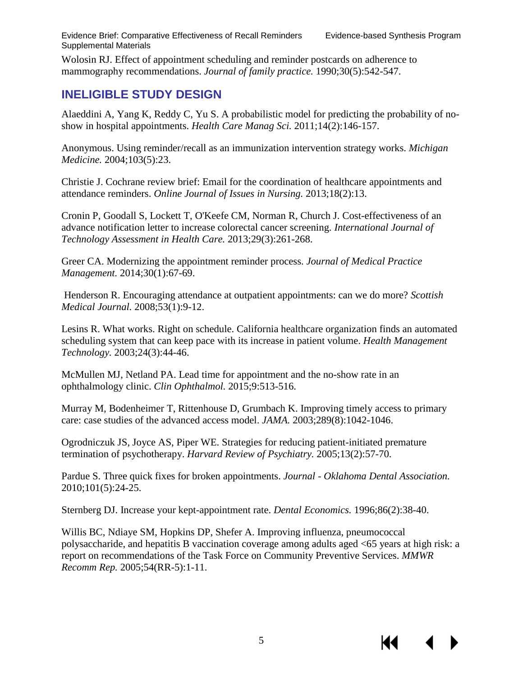Wolosin RJ. Effect of appointment scheduling and reminder postcards on adherence to mammography recommendations. *Journal of family practice.* 1990;30(5):542-547.

## **INELIGIBLE STUDY DESIGN**

Alaeddini A, Yang K, Reddy C, Yu S. A probabilistic model for predicting the probability of noshow in hospital appointments. *Health Care Manag Sci.* 2011;14(2):146-157.

Anonymous. Using reminder/recall as an immunization intervention strategy works. *Michigan Medicine.* 2004;103(5):23.

Christie J. Cochrane review brief: Email for the coordination of healthcare appointments and attendance reminders. *Online Journal of Issues in Nursing.* 2013;18(2):13.

Cronin P, Goodall S, Lockett T, O'Keefe CM, Norman R, Church J. Cost-effectiveness of an advance notification letter to increase colorectal cancer screening. *International Journal of Technology Assessment in Health Care.* 2013;29(3):261-268.

Greer CA. Modernizing the appointment reminder process. *Journal of Medical Practice Management.* 2014;30(1):67-69.

Henderson R. Encouraging attendance at outpatient appointments: can we do more? *Scottish Medical Journal.* 2008;53(1):9-12.

Lesins R. What works. Right on schedule. California healthcare organization finds an automated scheduling system that can keep pace with its increase in patient volume. *Health Management Technology.* 2003;24(3):44-46.

McMullen MJ, Netland PA. Lead time for appointment and the no-show rate in an ophthalmology clinic. *Clin Ophthalmol.* 2015;9:513-516.

Murray M, Bodenheimer T, Rittenhouse D, Grumbach K. Improving timely access to primary care: case studies of the advanced access model. *JAMA.* 2003;289(8):1042-1046.

Ogrodniczuk JS, Joyce AS, Piper WE. Strategies for reducing patient-initiated premature termination of psychotherapy. *Harvard Review of Psychiatry.* 2005;13(2):57-70.

Pardue S. Three quick fixes for broken appointments. *Journal - Oklahoma Dental Association.*  2010;101(5):24-25.

Sternberg DJ. Increase your kept-appointment rate. *Dental Economics.* 1996;86(2):38-40.

Willis BC, Ndiaye SM, Hopkins DP, Shefer A. Improving influenza, pneumococcal polysaccharide, and hepatitis B vaccination coverage among adults aged <65 years at high risk: a report on recommendations of the Task Force on Community Preventive Services. *MMWR Recomm Rep.* 2005;54(RR-5):1-11.

К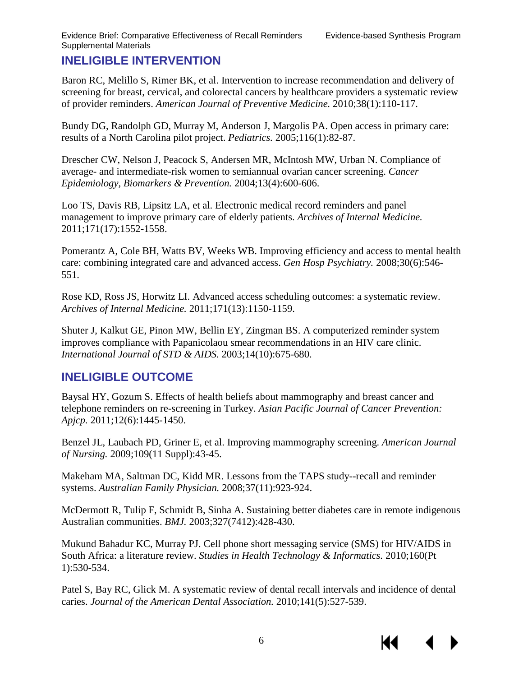### **INELIGIBLE INTERVENTION**

Baron RC, Melillo S, Rimer BK, et al. Intervention to increase recommendation and delivery of screening for breast, cervical, and colorectal cancers by healthcare providers a systematic review of provider reminders. *American Journal of Preventive Medicine.* 2010;38(1):110-117.

Bundy DG, Randolph GD, Murray M, Anderson J, Margolis PA. Open access in primary care: results of a North Carolina pilot project. *Pediatrics.* 2005;116(1):82-87.

Drescher CW, Nelson J, Peacock S, Andersen MR, McIntosh MW, Urban N. Compliance of average- and intermediate-risk women to semiannual ovarian cancer screening. *Cancer Epidemiology, Biomarkers & Prevention.* 2004;13(4):600-606.

Loo TS, Davis RB, Lipsitz LA, et al. Electronic medical record reminders and panel management to improve primary care of elderly patients. *Archives of Internal Medicine.*  2011;171(17):1552-1558.

Pomerantz A, Cole BH, Watts BV, Weeks WB. Improving efficiency and access to mental health care: combining integrated care and advanced access. *Gen Hosp Psychiatry.* 2008;30(6):546- 551.

Rose KD, Ross JS, Horwitz LI. Advanced access scheduling outcomes: a systematic review. *Archives of Internal Medicine.* 2011;171(13):1150-1159.

Shuter J, Kalkut GE, Pinon MW, Bellin EY, Zingman BS. A computerized reminder system improves compliance with Papanicolaou smear recommendations in an HIV care clinic. *International Journal of STD & AIDS.* 2003;14(10):675-680.

## **INELIGIBLE OUTCOME**

Baysal HY, Gozum S. Effects of health beliefs about mammography and breast cancer and telephone reminders on re-screening in Turkey. *Asian Pacific Journal of Cancer Prevention: Apjcp.* 2011;12(6):1445-1450.

Benzel JL, Laubach PD, Griner E, et al. Improving mammography screening. *American Journal of Nursing.* 2009;109(11 Suppl):43-45.

Makeham MA, Saltman DC, Kidd MR. Lessons from the TAPS study--recall and reminder systems. *Australian Family Physician.* 2008;37(11):923-924.

McDermott R, Tulip F, Schmidt B, Sinha A. Sustaining better diabetes care in remote indigenous Australian communities. *BMJ.* 2003;327(7412):428-430.

Mukund Bahadur KC, Murray PJ. Cell phone short messaging service (SMS) for HIV/AIDS in South Africa: a literature review. *Studies in Health Technology & Informatics.* 2010;160(Pt 1):530-534.

Patel S, Bay RC, Glick M. A systematic review of dental recall intervals and incidence of dental caries. *Journal of the American Dental Association.* 2010;141(5):527-539.

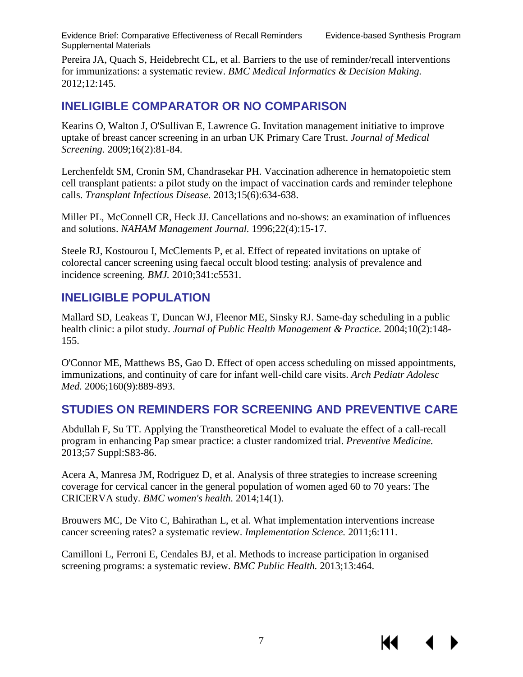К

Pereira JA, Quach S, Heidebrecht CL, et al. Barriers to the use of reminder/recall interventions for immunizations: a systematic review. *BMC Medical Informatics & Decision Making.*  2012;12:145.

#### **INELIGIBLE COMPARATOR OR NO COMPARISON**

Kearins O, Walton J, O'Sullivan E, Lawrence G. Invitation management initiative to improve uptake of breast cancer screening in an urban UK Primary Care Trust. *Journal of Medical Screening.* 2009;16(2):81-84.

Lerchenfeldt SM, Cronin SM, Chandrasekar PH. Vaccination adherence in hematopoietic stem cell transplant patients: a pilot study on the impact of vaccination cards and reminder telephone calls. *Transplant Infectious Disease.* 2013;15(6):634-638.

Miller PL, McConnell CR, Heck JJ. Cancellations and no-shows: an examination of influences and solutions. *NAHAM Management Journal.* 1996;22(4):15-17.

Steele RJ, Kostourou I, McClements P, et al. Effect of repeated invitations on uptake of colorectal cancer screening using faecal occult blood testing: analysis of prevalence and incidence screening. *BMJ.* 2010;341:c5531.

#### **INELIGIBLE POPULATION**

Mallard SD, Leakeas T, Duncan WJ, Fleenor ME, Sinsky RJ. Same-day scheduling in a public health clinic: a pilot study. *Journal of Public Health Management & Practice.* 2004;10(2):148- 155.

O'Connor ME, Matthews BS, Gao D. Effect of open access scheduling on missed appointments, immunizations, and continuity of care for infant well-child care visits. *Arch Pediatr Adolesc Med.* 2006;160(9):889-893.

#### **STUDIES ON REMINDERS FOR SCREENING AND PREVENTIVE CARE**

Abdullah F, Su TT. Applying the Transtheoretical Model to evaluate the effect of a call-recall program in enhancing Pap smear practice: a cluster randomized trial. *Preventive Medicine.*  2013;57 Suppl:S83-86.

Acera A, Manresa JM, Rodriguez D, et al. Analysis of three strategies to increase screening coverage for cervical cancer in the general population of women aged 60 to 70 years: The CRICERVA study. *BMC women's health.* 2014;14(1).

Brouwers MC, De Vito C, Bahirathan L, et al. What implementation interventions increase cancer screening rates? a systematic review. *Implementation Science.* 2011;6:111.

Camilloni L, Ferroni E, Cendales BJ, et al. Methods to increase participation in organised screening programs: a systematic review. *BMC Public Health.* 2013;13:464.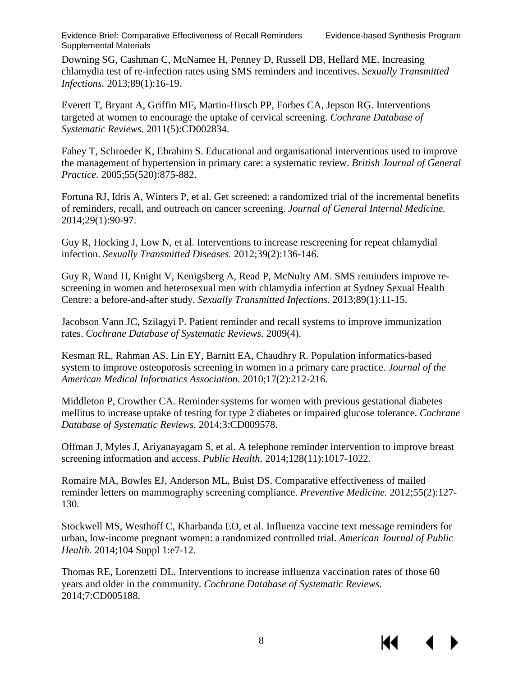К€

Downing SG, Cashman C, McNamee H, Penney D, Russell DB, Hellard ME. Increasing chlamydia test of re-infection rates using SMS reminders and incentives. *Sexually Transmitted Infections.* 2013;89(1):16-19.

Everett T, Bryant A, Griffin MF, Martin-Hirsch PP, Forbes CA, Jepson RG. Interventions targeted at women to encourage the uptake of cervical screening. *Cochrane Database of Systematic Reviews.* 2011(5):CD002834.

Fahey T, Schroeder K, Ebrahim S. Educational and organisational interventions used to improve the management of hypertension in primary care: a systematic review. *British Journal of General Practice.* 2005;55(520):875-882.

Fortuna RJ, Idris A, Winters P, et al. Get screened: a randomized trial of the incremental benefits of reminders, recall, and outreach on cancer screening. *Journal of General Internal Medicine.*  2014;29(1):90-97.

Guy R, Hocking J, Low N, et al. Interventions to increase rescreening for repeat chlamydial infection. *Sexually Transmitted Diseases.* 2012;39(2):136-146.

Guy R, Wand H, Knight V, Kenigsberg A, Read P, McNulty AM. SMS reminders improve rescreening in women and heterosexual men with chlamydia infection at Sydney Sexual Health Centre: a before-and-after study. *Sexually Transmitted Infections.* 2013;89(1):11-15.

Jacobson Vann JC, Szilagyi P. Patient reminder and recall systems to improve immunization rates. *Cochrane Database of Systematic Reviews.* 2009(4).

Kesman RL, Rahman AS, Lin EY, Barnitt EA, Chaudhry R. Population informatics-based system to improve osteoporosis screening in women in a primary care practice. *Journal of the American Medical Informatics Association.* 2010;17(2):212-216.

Middleton P, Crowther CA. Reminder systems for women with previous gestational diabetes mellitus to increase uptake of testing for type 2 diabetes or impaired glucose tolerance. *Cochrane Database of Systematic Reviews.* 2014;3:CD009578.

Offman J, Myles J, Ariyanayagam S, et al. A telephone reminder intervention to improve breast screening information and access. *Public Health.* 2014;128(11):1017-1022.

Romaire MA, Bowles EJ, Anderson ML, Buist DS. Comparative effectiveness of mailed reminder letters on mammography screening compliance. *Preventive Medicine.* 2012;55(2):127- 130.

Stockwell MS, Westhoff C, Kharbanda EO, et al. Influenza vaccine text message reminders for urban, low-income pregnant women: a randomized controlled trial. *American Journal of Public Health.* 2014;104 Suppl 1:e7-12.

Thomas RE, Lorenzetti DL. Interventions to increase influenza vaccination rates of those 60 years and older in the community. *Cochrane Database of Systematic Reviews.*  2014;7:CD005188.

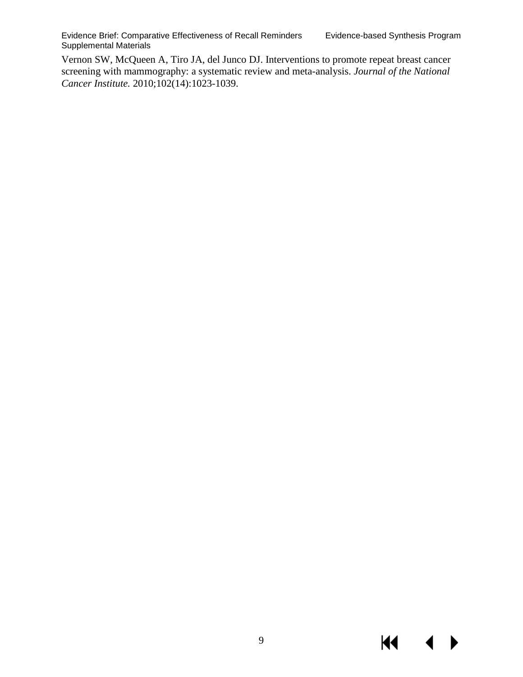$\blacktriangleleft$ 

KI

Vernon SW, McQueen A, Tiro JA, del Junco DJ. Interventions to promote repeat breast cancer screening with mammography: a systematic review and meta-analysis. *Journal of the National Cancer Institute.* 2010;102(14):1023-1039.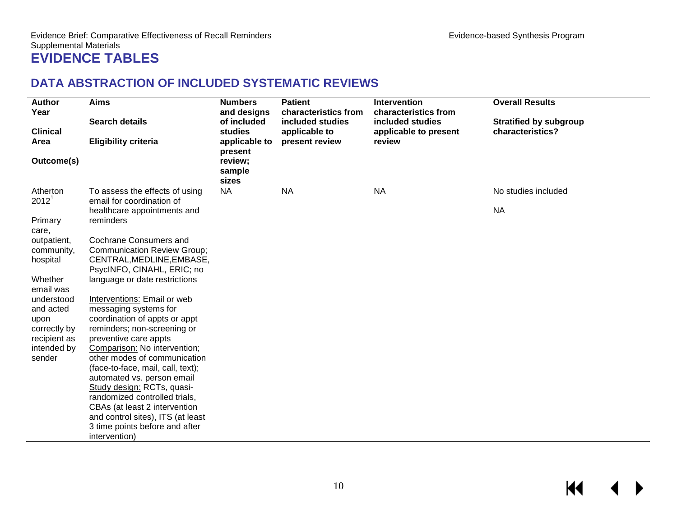## **DATA ABSTRACTION OF INCLUDED SYSTEMATIC REVIEWS**

<span id="page-11-1"></span><span id="page-11-0"></span>

| <b>Author</b><br>Year                 | <b>Aims</b>                                                                                                                                                                                                                                                         | <b>Numbers</b><br>and designs | <b>Patient</b><br>characteristics from | <b>Intervention</b><br>characteristics from | <b>Overall Results</b>        |
|---------------------------------------|---------------------------------------------------------------------------------------------------------------------------------------------------------------------------------------------------------------------------------------------------------------------|-------------------------------|----------------------------------------|---------------------------------------------|-------------------------------|
|                                       | <b>Search details</b>                                                                                                                                                                                                                                               | of included                   | included studies                       | included studies                            | <b>Stratified by subgroup</b> |
| <b>Clinical</b><br>Area               | <b>Eligibility criteria</b>                                                                                                                                                                                                                                         | studies<br>applicable to      | applicable to<br>present review        | applicable to present<br>review             | characteristics?              |
|                                       |                                                                                                                                                                                                                                                                     | present                       |                                        |                                             |                               |
| Outcome(s)                            |                                                                                                                                                                                                                                                                     | review;<br>sample             |                                        |                                             |                               |
|                                       |                                                                                                                                                                                                                                                                     | sizes                         |                                        |                                             |                               |
| Atherton<br>2012 <sup>1</sup>         | To assess the effects of using<br>email for coordination of                                                                                                                                                                                                         | <b>NA</b>                     | <b>NA</b>                              | <b>NA</b>                                   | No studies included           |
|                                       | healthcare appointments and                                                                                                                                                                                                                                         |                               |                                        |                                             | <b>NA</b>                     |
| Primary                               | reminders                                                                                                                                                                                                                                                           |                               |                                        |                                             |                               |
| care,                                 |                                                                                                                                                                                                                                                                     |                               |                                        |                                             |                               |
| outpatient,                           | Cochrane Consumers and                                                                                                                                                                                                                                              |                               |                                        |                                             |                               |
| community,                            | <b>Communication Review Group;</b>                                                                                                                                                                                                                                  |                               |                                        |                                             |                               |
| hospital                              | CENTRAL, MEDLINE, EMBASE,<br>PsycINFO, CINAHL, ERIC; no                                                                                                                                                                                                             |                               |                                        |                                             |                               |
| Whether                               | language or date restrictions                                                                                                                                                                                                                                       |                               |                                        |                                             |                               |
| email was                             |                                                                                                                                                                                                                                                                     |                               |                                        |                                             |                               |
| understood                            | Interventions: Email or web                                                                                                                                                                                                                                         |                               |                                        |                                             |                               |
| and acted                             | messaging systems for                                                                                                                                                                                                                                               |                               |                                        |                                             |                               |
| upon                                  | coordination of appts or appt                                                                                                                                                                                                                                       |                               |                                        |                                             |                               |
| correctly by                          | reminders; non-screening or                                                                                                                                                                                                                                         |                               |                                        |                                             |                               |
|                                       |                                                                                                                                                                                                                                                                     |                               |                                        |                                             |                               |
|                                       |                                                                                                                                                                                                                                                                     |                               |                                        |                                             |                               |
|                                       |                                                                                                                                                                                                                                                                     |                               |                                        |                                             |                               |
|                                       | automated vs. person email                                                                                                                                                                                                                                          |                               |                                        |                                             |                               |
|                                       | Study design: RCTs, quasi-                                                                                                                                                                                                                                          |                               |                                        |                                             |                               |
|                                       |                                                                                                                                                                                                                                                                     |                               |                                        |                                             |                               |
|                                       |                                                                                                                                                                                                                                                                     |                               |                                        |                                             |                               |
|                                       |                                                                                                                                                                                                                                                                     |                               |                                        |                                             |                               |
|                                       | intervention)                                                                                                                                                                                                                                                       |                               |                                        |                                             |                               |
| recipient as<br>intended by<br>sender | preventive care appts<br>Comparison: No intervention;<br>other modes of communication<br>(face-to-face, mail, call, text);<br>randomized controlled trials,<br>CBAs (at least 2 intervention<br>and control sites), ITS (at least<br>3 time points before and after |                               |                                        |                                             |                               |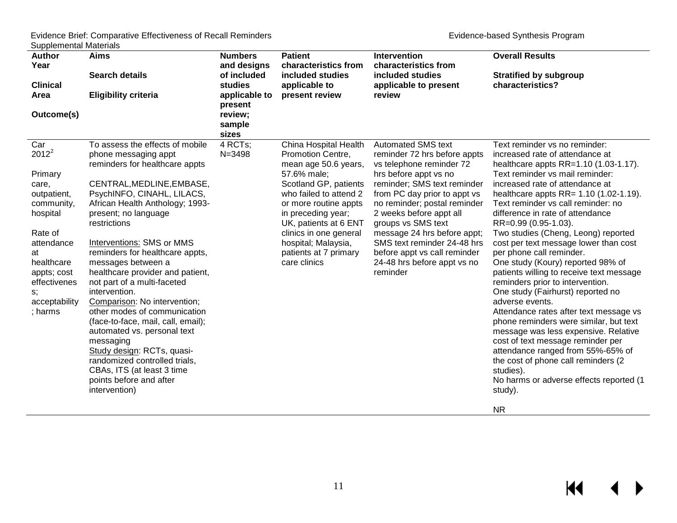$M$ 

 $\leftarrow$ 

| <b>Author</b>          | <b>Aims</b>                                             | <b>Numbers</b> | <b>Patient</b>                                  | <b>Intervention</b>                                          | <b>Overall Results</b>                                                          |
|------------------------|---------------------------------------------------------|----------------|-------------------------------------------------|--------------------------------------------------------------|---------------------------------------------------------------------------------|
| Year                   |                                                         | and designs    | characteristics from                            | characteristics from                                         |                                                                                 |
|                        | <b>Search details</b>                                   | of included    | included studies                                | included studies                                             | <b>Stratified by subgroup</b>                                                   |
| <b>Clinical</b>        |                                                         | studies        | applicable to                                   | applicable to present                                        | characteristics?                                                                |
| Area                   | <b>Eligibility criteria</b>                             | applicable to  | present review                                  | review                                                       |                                                                                 |
|                        |                                                         | present        |                                                 |                                                              |                                                                                 |
| Outcome(s)             |                                                         | review;        |                                                 |                                                              |                                                                                 |
|                        |                                                         | sample         |                                                 |                                                              |                                                                                 |
|                        |                                                         | sizes          |                                                 |                                                              |                                                                                 |
| Car                    | To assess the effects of mobile                         | 4 RCTs;        | China Hospital Health                           | <b>Automated SMS text</b>                                    | Text reminder vs no reminder:                                                   |
| $2012^2$               | phone messaging appt                                    | $N = 3498$     | Promotion Centre,                               | reminder 72 hrs before appts                                 | increased rate of attendance at                                                 |
|                        | reminders for healthcare appts                          |                | mean age 50.6 years,                            | vs telephone reminder 72                                     | healthcare appts RR=1.10 (1.03-1.17).                                           |
| Primary                |                                                         |                | 57.6% male;                                     | hrs before appt vs no                                        | Text reminder vs mail reminder:                                                 |
| care,                  | CENTRAL, MEDLINE, EMBASE,<br>PsychINFO, CINAHL, LILACS, |                | Scotland GP, patients<br>who failed to attend 2 | reminder; SMS text reminder                                  | increased rate of attendance at<br>healthcare appts $RR = 1.10 (1.02 - 1.19)$ . |
| outpatient,            | African Health Anthology; 1993-                         |                | or more routine appts                           | from PC day prior to appt vs<br>no reminder; postal reminder | Text reminder vs call reminder: no                                              |
| community,<br>hospital | present; no language                                    |                | in preceding year;                              | 2 weeks before appt all                                      | difference in rate of attendance                                                |
|                        | restrictions                                            |                | UK, patients at 6 ENT                           | groups vs SMS text                                           | RR=0.99 (0.95-1.03).                                                            |
| Rate of                |                                                         |                | clinics in one general                          | message 24 hrs before appt;                                  | Two studies (Cheng, Leong) reported                                             |
| attendance             | Interventions: SMS or MMS                               |                | hospital; Malaysia,                             | SMS text reminder 24-48 hrs                                  | cost per text message lower than cost                                           |
| at                     | reminders for healthcare appts,                         |                | patients at 7 primary                           | before appt vs call reminder                                 | per phone call reminder.                                                        |
| healthcare             | messages between a                                      |                | care clinics                                    | 24-48 hrs before appt vs no                                  | One study (Koury) reported 98% of                                               |
| appts; cost            | healthcare provider and patient,                        |                |                                                 | reminder                                                     | patients willing to receive text message                                        |
| effectivenes           | not part of a multi-faceted                             |                |                                                 |                                                              | reminders prior to intervention.                                                |
| s;                     | intervention.                                           |                |                                                 |                                                              | One study (Fairhurst) reported no                                               |
| acceptability          | Comparison: No intervention;                            |                |                                                 |                                                              | adverse events.                                                                 |
| ; harms                | other modes of communication                            |                |                                                 |                                                              | Attendance rates after text message vs                                          |
|                        | (face-to-face, mail, call, email);                      |                |                                                 |                                                              | phone reminders were similar, but text                                          |
|                        | automated vs. personal text                             |                |                                                 |                                                              | message was less expensive. Relative                                            |
|                        | messaging                                               |                |                                                 |                                                              | cost of text message reminder per                                               |
|                        | Study design: RCTs, quasi-                              |                |                                                 |                                                              | attendance ranged from 55%-65% of                                               |
|                        | randomized controlled trials,                           |                |                                                 |                                                              | the cost of phone call reminders (2)                                            |
|                        | CBAs, ITS (at least 3 time                              |                |                                                 |                                                              | studies).                                                                       |
|                        | points before and after                                 |                |                                                 |                                                              | No harms or adverse effects reported (1                                         |
|                        | intervention)                                           |                |                                                 |                                                              | study).                                                                         |
|                        |                                                         |                |                                                 |                                                              | <b>NR</b>                                                                       |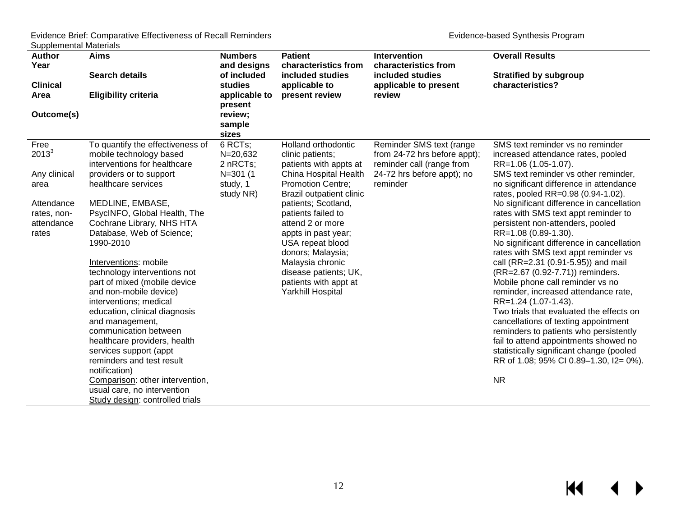| Year<br>and designs<br>characteristics from<br>characteristics from                                                                                                                                                               |  |
|-----------------------------------------------------------------------------------------------------------------------------------------------------------------------------------------------------------------------------------|--|
|                                                                                                                                                                                                                                   |  |
| <b>Search details</b><br>of included<br>included studies<br>included studies<br><b>Stratified by subgroup</b>                                                                                                                     |  |
| characteristics?<br><b>Clinical</b><br>studies<br>applicable to<br>applicable to present                                                                                                                                          |  |
| <b>Eligibility criteria</b><br>applicable to<br>present review<br>review<br>Area                                                                                                                                                  |  |
| present                                                                                                                                                                                                                           |  |
| review;<br>Outcome(s)                                                                                                                                                                                                             |  |
| sample                                                                                                                                                                                                                            |  |
| sizes                                                                                                                                                                                                                             |  |
| 6 RCTs;<br>To quantify the effectiveness of<br>Reminder SMS text (range<br>Free<br>Holland orthodontic<br>SMS text reminder vs no reminder                                                                                        |  |
| $2013^3$<br>mobile technology based<br>$N = 20,632$<br>from 24-72 hrs before appt);<br>clinic patients;<br>increased attendance rates, pooled                                                                                     |  |
| interventions for healthcare<br>2 nRCTs;<br>reminder call (range from<br>patients with appts at<br>RR=1.06 (1.05-1.07).                                                                                                           |  |
| Any clinical<br>providers or to support<br>$N = 301(1)$<br>China Hospital Health<br>24-72 hrs before appt); no<br>SMS text reminder vs other reminder,<br>healthcare services<br>study, 1<br><b>Promotion Centre;</b><br>reminder |  |
| no significant difference in attendance<br>area<br>Brazil outpatient clinic<br>rates, pooled RR=0.98 (0.94-1.02).<br>study NR)                                                                                                    |  |
| MEDLINE, EMBASE,<br>Attendance<br>patients; Scotland,<br>No significant difference in cancellation                                                                                                                                |  |
| PsycINFO, Global Health, The<br>patients failed to<br>rates with SMS text appt reminder to<br>rates, non-                                                                                                                         |  |
| Cochrane Library, NHS HTA<br>attend 2 or more<br>persistent non-attenders, pooled<br>attendance                                                                                                                                   |  |
| Database, Web of Science;<br>RR=1.08 (0.89-1.30).<br>appts in past year;<br>rates                                                                                                                                                 |  |
| 1990-2010<br>No significant difference in cancellation<br>USA repeat blood                                                                                                                                                        |  |
| rates with SMS text appt reminder vs<br>donors; Malaysia;                                                                                                                                                                         |  |
| Interventions: mobile<br>call (RR=2.31 (0.91-5.95)) and mail<br>Malaysia chronic                                                                                                                                                  |  |
| technology interventions not<br>(RR=2.67 (0.92-7.71)) reminders.<br>disease patients; UK,                                                                                                                                         |  |
| part of mixed (mobile device<br>patients with appt at<br>Mobile phone call reminder vs no                                                                                                                                         |  |
| and non-mobile device)<br>Yarkhill Hospital<br>reminder, increased attendance rate,                                                                                                                                               |  |
| interventions; medical<br>RR=1.24 (1.07-1.43).                                                                                                                                                                                    |  |
| Two trials that evaluated the effects on<br>education, clinical diagnosis                                                                                                                                                         |  |
| and management,<br>cancellations of texting appointment                                                                                                                                                                           |  |
| communication between<br>reminders to patients who persistently                                                                                                                                                                   |  |
| fail to attend appointments showed no<br>healthcare providers, health                                                                                                                                                             |  |
| statistically significant change (pooled<br>services support (appt                                                                                                                                                                |  |
| reminders and test result<br>RR of 1.08; 95% CI 0.89-1.30, I2= 0%).                                                                                                                                                               |  |
| notification)<br><b>NR</b><br>Comparison: other intervention,                                                                                                                                                                     |  |
| usual care, no intervention                                                                                                                                                                                                       |  |
| Study design: controlled trials                                                                                                                                                                                                   |  |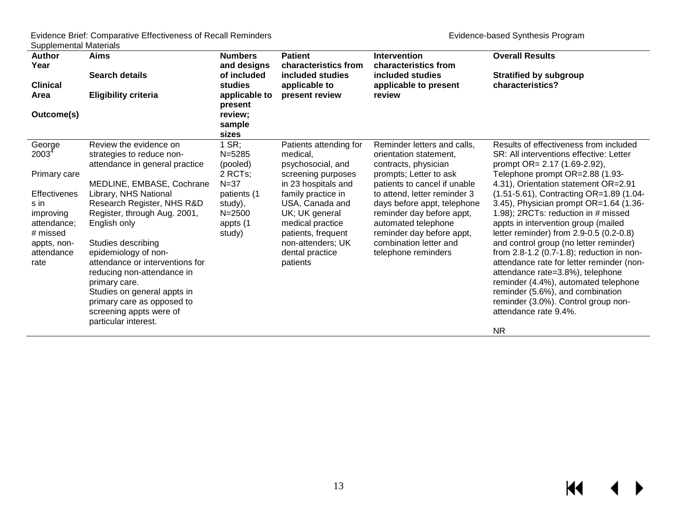| <b>Author</b><br>Year<br><b>Clinical</b><br>Area<br>Outcome(s)                                                                                 | Aims<br><b>Search details</b><br><b>Eligibility criteria</b>                                                                                                                                                                                                                                                                                                                                                                                                              | <b>Numbers</b><br>and designs<br>of included<br>studies<br>applicable to<br>present<br>review;<br>sample<br>sizes      | <b>Patient</b><br>characteristics from<br>included studies<br>applicable to<br>present review                                                                                                                                                                 | <b>Intervention</b><br>characteristics from<br>included studies<br>applicable to present<br>review                                                                                                                                                                                                                                       | <b>Overall Results</b><br><b>Stratified by subgroup</b><br>characteristics?                                                                                                                                                                                                                                                                                                                                                                                                                                                                                                                                                                                                                                                          |
|------------------------------------------------------------------------------------------------------------------------------------------------|---------------------------------------------------------------------------------------------------------------------------------------------------------------------------------------------------------------------------------------------------------------------------------------------------------------------------------------------------------------------------------------------------------------------------------------------------------------------------|------------------------------------------------------------------------------------------------------------------------|---------------------------------------------------------------------------------------------------------------------------------------------------------------------------------------------------------------------------------------------------------------|------------------------------------------------------------------------------------------------------------------------------------------------------------------------------------------------------------------------------------------------------------------------------------------------------------------------------------------|--------------------------------------------------------------------------------------------------------------------------------------------------------------------------------------------------------------------------------------------------------------------------------------------------------------------------------------------------------------------------------------------------------------------------------------------------------------------------------------------------------------------------------------------------------------------------------------------------------------------------------------------------------------------------------------------------------------------------------------|
| George<br>$2003^4$<br>Primary care<br><b>Effectivenes</b><br>s in<br>improving<br>attendance;<br># missed<br>appts, non-<br>attendance<br>rate | Review the evidence on<br>strategies to reduce non-<br>attendance in general practice<br>MEDLINE, EMBASE, Cochrane<br>Library, NHS National<br>Research Register, NHS R&D<br>Register, through Aug. 2001,<br>English only<br>Studies describing<br>epidemiology of non-<br>attendance or interventions for<br>reducing non-attendance in<br>primary care.<br>Studies on general appts in<br>primary care as opposed to<br>screening appts were of<br>particular interest. | $1$ SR;<br>$N = 5285$<br>(pooled)<br>2 RCTs;<br>$N = 37$<br>patients (1<br>study),<br>$N = 2500$<br>appts (1<br>study) | Patients attending for<br>medical,<br>psychosocial, and<br>screening purposes<br>in 23 hospitals and<br>family practice in<br>USA, Canada and<br>UK; UK general<br>medical practice<br>patients, frequent<br>non-attenders; UK<br>dental practice<br>patients | Reminder letters and calls,<br>orientation statement,<br>contracts, physician<br>prompts; Letter to ask<br>patients to cancel if unable<br>to attend, letter reminder 3<br>days before appt, telephone<br>reminder day before appt,<br>automated telephone<br>reminder day before appt,<br>combination letter and<br>telephone reminders | Results of effectiveness from included<br>SR: All interventions effective: Letter<br>prompt OR= $2.17$ (1.69-2.92),<br>Telephone prompt OR=2.88 (1.93-<br>4.31), Orientation statement OR=2.91<br>(1.51-5.61), Contracting OR=1.89 (1.04-<br>3.45), Physician prompt OR=1.64 (1.36-<br>1.98); 2RCTs: reduction in # missed<br>appts in intervention group (mailed<br>letter reminder) from 2.9-0.5 (0.2-0.8)<br>and control group (no letter reminder)<br>from $2.8 - 1.2$ (0.7-1.8); reduction in non-<br>attendance rate for letter reminder (non-<br>attendance rate=3.8%), telephone<br>reminder (4.4%), automated telephone<br>reminder (5.6%), and combination<br>reminder (3.0%). Control group non-<br>attendance rate 9.4%. |
|                                                                                                                                                |                                                                                                                                                                                                                                                                                                                                                                                                                                                                           |                                                                                                                        |                                                                                                                                                                                                                                                               |                                                                                                                                                                                                                                                                                                                                          | <b>NR</b>                                                                                                                                                                                                                                                                                                                                                                                                                                                                                                                                                                                                                                                                                                                            |

NR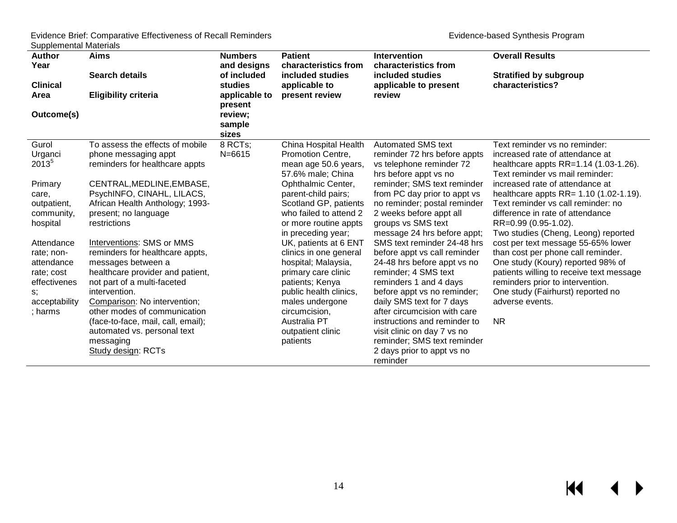| <b>Author</b><br>Year<br><b>Clinical</b><br>Area<br>Outcome(s)                                         | <b>Aims</b><br><b>Search details</b><br><b>Eligibility criteria</b>                                                                                                                                                                    | <b>Numbers</b><br>and designs<br>of included<br><b>studies</b><br>applicable to<br>present<br>review; | <b>Patient</b><br>characteristics from<br>included studies<br>applicable to<br>present review                                                                                  | <b>Intervention</b><br>characteristics from<br>included studies<br>applicable to present<br>review                                                                                                                                       | <b>Overall Results</b><br><b>Stratified by subgroup</b><br>characteristics?                                                                                                                                                                                        |
|--------------------------------------------------------------------------------------------------------|----------------------------------------------------------------------------------------------------------------------------------------------------------------------------------------------------------------------------------------|-------------------------------------------------------------------------------------------------------|--------------------------------------------------------------------------------------------------------------------------------------------------------------------------------|------------------------------------------------------------------------------------------------------------------------------------------------------------------------------------------------------------------------------------------|--------------------------------------------------------------------------------------------------------------------------------------------------------------------------------------------------------------------------------------------------------------------|
|                                                                                                        |                                                                                                                                                                                                                                        | sample<br>sizes                                                                                       |                                                                                                                                                                                |                                                                                                                                                                                                                                          |                                                                                                                                                                                                                                                                    |
| Gurol<br>Urganci<br>$2013^{5}$                                                                         | To assess the effects of mobile<br>phone messaging appt<br>reminders for healthcare appts                                                                                                                                              | 8 RCTs;<br>$N = 6615$                                                                                 | China Hospital Health<br>Promotion Centre,<br>mean age 50.6 years,<br>57.6% male; China                                                                                        | <b>Automated SMS text</b><br>reminder 72 hrs before appts<br>vs telephone reminder 72<br>hrs before appt vs no                                                                                                                           | Text reminder vs no reminder:<br>increased rate of attendance at<br>healthcare appts $RR=1.14$ (1.03-1.26).<br>Text reminder vs mail reminder:                                                                                                                     |
| Primary<br>care,<br>outpatient,<br>community,<br>hospital                                              | CENTRAL, MEDLINE, EMBASE,<br>PsychINFO, CINAHL, LILACS,<br>African Health Anthology; 1993-<br>present; no language<br>restrictions                                                                                                     |                                                                                                       | Ophthalmic Center,<br>parent-child pairs;<br>Scotland GP, patients<br>who failed to attend 2<br>or more routine appts<br>in preceding year;                                    | reminder; SMS text reminder<br>from PC day prior to appt vs<br>no reminder; postal reminder<br>2 weeks before appt all<br>groups vs SMS text<br>message 24 hrs before appt;                                                              | increased rate of attendance at<br>healthcare appts $RR = 1.10 (1.02 - 1.19)$ .<br>Text reminder vs call reminder: no<br>difference in rate of attendance<br>RR=0.99 (0.95-1.02).<br>Two studies (Cheng, Leong) reported                                           |
| Attendance<br>rate; non-<br>attendance<br>rate; cost<br>effectivenes<br>s;<br>acceptability<br>; harms | Interventions: SMS or MMS<br>reminders for healthcare appts,<br>messages between a<br>healthcare provider and patient,<br>not part of a multi-faceted<br>intervention.<br>Comparison: No intervention;<br>other modes of communication |                                                                                                       | UK, patients at 6 ENT<br>clinics in one general<br>hospital; Malaysia,<br>primary care clinic<br>patients; Kenya<br>public health clinics,<br>males undergone<br>circumcision, | SMS text reminder 24-48 hrs<br>before appt vs call reminder<br>24-48 hrs before appt vs no<br>reminder; 4 SMS text<br>reminders 1 and 4 days<br>before appt vs no reminder;<br>daily SMS text for 7 days<br>after circumcision with care | cost per text message 55-65% lower<br>than cost per phone call reminder.<br>One study (Koury) reported 98% of<br>patients willing to receive text message<br>reminders prior to intervention.<br>One study (Fairhurst) reported no<br>adverse events.<br><b>NR</b> |
|                                                                                                        | (face-to-face, mail, call, email);<br>automated vs. personal text<br>messaging<br>Study design: RCTs                                                                                                                                   |                                                                                                       | Australia PT<br>outpatient clinic<br>patients                                                                                                                                  | instructions and reminder to<br>visit clinic on day 7 vs no<br>reminder; SMS text reminder<br>2 days prior to appt vs no<br>reminder                                                                                                     |                                                                                                                                                                                                                                                                    |

 $\leftrightarrow$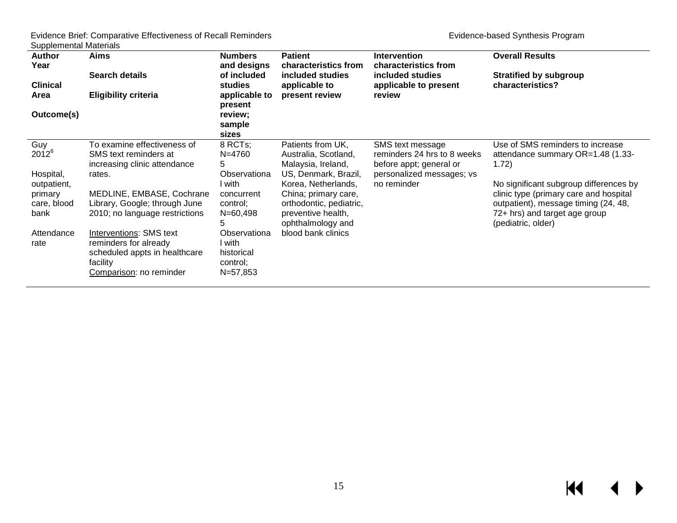| <b>Author</b><br>Year<br><b>Clinical</b><br>Area<br>Outcome(s) | <b>Aims</b><br><b>Search details</b><br><b>Eligibility criteria</b>                                                      | <b>Numbers</b><br>and designs<br>of included<br>studies<br>applicable to<br>present<br>review;<br>sample<br>sizes | <b>Patient</b><br>characteristics from<br>included studies<br>applicable to<br>present review                     | <b>Intervention</b><br>characteristics from<br>included studies<br>applicable to present<br>review      | <b>Overall Results</b><br><b>Stratified by subgroup</b><br>characteristics?                                                                                                     |
|----------------------------------------------------------------|--------------------------------------------------------------------------------------------------------------------------|-------------------------------------------------------------------------------------------------------------------|-------------------------------------------------------------------------------------------------------------------|---------------------------------------------------------------------------------------------------------|---------------------------------------------------------------------------------------------------------------------------------------------------------------------------------|
| Guy<br>$2012^{6}$<br>Hospital,                                 | To examine effectiveness of<br>SMS text reminders at<br>increasing clinic attendance<br>rates.                           | 8 RCTs;<br>N=4760<br>5<br>Observationa                                                                            | Patients from UK,<br>Australia, Scotland,<br>Malaysia, Ireland,<br>US, Denmark, Brazil,                           | SMS text message<br>reminders 24 hrs to 8 weeks<br>before appt; general or<br>personalized messages; vs | Use of SMS reminders to increase<br>attendance summary OR=1.48 (1.33-<br>(1.72)                                                                                                 |
| outpatient,<br>primary<br>care, blood<br>bank                  | MEDLINE, EMBASE, Cochrane<br>Library, Google; through June<br>2010; no language restrictions                             | l with.<br>concurrent<br>control;<br>N=60,498                                                                     | Korea, Netherlands,<br>China; primary care,<br>orthodontic, pediatric,<br>preventive health,<br>ophthalmology and | no reminder                                                                                             | No significant subgroup differences by<br>clinic type (primary care and hospital<br>outpatient), message timing (24, 48,<br>72+ hrs) and target age group<br>(pediatric, older) |
| Attendance<br>rate                                             | Interventions: SMS text<br>reminders for already<br>scheduled appts in healthcare<br>facility<br>Comparison: no reminder | Observationa<br>l with<br>historical<br>control;<br>N=57,853                                                      | blood bank clinics                                                                                                |                                                                                                         |                                                                                                                                                                                 |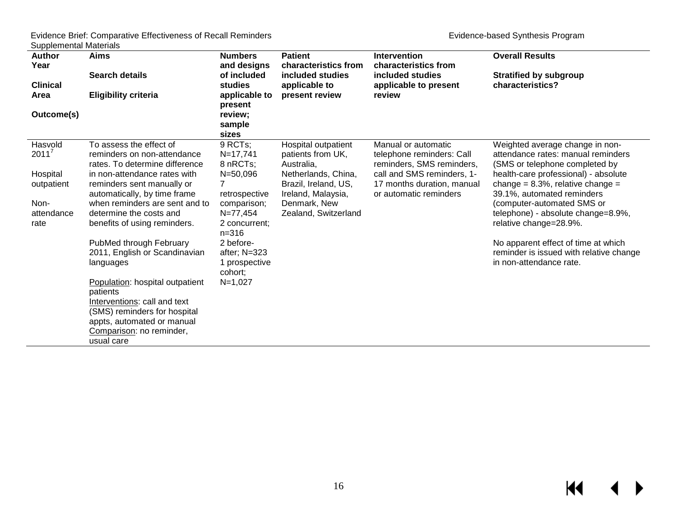$M \rightarrow$ 

| Author<br>Year<br><b>Clinical</b><br>Area<br>Outcome(s)                     | <b>Aims</b><br>Search details<br><b>Eligibility criteria</b>                                                                                                                                                                                                                                                                                                                                                                                                                                                                                        | <b>Numbers</b><br>and designs<br>of included<br>studies<br>applicable to<br>present<br>review;<br>sample<br>sizes                                                                                     | <b>Patient</b><br>characteristics from<br>included studies<br>applicable to<br>present review                                                                       | <b>Intervention</b><br>characteristics from<br>included studies<br>applicable to present<br>review                                                                  | <b>Overall Results</b><br><b>Stratified by subgroup</b><br>characteristics?                                                                                                                                                                                                                                                                                                                                                      |
|-----------------------------------------------------------------------------|-----------------------------------------------------------------------------------------------------------------------------------------------------------------------------------------------------------------------------------------------------------------------------------------------------------------------------------------------------------------------------------------------------------------------------------------------------------------------------------------------------------------------------------------------------|-------------------------------------------------------------------------------------------------------------------------------------------------------------------------------------------------------|---------------------------------------------------------------------------------------------------------------------------------------------------------------------|---------------------------------------------------------------------------------------------------------------------------------------------------------------------|----------------------------------------------------------------------------------------------------------------------------------------------------------------------------------------------------------------------------------------------------------------------------------------------------------------------------------------------------------------------------------------------------------------------------------|
| Hasvold<br>$2011^7$<br>Hospital<br>outpatient<br>Non-<br>attendance<br>rate | To assess the effect of<br>reminders on non-attendance<br>rates. To determine difference<br>in non-attendance rates with<br>reminders sent manually or<br>automatically, by time frame<br>when reminders are sent and to<br>determine the costs and<br>benefits of using reminders.<br>PubMed through February<br>2011, English or Scandinavian<br>languages<br>Population: hospital outpatient<br>patients<br>Interventions: call and text<br>(SMS) reminders for hospital<br>appts, automated or manual<br>Comparison: no reminder,<br>usual care | 9 RCTs;<br>$N = 17,741$<br>8 nRCTs;<br>$N = 50,096$<br>retrospective<br>comparison;<br>N=77,454<br>2 concurrent;<br>$n = 316$<br>2 before-<br>after; $N=323$<br>1 prospective<br>cohort;<br>$N=1,027$ | Hospital outpatient<br>patients from UK,<br>Australia,<br>Netherlands, China,<br>Brazil, Ireland, US,<br>Ireland, Malaysia,<br>Denmark, New<br>Zealand, Switzerland | Manual or automatic<br>telephone reminders: Call<br>reminders, SMS reminders,<br>call and SMS reminders, 1-<br>17 months duration, manual<br>or automatic reminders | Weighted average change in non-<br>attendance rates: manual reminders<br>(SMS or telephone completed by<br>health-care professional) - absolute<br>change = $8.3\%$ , relative change =<br>39.1%, automated reminders<br>(computer-automated SMS or<br>telephone) - absolute change=8.9%,<br>relative change=28.9%.<br>No apparent effect of time at which<br>reminder is issued with relative change<br>in non-attendance rate. |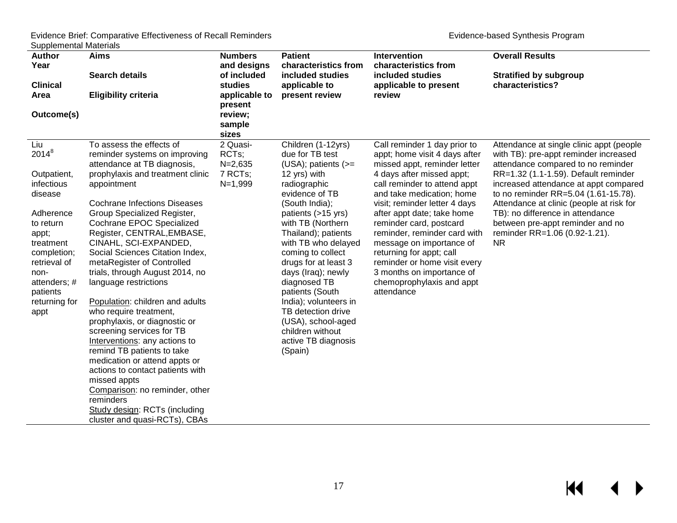| <b>Author</b>   | <b>Aims</b>                         | <b>Numbers</b>  | <b>Patient</b>           | Intervention                  | <b>Overall Results</b>                   |
|-----------------|-------------------------------------|-----------------|--------------------------|-------------------------------|------------------------------------------|
| Year            |                                     | and designs     | characteristics from     | characteristics from          |                                          |
|                 | <b>Search details</b>               | of included     | included studies         | included studies              | <b>Stratified by subgroup</b>            |
| <b>Clinical</b> |                                     | studies         | applicable to            | applicable to present         | characteristics?                         |
| Area            | <b>Eligibility criteria</b>         | applicable to   | present review           | review                        |                                          |
|                 |                                     | present         |                          |                               |                                          |
| Outcome(s)      |                                     | review;         |                          |                               |                                          |
|                 |                                     | sample<br>sizes |                          |                               |                                          |
| Liu             | To assess the effects of            | 2 Quasi-        | Children (1-12yrs)       | Call reminder 1 day prior to  | Attendance at single clinic appt (people |
| $2014^8$        | reminder systems on improving       | RCTs;           | due for TB test          | appt; home visit 4 days after | with TB): pre-appt reminder increased    |
|                 | attendance at TB diagnosis,         | $N = 2,635$     | $(USA)$ ; patients $(>=$ | missed appt, reminder letter  | attendance compared to no reminder       |
| Outpatient,     | prophylaxis and treatment clinic    | 7 RCTs;         | 12 yrs) with             | 4 days after missed appt;     | RR=1.32 (1.1-1.59). Default reminder     |
| infectious      | appointment                         | $N=1,999$       | radiographic             | call reminder to attend appt  | increased attendance at appt compared    |
| disease         |                                     |                 | evidence of TB           | and take medication; home     | to no reminder RR=5.04 (1.61-15.78).     |
|                 | <b>Cochrane Infections Diseases</b> |                 | (South India);           | visit; reminder letter 4 days | Attendance at clinic (people at risk for |
| Adherence       | Group Specialized Register,         |                 | patients (>15 yrs)       | after appt date; take home    | TB): no difference in attendance         |
| to return       | Cochrane EPOC Specialized           |                 | with TB (Northern        | reminder card, postcard       | between pre-appt reminder and no         |
| appt;           | Register, CENTRAL, EMBASE,          |                 | Thailand); patients      | reminder, reminder card with  | reminder RR=1.06 (0.92-1.21).            |
| treatment       | CINAHL, SCI-EXPANDED,               |                 | with TB who delayed      | message on importance of      | <b>NR</b>                                |
| completion;     | Social Sciences Citation Index,     |                 | coming to collect        | returning for appt; call      |                                          |
| retrieval of    | metaRegister of Controlled          |                 | drugs for at least 3     | reminder or home visit every  |                                          |
| non-            | trials, through August 2014, no     |                 | days (Iraq); newly       | 3 months on importance of     |                                          |
| attenders; #    | language restrictions               |                 | diagnosed TB             | chemoprophylaxis and appt     |                                          |
| patients        |                                     |                 | patients (South          | attendance                    |                                          |
| returning for   | Population: children and adults     |                 | India); volunteers in    |                               |                                          |
| appt            | who require treatment,              |                 | TB detection drive       |                               |                                          |
|                 | prophylaxis, or diagnostic or       |                 | (USA), school-aged       |                               |                                          |
|                 | screening services for TB           |                 | children without         |                               |                                          |
|                 | Interventions: any actions to       |                 | active TB diagnosis      |                               |                                          |
|                 | remind TB patients to take          |                 | (Spain)                  |                               |                                          |
|                 | medication or attend appts or       |                 |                          |                               |                                          |
|                 | actions to contact patients with    |                 |                          |                               |                                          |
|                 | missed appts                        |                 |                          |                               |                                          |
|                 | Comparison: no reminder, other      |                 |                          |                               |                                          |
|                 | reminders                           |                 |                          |                               |                                          |
|                 | Study design: RCTs (including       |                 |                          |                               |                                          |
|                 | cluster and quasi-RCTs), CBAs       |                 |                          |                               |                                          |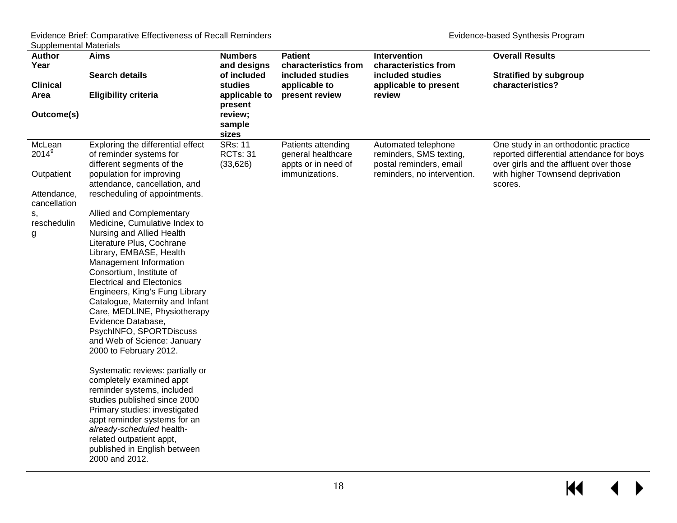| <b>Author</b>   | <b>Aims</b>                                                | <b>Numbers</b>           | <b>Patient</b>       | Intervention                | <b>Overall Results</b>                    |
|-----------------|------------------------------------------------------------|--------------------------|----------------------|-----------------------------|-------------------------------------------|
| Year            |                                                            | and designs              | characteristics from | characteristics from        |                                           |
|                 | <b>Search details</b>                                      | of included              | included studies     | included studies            | <b>Stratified by subgroup</b>             |
| <b>Clinical</b> |                                                            | studies                  | applicable to        | applicable to present       | characteristics?                          |
| Area            | <b>Eligibility criteria</b>                                | applicable to<br>present | present review       | review                      |                                           |
| Outcome(s)      |                                                            | review;                  |                      |                             |                                           |
|                 |                                                            | sample                   |                      |                             |                                           |
|                 |                                                            | sizes                    |                      |                             |                                           |
| McLean          | Exploring the differential effect                          | <b>SRs: 11</b>           | Patients attending   | Automated telephone         | One study in an orthodontic practice      |
| $2014^9$        | of reminder systems for                                    | <b>RCTs: 31</b>          | general healthcare   | reminders, SMS texting,     | reported differential attendance for boys |
|                 | different segments of the                                  | (33, 626)                | appts or in need of  | postal reminders, email     | over girls and the affluent over those    |
| Outpatient      | population for improving                                   |                          | immunizations.       | reminders, no intervention. | with higher Townsend deprivation          |
|                 | attendance, cancellation, and                              |                          |                      |                             | scores.                                   |
| Attendance,     | rescheduling of appointments.                              |                          |                      |                             |                                           |
| cancellation    |                                                            |                          |                      |                             |                                           |
| s,              | Allied and Complementary                                   |                          |                      |                             |                                           |
| reschedulin     | Medicine, Cumulative Index to<br>Nursing and Allied Health |                          |                      |                             |                                           |
| g               | Literature Plus, Cochrane                                  |                          |                      |                             |                                           |
|                 | Library, EMBASE, Health                                    |                          |                      |                             |                                           |
|                 | Management Information                                     |                          |                      |                             |                                           |
|                 | Consortium, Institute of                                   |                          |                      |                             |                                           |
|                 | <b>Electrical and Electonics</b>                           |                          |                      |                             |                                           |
|                 | Engineers, King's Fung Library                             |                          |                      |                             |                                           |
|                 | Catalogue, Maternity and Infant                            |                          |                      |                             |                                           |
|                 | Care, MEDLINE, Physiotherapy                               |                          |                      |                             |                                           |
|                 | Evidence Database,                                         |                          |                      |                             |                                           |
|                 | PsychINFO, SPORTDiscuss                                    |                          |                      |                             |                                           |
|                 | and Web of Science: January                                |                          |                      |                             |                                           |
|                 | 2000 to February 2012.                                     |                          |                      |                             |                                           |
|                 | Systematic reviews: partially or                           |                          |                      |                             |                                           |
|                 | completely examined appt                                   |                          |                      |                             |                                           |
|                 | reminder systems, included                                 |                          |                      |                             |                                           |
|                 | studies published since 2000                               |                          |                      |                             |                                           |
|                 | Primary studies: investigated                              |                          |                      |                             |                                           |
|                 | appt reminder systems for an                               |                          |                      |                             |                                           |
|                 | already-scheduled health-                                  |                          |                      |                             |                                           |
|                 | related outpatient appt,                                   |                          |                      |                             |                                           |
|                 | published in English between                               |                          |                      |                             |                                           |
|                 | 2000 and 2012.                                             |                          |                      |                             |                                           |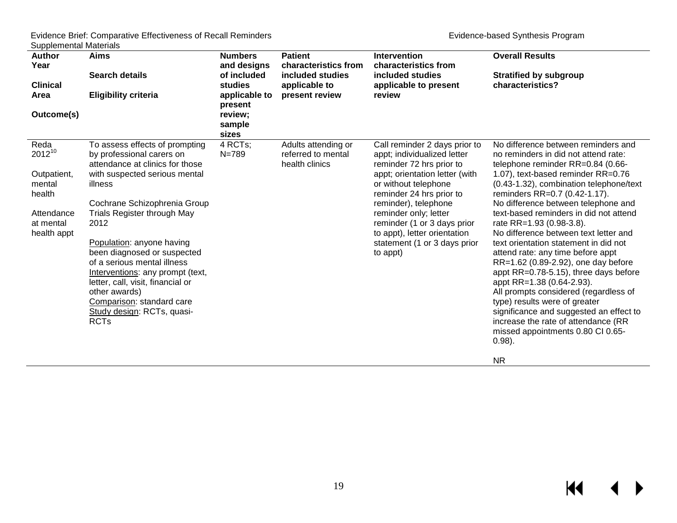$M \leftarrow \leftarrow$ 

| <b>Author</b><br>Year<br><b>Clinical</b><br>Area<br>Outcome(s)                                   | Aims<br><b>Search details</b><br><b>Eligibility criteria</b>                                                                                                                                                                                                                                                                                                                                                                                                                     | <b>Numbers</b><br>and designs<br>of included<br>studies<br>applicable to<br>present<br>review;<br>sample<br>sizes | <b>Patient</b><br>characteristics from<br>included studies<br>applicable to<br>present review | <b>Intervention</b><br>characteristics from<br>included studies<br>applicable to present<br>review                                                                                                                                                                                                                                         | <b>Overall Results</b><br><b>Stratified by subgroup</b><br>characteristics?                                                                                                                                                                                                                                                                                                                                                                                                                                                                                                                                                                                                                                                                                                                                    |
|--------------------------------------------------------------------------------------------------|----------------------------------------------------------------------------------------------------------------------------------------------------------------------------------------------------------------------------------------------------------------------------------------------------------------------------------------------------------------------------------------------------------------------------------------------------------------------------------|-------------------------------------------------------------------------------------------------------------------|-----------------------------------------------------------------------------------------------|--------------------------------------------------------------------------------------------------------------------------------------------------------------------------------------------------------------------------------------------------------------------------------------------------------------------------------------------|----------------------------------------------------------------------------------------------------------------------------------------------------------------------------------------------------------------------------------------------------------------------------------------------------------------------------------------------------------------------------------------------------------------------------------------------------------------------------------------------------------------------------------------------------------------------------------------------------------------------------------------------------------------------------------------------------------------------------------------------------------------------------------------------------------------|
| Reda<br>$2012^{10}$<br>Outpatient,<br>mental<br>health<br>Attendance<br>at mental<br>health appt | To assess effects of prompting<br>by professional carers on<br>attendance at clinics for those<br>with suspected serious mental<br>illness<br>Cochrane Schizophrenia Group<br>Trials Register through May<br>2012<br>Population: anyone having<br>been diagnosed or suspected<br>of a serious mental illness<br>Interventions: any prompt (text,<br>letter, call, visit, financial or<br>other awards)<br>Comparison: standard care<br>Study design: RCTs, quasi-<br><b>RCTs</b> | 4 RCTs;<br>$N = 789$                                                                                              | Adults attending or<br>referred to mental<br>health clinics                                   | Call reminder 2 days prior to<br>appt; individualized letter<br>reminder 72 hrs prior to<br>appt; orientation letter (with<br>or without telephone<br>reminder 24 hrs prior to<br>reminder), telephone<br>reminder only; letter<br>reminder (1 or 3 days prior<br>to appt), letter orientation<br>statement (1 or 3 days prior<br>to appt) | No difference between reminders and<br>no reminders in did not attend rate:<br>telephone reminder RR=0.84 (0.66-<br>1.07), text-based reminder RR=0.76<br>(0.43-1.32), combination telephone/text<br>reminders RR=0.7 (0.42-1.17).<br>No difference between telephone and<br>text-based reminders in did not attend<br>rate RR=1.93 (0.98-3.8).<br>No difference between text letter and<br>text orientation statement in did not<br>attend rate: any time before appt<br>RR=1.62 (0.89-2.92), one day before<br>appt RR=0.78-5.15), three days before<br>appt RR=1.38 (0.64-2.93).<br>All prompts considered (regardless of<br>type) results were of greater<br>significance and suggested an effect to<br>increase the rate of attendance (RR<br>missed appointments 0.80 CI 0.65-<br>$0.98$ ).<br><b>NR</b> |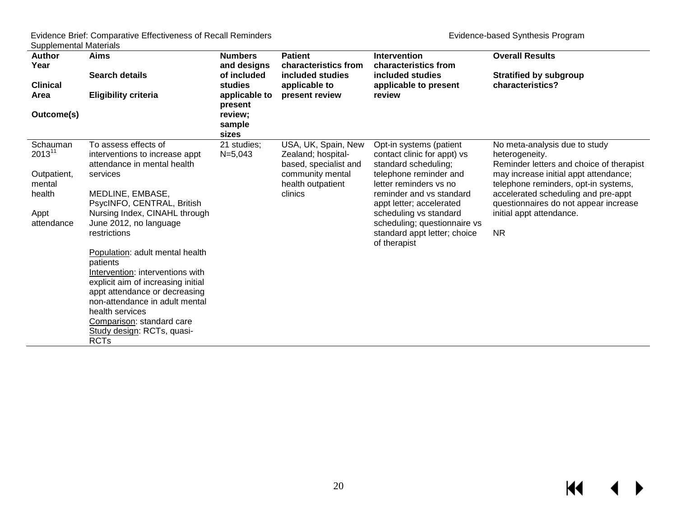$M \leftarrow \leftarrow$ 

| <b>Author</b><br>Year<br><b>Clinical</b><br>Area | <b>Aims</b><br><b>Search details</b><br><b>Eligibility criteria</b>                   | <b>Numbers</b><br>and designs<br>of included<br>studies<br>applicable to<br>present | <b>Patient</b><br>characteristics from<br>included studies<br>applicable to<br>present review | <b>Intervention</b><br>characteristics from<br>included studies<br>applicable to present<br>review | <b>Overall Results</b><br><b>Stratified by subgroup</b><br>characteristics?                 |
|--------------------------------------------------|---------------------------------------------------------------------------------------|-------------------------------------------------------------------------------------|-----------------------------------------------------------------------------------------------|----------------------------------------------------------------------------------------------------|---------------------------------------------------------------------------------------------|
| Outcome(s)                                       |                                                                                       | review;<br>sample<br>sizes                                                          |                                                                                               |                                                                                                    |                                                                                             |
| Schauman<br>$2013^{11}$                          | To assess effects of<br>interventions to increase appt<br>attendance in mental health | 21 studies;<br>$N = 5,043$                                                          | USA, UK, Spain, New<br>Zealand; hospital-<br>based, specialist and                            | Opt-in systems (patient<br>contact clinic for appt) vs<br>standard scheduling;                     | No meta-analysis due to study<br>heterogeneity.<br>Reminder letters and choice of therapist |
| Outpatient,<br>mental                            | services                                                                              |                                                                                     | community mental<br>health outpatient                                                         | telephone reminder and<br>letter reminders vs no                                                   | may increase initial appt attendance;<br>telephone reminders, opt-in systems,               |
| health                                           | MEDLINE, EMBASE,<br>PsycINFO, CENTRAL, British                                        |                                                                                     | clinics                                                                                       | reminder and vs standard<br>appt letter; accelerated                                               | accelerated scheduling and pre-appt<br>questionnaires do not appear increase                |
| Appt<br>attendance                               | Nursing Index, CINAHL through<br>June 2012, no language                               |                                                                                     |                                                                                               | scheduling vs standard<br>scheduling; questionnaire vs                                             | initial appt attendance.                                                                    |
|                                                  | restrictions                                                                          |                                                                                     |                                                                                               | standard appt letter; choice<br>of therapist                                                       | <b>NR</b>                                                                                   |
|                                                  | Population: adult mental health<br>patients                                           |                                                                                     |                                                                                               |                                                                                                    |                                                                                             |
|                                                  | Intervention: interventions with<br>explicit aim of increasing initial                |                                                                                     |                                                                                               |                                                                                                    |                                                                                             |
|                                                  | appt attendance or decreasing<br>non-attendance in adult mental                       |                                                                                     |                                                                                               |                                                                                                    |                                                                                             |
|                                                  | health services<br>Comparison: standard care                                          |                                                                                     |                                                                                               |                                                                                                    |                                                                                             |
|                                                  | Study design: RCTs, quasi-<br><b>RCTs</b>                                             |                                                                                     |                                                                                               |                                                                                                    |                                                                                             |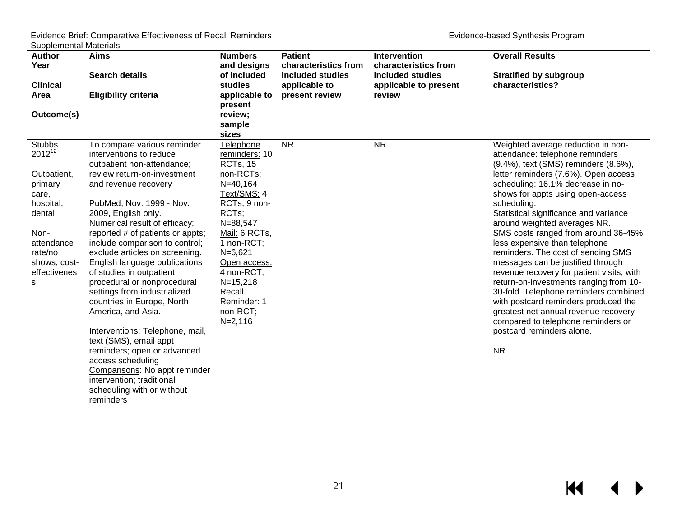| <b>Author</b>   | <b>Aims</b>                                            | <b>Numbers</b>                   | <b>Patient</b>       | <b>Intervention</b>   | <b>Overall Results</b>                                                  |
|-----------------|--------------------------------------------------------|----------------------------------|----------------------|-----------------------|-------------------------------------------------------------------------|
| Year            |                                                        | and designs                      | characteristics from | characteristics from  |                                                                         |
|                 | <b>Search details</b>                                  | of included                      | included studies     | included studies      | <b>Stratified by subgroup</b>                                           |
| <b>Clinical</b> |                                                        | studies                          | applicable to        | applicable to present | characteristics?                                                        |
| Area            | <b>Eligibility criteria</b>                            | applicable to                    | present review       | review                |                                                                         |
|                 |                                                        | present                          |                      |                       |                                                                         |
| Outcome(s)      |                                                        | review;                          |                      |                       |                                                                         |
|                 |                                                        | sample                           |                      |                       |                                                                         |
| <b>Stubbs</b>   |                                                        | sizes                            | <b>NR</b>            | <b>NR</b>             |                                                                         |
| $2012^{12}$     | To compare various reminder<br>interventions to reduce | Telephone                        |                      |                       | Weighted average reduction in non-                                      |
|                 | outpatient non-attendance;                             | reminders: 10<br><b>RCTs, 15</b> |                      |                       | attendance: telephone reminders<br>(9.4%), text (SMS) reminders (8.6%), |
| Outpatient,     | review return-on-investment                            | non-RCTs;                        |                      |                       | letter reminders (7.6%). Open access                                    |
| primary         | and revenue recovery                                   | $N = 40,164$                     |                      |                       | scheduling: 16.1% decrease in no-                                       |
| care.           |                                                        | Text/SMS: 4                      |                      |                       | shows for appts using open-access                                       |
| hospital,       | PubMed, Nov. 1999 - Nov.                               | RCTs, 9 non-                     |                      |                       | scheduling.                                                             |
| dental          | 2009, English only.                                    | RCTs;                            |                      |                       | Statistical significance and variance                                   |
|                 | Numerical result of efficacy;                          | N=88,547                         |                      |                       | around weighted averages NR.                                            |
| Non-            | reported # of patients or appts;                       | Mail: 6 RCTs,                    |                      |                       | SMS costs ranged from around 36-45%                                     |
| attendance      | include comparison to control;                         | 1 non-RCT;                       |                      |                       | less expensive than telephone                                           |
| rate/no         | exclude articles on screening.                         | $N=6,621$                        |                      |                       | reminders. The cost of sending SMS                                      |
| shows; cost-    | English language publications                          | Open access:                     |                      |                       | messages can be justified through                                       |
| effectivenes    | of studies in outpatient                               | 4 non-RCT;                       |                      |                       | revenue recovery for patient visits, with                               |
| s               | procedural or nonprocedural                            | $N=15,218$                       |                      |                       | return-on-investments ranging from 10-                                  |
|                 | settings from industrialized                           | Recall                           |                      |                       | 30-fold. Telephone reminders combined                                   |
|                 | countries in Europe, North                             | Reminder: 1                      |                      |                       | with postcard reminders produced the                                    |
|                 | America, and Asia.                                     | non-RCT;                         |                      |                       | greatest net annual revenue recovery                                    |
|                 |                                                        | $N = 2,116$                      |                      |                       | compared to telephone reminders or                                      |
|                 | Interventions: Telephone, mail,                        |                                  |                      |                       | postcard reminders alone.                                               |
|                 | text (SMS), email appt                                 |                                  |                      |                       |                                                                         |
|                 | reminders; open or advanced<br>access scheduling       |                                  |                      |                       | <b>NR</b>                                                               |
|                 | Comparisons: No appt reminder                          |                                  |                      |                       |                                                                         |
|                 | intervention; traditional                              |                                  |                      |                       |                                                                         |
|                 | scheduling with or without                             |                                  |                      |                       |                                                                         |
|                 | reminders                                              |                                  |                      |                       |                                                                         |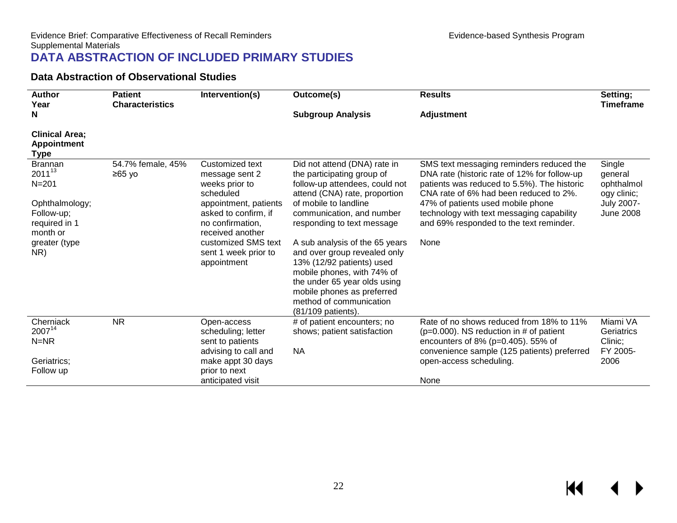#### **Data Abstraction of Observational Studies**

<span id="page-23-1"></span><span id="page-23-0"></span>

| <b>Author</b><br>Year                                      | Intervention(s)<br><b>Patient</b><br>Outcome(s)<br><b>Characteristics</b> |                                                                                       |                                                                                                                                                                                                                                          | <b>Results</b>                                                                                                                                                                    | Setting;<br><b>Timeframe</b>                   |
|------------------------------------------------------------|---------------------------------------------------------------------------|---------------------------------------------------------------------------------------|------------------------------------------------------------------------------------------------------------------------------------------------------------------------------------------------------------------------------------------|-----------------------------------------------------------------------------------------------------------------------------------------------------------------------------------|------------------------------------------------|
| N                                                          |                                                                           |                                                                                       | <b>Subgroup Analysis</b>                                                                                                                                                                                                                 | <b>Adjustment</b>                                                                                                                                                                 |                                                |
| <b>Clinical Area;</b><br><b>Appointment</b><br><b>Type</b> |                                                                           |                                                                                       |                                                                                                                                                                                                                                          |                                                                                                                                                                                   |                                                |
| <b>Brannan</b><br>$2011^{13}$<br>$N = 201$                 | 54.7% female, 45%<br>$≥65$ yo                                             | Customized text<br>message sent 2<br>weeks prior to<br>scheduled                      | Did not attend (DNA) rate in<br>the participating group of<br>follow-up attendees, could not<br>attend (CNA) rate, proportion                                                                                                            | SMS text messaging reminders reduced the<br>DNA rate (historic rate of 12% for follow-up<br>patients was reduced to 5.5%). The historic<br>CNA rate of 6% had been reduced to 2%. | Single<br>general<br>ophthalmol<br>ogy clinic; |
| Ophthalmology;<br>Follow-up;<br>required in 1<br>month or  |                                                                           | appointment, patients<br>asked to confirm, if<br>no confirmation,<br>received another | of mobile to landline<br>communication, and number<br>responding to text message                                                                                                                                                         | 47% of patients used mobile phone<br>technology with text messaging capability<br>and 69% responded to the text reminder.                                                         | <b>July 2007-</b><br><b>June 2008</b>          |
| greater (type<br>NR)                                       |                                                                           | customized SMS text<br>sent 1 week prior to<br>appointment                            | A sub analysis of the 65 years<br>and over group revealed only<br>13% (12/92 patients) used<br>mobile phones, with 74% of<br>the under 65 year olds using<br>mobile phones as preferred<br>method of communication<br>(81/109 patients). | None                                                                                                                                                                              |                                                |
| Cherniack<br>200714<br>$N=NR$                              | <b>NR</b>                                                                 | Open-access<br>scheduling; letter<br>sent to patients                                 | # of patient encounters; no<br>shows; patient satisfaction                                                                                                                                                                               | Rate of no shows reduced from 18% to 11%<br>$(p=0.000)$ . NS reduction in # of patient<br>encounters of 8% (p=0.405). 55% of                                                      | Miami VA<br>Geriatrics<br>Clinic;              |
| Geriatrics;<br>Follow up                                   |                                                                           | advising to call and<br>make appt 30 days<br>prior to next                            | <b>NA</b>                                                                                                                                                                                                                                | convenience sample (125 patients) preferred<br>open-access scheduling.                                                                                                            | FY 2005-<br>2006                               |
|                                                            |                                                                           | anticipated visit                                                                     |                                                                                                                                                                                                                                          | None                                                                                                                                                                              |                                                |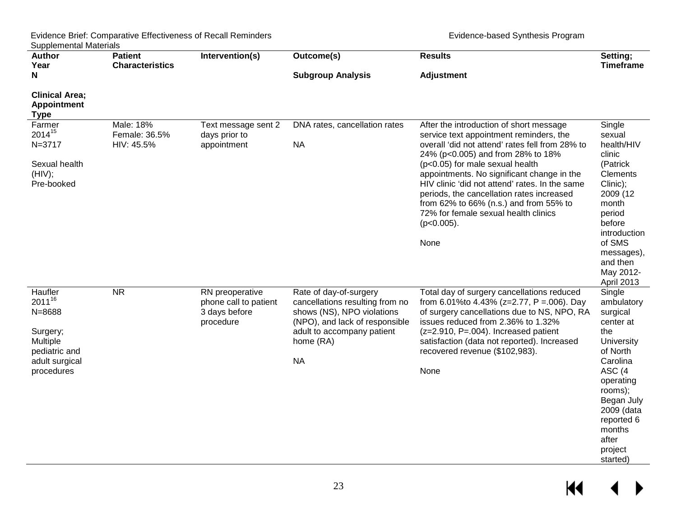| <b>Author</b><br>Year                                                                                         | <b>Patient</b><br><b>Characteristics</b> | Intervention(s)                                                        | Outcome(s)                                                                                                                                                                        | <b>Results</b>                                                                                                                                                                                                                                                                                                                                                                                                                                                        | Setting;<br><b>Timeframe</b>                                                                                                                                                                                     |
|---------------------------------------------------------------------------------------------------------------|------------------------------------------|------------------------------------------------------------------------|-----------------------------------------------------------------------------------------------------------------------------------------------------------------------------------|-----------------------------------------------------------------------------------------------------------------------------------------------------------------------------------------------------------------------------------------------------------------------------------------------------------------------------------------------------------------------------------------------------------------------------------------------------------------------|------------------------------------------------------------------------------------------------------------------------------------------------------------------------------------------------------------------|
| N                                                                                                             |                                          |                                                                        | <b>Subgroup Analysis</b>                                                                                                                                                          | <b>Adjustment</b>                                                                                                                                                                                                                                                                                                                                                                                                                                                     |                                                                                                                                                                                                                  |
| <b>Clinical Area:</b><br><b>Appointment</b><br><b>Type</b>                                                    |                                          |                                                                        |                                                                                                                                                                                   |                                                                                                                                                                                                                                                                                                                                                                                                                                                                       |                                                                                                                                                                                                                  |
| Farmer<br>201415<br>$N = 3717$<br>Sexual health<br>(HIV);<br>Pre-booked                                       | Male: 18%<br>Female: 36.5%<br>HIV: 45.5% | Text message sent 2<br>days prior to<br>appointment                    | DNA rates, cancellation rates<br><b>NA</b>                                                                                                                                        | After the introduction of short message<br>service text appointment reminders, the<br>overall 'did not attend' rates fell from 28% to<br>24% (p<0.005) and from 28% to 18%<br>(p<0.05) for male sexual health<br>appointments. No significant change in the<br>HIV clinic 'did not attend' rates. In the same<br>periods, the cancellation rates increased<br>from 62% to 66% (n.s.) and from 55% to<br>72% for female sexual health clinics<br>$(p<0.005)$ .<br>None | Single<br>sexual<br>health/HIV<br>clinic<br>(Patrick<br><b>Clements</b><br>Clinic);<br>2009 (12<br>month<br>period<br>before<br>introduction<br>of SMS<br>messages),<br>and then<br>May 2012-<br>April 2013      |
| Haufler<br>$2011^{16}$<br>$N = 8688$<br>Surgery;<br>Multiple<br>pediatric and<br>adult surgical<br>procedures | <b>NR</b>                                | RN preoperative<br>phone call to patient<br>3 days before<br>procedure | Rate of day-of-surgery<br>cancellations resulting from no<br>shows (NS), NPO violations<br>(NPO), and lack of responsible<br>adult to accompany patient<br>home (RA)<br><b>NA</b> | Total day of surgery cancellations reduced<br>from 6.01% to 4.43% (z=2.77, P = 006). Day<br>of surgery cancellations due to NS, NPO, RA<br>issues reduced from 2.36% to 1.32%<br>$(z=2.910, P=.004)$ . Increased patient<br>satisfaction (data not reported). Increased<br>recovered revenue (\$102,983).<br>None                                                                                                                                                     | Single<br>ambulatory<br>surgical<br>center at<br>the<br>University<br>of North<br>Carolina<br>ASC (4<br>operating<br>rooms);<br>Began July<br>2009 (data<br>reported 6<br>months<br>after<br>project<br>started) |

 $H$  $\leftrightarrow$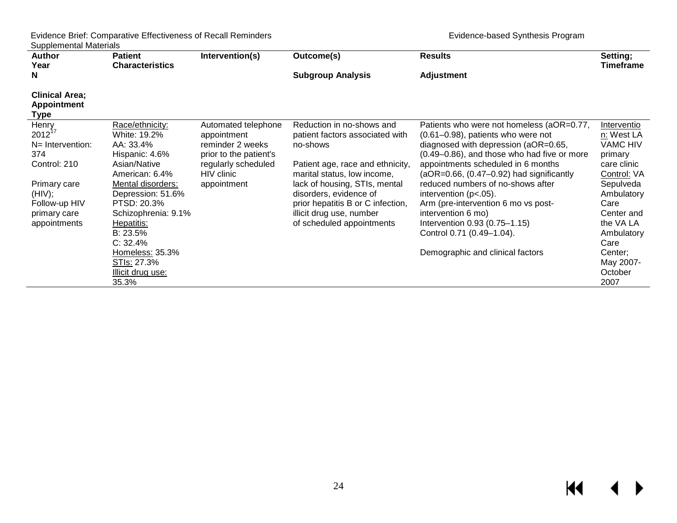| <b>Author</b>                                       | <b>Patient</b>                                                 | Intervention(s)                                                                  | Outcome(s)                                                                                   | <b>Results</b>                                                                                                                                                              | Setting;<br>Timeframe                                   |
|-----------------------------------------------------|----------------------------------------------------------------|----------------------------------------------------------------------------------|----------------------------------------------------------------------------------------------|-----------------------------------------------------------------------------------------------------------------------------------------------------------------------------|---------------------------------------------------------|
| Year<br>N                                           | <b>Characteristics</b>                                         |                                                                                  | <b>Subgroup Analysis</b>                                                                     | <b>Adjustment</b>                                                                                                                                                           |                                                         |
| <b>Clinical Area;</b><br><b>Appointment</b><br>Type |                                                                |                                                                                  |                                                                                              |                                                                                                                                                                             |                                                         |
| Henry<br>$2012^{17}$<br>N= Intervention:<br>374     | Race/ethnicity:<br>White: 19.2%<br>AA: 33.4%<br>Hispanic: 4.6% | Automated telephone<br>appointment<br>reminder 2 weeks<br>prior to the patient's | Reduction in no-shows and<br>patient factors associated with<br>no-shows                     | Patients who were not homeless (aOR=0.77,<br>$(0.61 - 0.98)$ , patients who were not<br>diagnosed with depression (aOR=0.65,<br>(0.49–0.86), and those who had five or more | Interventio<br>n: West LA<br><b>VAMC HIV</b><br>primary |
| Control: 210                                        | Asian/Native<br>American: 6.4%                                 | regularly scheduled<br>HIV clinic                                                | Patient age, race and ethnicity,<br>marital status, low income,                              | appointments scheduled in 6 months<br>$(aOR=0.66, (0.47-0.92)$ had significantly                                                                                            | care clinic<br>Control: VA                              |
| Primary care<br>(HIV);<br>Follow-up HIV             | Mental disorders:<br>Depression: 51.6%<br>PTSD: 20.3%          | appointment                                                                      | lack of housing, STIs, mental<br>disorders, evidence of<br>prior hepatitis B or C infection, | reduced numbers of no-shows after<br>intervention $(p<.05)$ .<br>Arm (pre-intervention 6 mo vs post-                                                                        | Sepulveda<br>Ambulatory<br>Care                         |
| primary care<br>appointments                        | Schizophrenia: 9.1%<br>Hepatitis:                              |                                                                                  | illicit drug use, number<br>of scheduled appointments                                        | intervention 6 mo)<br>Intervention 0.93 (0.75-1.15)                                                                                                                         | Center and<br>the VA LA                                 |
|                                                     | B: 23.5%<br>C: 32.4%                                           |                                                                                  |                                                                                              | Control 0.71 (0.49-1.04).                                                                                                                                                   | Ambulatory<br>Care                                      |
|                                                     | Homeless: 35.3%<br>STIs: 27.3%                                 |                                                                                  |                                                                                              | Demographic and clinical factors                                                                                                                                            | Center;<br>May 2007-                                    |
|                                                     | Illicit drug use:<br>35.3%                                     |                                                                                  |                                                                                              |                                                                                                                                                                             | October<br>2007                                         |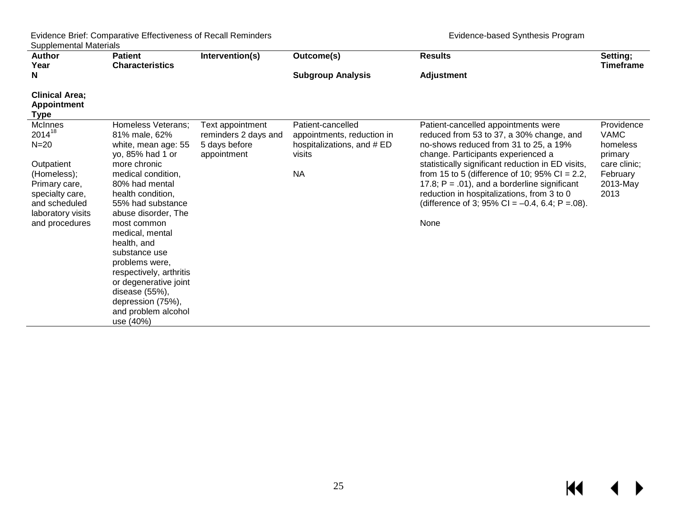| <b>Author</b>                                                                                                                                             | <b>Patient</b>                                                                                                                                                                                                                                                                                                                                                                                                                    | Intervention(s)                                                          | Outcome(s)                                                                                           | <b>Results</b>                                                                                                                                                                                                                                                                                                                                                                                                                       | Setting;                                                                                         |
|-----------------------------------------------------------------------------------------------------------------------------------------------------------|-----------------------------------------------------------------------------------------------------------------------------------------------------------------------------------------------------------------------------------------------------------------------------------------------------------------------------------------------------------------------------------------------------------------------------------|--------------------------------------------------------------------------|------------------------------------------------------------------------------------------------------|--------------------------------------------------------------------------------------------------------------------------------------------------------------------------------------------------------------------------------------------------------------------------------------------------------------------------------------------------------------------------------------------------------------------------------------|--------------------------------------------------------------------------------------------------|
| Year<br>N                                                                                                                                                 | <b>Characteristics</b>                                                                                                                                                                                                                                                                                                                                                                                                            |                                                                          | <b>Subgroup Analysis</b>                                                                             | <b>Adjustment</b>                                                                                                                                                                                                                                                                                                                                                                                                                    | <b>Timeframe</b>                                                                                 |
| <b>Clinical Area;</b><br><b>Appointment</b><br><b>Type</b>                                                                                                |                                                                                                                                                                                                                                                                                                                                                                                                                                   |                                                                          |                                                                                                      |                                                                                                                                                                                                                                                                                                                                                                                                                                      |                                                                                                  |
| McInnes<br>$2014^{18}$<br>$N=20$<br>Outpatient<br>(Homeless);<br>Primary care,<br>specialty care,<br>and scheduled<br>laboratory visits<br>and procedures | <b>Homeless Veterans:</b><br>81% male, 62%<br>white, mean age: 55<br>yo, 85% had 1 or<br>more chronic<br>medical condition,<br>80% had mental<br>health condition,<br>55% had substance<br>abuse disorder, The<br>most common<br>medical, mental<br>health, and<br>substance use<br>problems were,<br>respectively, arthritis<br>or degenerative joint<br>disease (55%),<br>depression (75%),<br>and problem alcohol<br>use (40%) | Text appointment<br>reminders 2 days and<br>5 days before<br>appointment | Patient-cancelled<br>appointments, reduction in<br>hospitalizations, and # ED<br>visits<br><b>NA</b> | Patient-cancelled appointments were<br>reduced from 53 to 37, a 30% change, and<br>no-shows reduced from 31 to 25, a 19%<br>change. Participants experienced a<br>statistically significant reduction in ED visits,<br>from 15 to 5 (difference of 10; $95\%$ CI = 2.2,<br>17.8; $P = .01$ , and a borderline significant<br>reduction in hospitalizations, from 3 to 0<br>(difference of 3; 95% CI = $-0.4$ , 6.4; P = 08).<br>None | Providence<br><b>VAMC</b><br>homeless<br>primary<br>care clinic;<br>February<br>2013-May<br>2013 |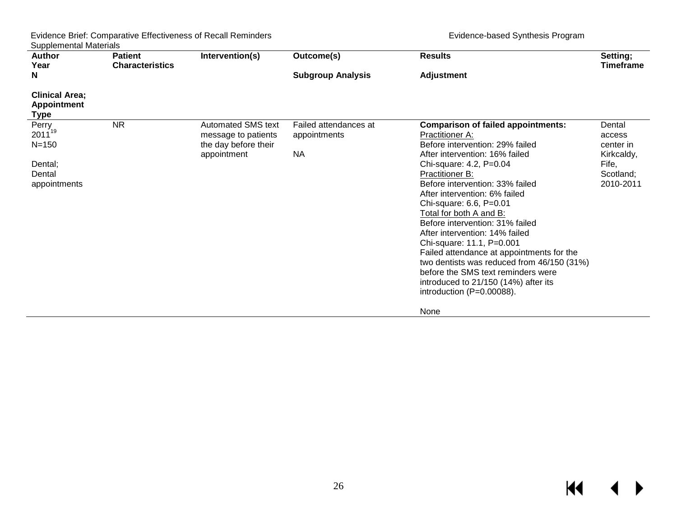| <b>Author</b><br>Year                                                  | <b>Patient</b><br><b>Characteristics</b> | Intervention(s)                                                                         | Outcome(s)                                         | <b>Results</b>                                                                                                                                                                                                                                                                                                                                                                                                                                                                                                                                                                                                                     | Setting;<br><b>Timeframe</b>                                                   |
|------------------------------------------------------------------------|------------------------------------------|-----------------------------------------------------------------------------------------|----------------------------------------------------|------------------------------------------------------------------------------------------------------------------------------------------------------------------------------------------------------------------------------------------------------------------------------------------------------------------------------------------------------------------------------------------------------------------------------------------------------------------------------------------------------------------------------------------------------------------------------------------------------------------------------------|--------------------------------------------------------------------------------|
| N                                                                      |                                          |                                                                                         | <b>Subgroup Analysis</b>                           | <b>Adjustment</b>                                                                                                                                                                                                                                                                                                                                                                                                                                                                                                                                                                                                                  |                                                                                |
| <b>Clinical Area;</b><br><b>Appointment</b><br><b>Type</b>             |                                          |                                                                                         |                                                    |                                                                                                                                                                                                                                                                                                                                                                                                                                                                                                                                                                                                                                    |                                                                                |
| Perry<br>$2011^{19}$<br>$N = 150$<br>Dental;<br>Dental<br>appointments | <b>NR</b>                                | <b>Automated SMS text</b><br>message to patients<br>the day before their<br>appointment | Failed attendances at<br>appointments<br><b>NA</b> | <b>Comparison of failed appointments:</b><br><b>Practitioner A:</b><br>Before intervention: 29% failed<br>After intervention: 16% failed<br>Chi-square: 4.2, P=0.04<br><b>Practitioner B:</b><br>Before intervention: 33% failed<br>After intervention: 6% failed<br>Chi-square: 6.6, P=0.01<br>Total for both A and B:<br>Before intervention: 31% failed<br>After intervention: 14% failed<br>Chi-square: 11.1, P=0.001<br>Failed attendance at appointments for the<br>two dentists was reduced from 46/150 (31%)<br>before the SMS text reminders were<br>introduced to 21/150 (14%) after its<br>introduction $(P=0.00088)$ . | Dental<br>access<br>center in<br>Kirkcaldy,<br>Fife,<br>Scotland;<br>2010-2011 |
|                                                                        |                                          |                                                                                         |                                                    | None                                                                                                                                                                                                                                                                                                                                                                                                                                                                                                                                                                                                                               |                                                                                |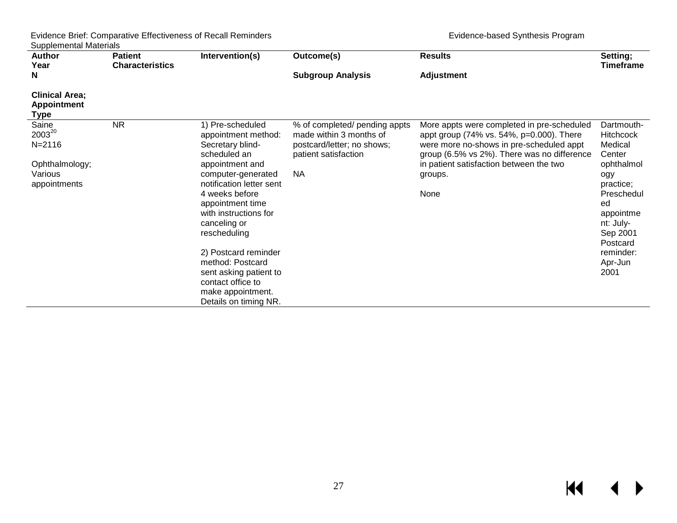| <b>Author</b>                                                              | <b>Patient</b>         | Intervention(s)                                                                                                                                                                                                                                                                                                                                                                          | Outcome(s)                                                                                                                  | <b>Results</b>                                                                                                                                                                                                                                  | Setting;                                                                                                                                                                                    |  |
|----------------------------------------------------------------------------|------------------------|------------------------------------------------------------------------------------------------------------------------------------------------------------------------------------------------------------------------------------------------------------------------------------------------------------------------------------------------------------------------------------------|-----------------------------------------------------------------------------------------------------------------------------|-------------------------------------------------------------------------------------------------------------------------------------------------------------------------------------------------------------------------------------------------|---------------------------------------------------------------------------------------------------------------------------------------------------------------------------------------------|--|
| Year<br>N                                                                  | <b>Characteristics</b> |                                                                                                                                                                                                                                                                                                                                                                                          | <b>Subgroup Analysis</b>                                                                                                    | <b>Adjustment</b>                                                                                                                                                                                                                               | <b>Timeframe</b>                                                                                                                                                                            |  |
| <b>Clinical Area;</b><br><b>Appointment</b><br><b>Type</b>                 |                        |                                                                                                                                                                                                                                                                                                                                                                                          |                                                                                                                             |                                                                                                                                                                                                                                                 |                                                                                                                                                                                             |  |
| Saine<br>200320<br>$N = 2116$<br>Ophthalmology;<br>Various<br>appointments | <b>NR</b>              | 1) Pre-scheduled<br>appointment method:<br>Secretary blind-<br>scheduled an<br>appointment and<br>computer-generated<br>notification letter sent<br>4 weeks before<br>appointment time<br>with instructions for<br>canceling or<br>rescheduling<br>2) Postcard reminder<br>method: Postcard<br>sent asking patient to<br>contact office to<br>make appointment.<br>Details on timing NR. | % of completed/ pending appts<br>made within 3 months of<br>postcard/letter; no shows;<br>patient satisfaction<br><b>NA</b> | More appts were completed in pre-scheduled<br>appt group (74% vs. 54%, p=0.000). There<br>were more no-shows in pre-scheduled appt<br>group (6.5% vs 2%). There was no difference<br>in patient satisfaction between the two<br>groups.<br>None | Dartmouth-<br><b>Hitchcock</b><br>Medical<br>Center<br>ophthalmol<br>ogy<br>practice;<br>Preschedul<br>ed<br>appointme<br>nt: July-<br>Sep 2001<br>Postcard<br>reminder:<br>Apr-Jun<br>2001 |  |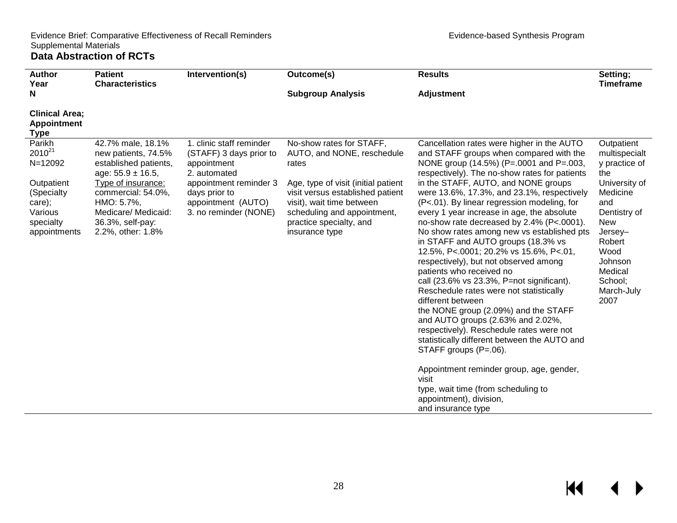type, wait time (from scheduling to

appointment), division, and insurance type

<span id="page-29-0"></span>

| <b>Author</b><br>Year                                                                                          | <b>Patient</b><br><b>Characteristics</b>                                                                                                                                                                              | Intervention(s)                                                                                                                                                              | Outcome(s)                                                                                                                                                                                                                                          | <b>Results</b>                                                                                                                                                                                                                                                                                                                                                                                                                                                                                                                                                                                                                                                                                                                                                                                                                                                                                                                                                                 | Setting;<br><b>Timeframe</b>                                                                                                                                                                              |
|----------------------------------------------------------------------------------------------------------------|-----------------------------------------------------------------------------------------------------------------------------------------------------------------------------------------------------------------------|------------------------------------------------------------------------------------------------------------------------------------------------------------------------------|-----------------------------------------------------------------------------------------------------------------------------------------------------------------------------------------------------------------------------------------------------|--------------------------------------------------------------------------------------------------------------------------------------------------------------------------------------------------------------------------------------------------------------------------------------------------------------------------------------------------------------------------------------------------------------------------------------------------------------------------------------------------------------------------------------------------------------------------------------------------------------------------------------------------------------------------------------------------------------------------------------------------------------------------------------------------------------------------------------------------------------------------------------------------------------------------------------------------------------------------------|-----------------------------------------------------------------------------------------------------------------------------------------------------------------------------------------------------------|
| N                                                                                                              |                                                                                                                                                                                                                       |                                                                                                                                                                              | <b>Subgroup Analysis</b>                                                                                                                                                                                                                            | <b>Adjustment</b>                                                                                                                                                                                                                                                                                                                                                                                                                                                                                                                                                                                                                                                                                                                                                                                                                                                                                                                                                              |                                                                                                                                                                                                           |
| <b>Clinical Area:</b><br>Appointment<br><b>Type</b>                                                            |                                                                                                                                                                                                                       |                                                                                                                                                                              |                                                                                                                                                                                                                                                     |                                                                                                                                                                                                                                                                                                                                                                                                                                                                                                                                                                                                                                                                                                                                                                                                                                                                                                                                                                                |                                                                                                                                                                                                           |
| Parikh<br>$2010^{21}$<br>N=12092<br>Outpatient<br>(Specialty<br>care);<br>Various<br>specialty<br>appointments | 42.7% male, 18.1%<br>new patients, 74.5%<br>established patients,<br>age: $55.9 \pm 16.5$ ,<br>Type of insurance:<br>commercial: 54.0%,<br>HMO: 5.7%,<br>Medicare/ Medicaid:<br>36.3%, self-pay:<br>2.2%, other: 1.8% | 1. clinic staff reminder<br>(STAFF) 3 days prior to<br>appointment<br>2. automated<br>appointment reminder 3<br>days prior to<br>appointment (AUTO)<br>3. no reminder (NONE) | No-show rates for STAFF,<br>AUTO, and NONE, reschedule<br>rates<br>Age, type of visit (initial patient<br>visit versus established patient<br>visit), wait time between<br>scheduling and appointment,<br>practice specialty, and<br>insurance type | Cancellation rates were higher in the AUTO<br>and STAFF groups when compared with the<br>NONE group (14.5%) (P=.0001 and P=.003,<br>respectively). The no-show rates for patients<br>in the STAFF, AUTO, and NONE groups<br>were 13.6%, 17.3%, and 23.1%, respectively<br>(P<.01). By linear regression modeling, for<br>every 1 year increase in age, the absolute<br>no-show rate decreased by 2.4% (P<.0001).<br>No show rates among new vs established pts<br>in STAFF and AUTO groups (18.3% vs<br>12.5%, P<.0001; 20.2% vs 15.6%, P<.01,<br>respectively), but not observed among<br>patients who received no<br>call (23.6% vs 23.3%, P=not significant).<br>Reschedule rates were not statistically<br>different between<br>the NONE group (2.09%) and the STAFF<br>and AUTO groups (2.63% and 2.02%,<br>respectively). Reschedule rates were not<br>statistically different between the AUTO and<br>STAFF groups (P=.06).<br>Appointment reminder group, age, gender, | Outpatient<br>multispecialt<br>y practice of<br>the<br>University of<br>Medicine<br>and<br>Dentistry of<br><b>New</b><br>Jersey-<br>Robert<br>Wood<br>Johnson<br>Medical<br>School;<br>March-July<br>2007 |
|                                                                                                                |                                                                                                                                                                                                                       |                                                                                                                                                                              |                                                                                                                                                                                                                                                     | visit                                                                                                                                                                                                                                                                                                                                                                                                                                                                                                                                                                                                                                                                                                                                                                                                                                                                                                                                                                          |                                                                                                                                                                                                           |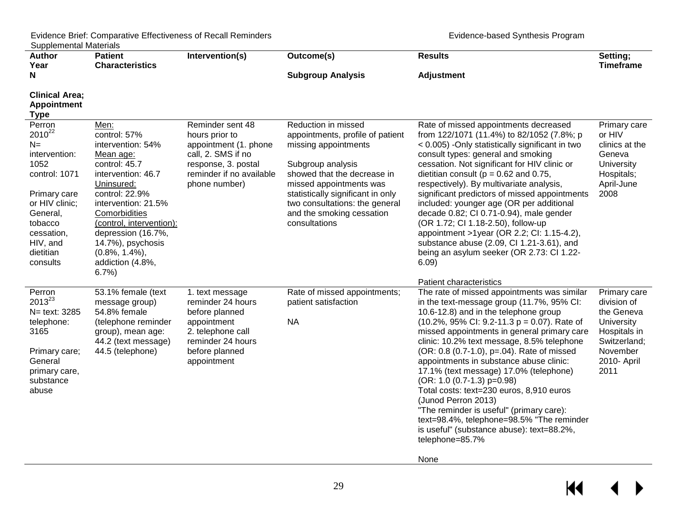| <b>Author</b><br>Year                                                                                                                                                               | <b>Patient</b><br><b>Characteristics</b>                                                                                                                                                                                                                                                      | Intervention(s)                                                                                                                                       | Outcome(s)                                                                                                                                                                                                                                                                          | <b>Results</b>                                                                                                                                                                                                                                                                                                                                                                                                                                                                                                                                                                                                                                                                                                   | Setting;<br><b>Timeframe</b>                                                                                               |
|-------------------------------------------------------------------------------------------------------------------------------------------------------------------------------------|-----------------------------------------------------------------------------------------------------------------------------------------------------------------------------------------------------------------------------------------------------------------------------------------------|-------------------------------------------------------------------------------------------------------------------------------------------------------|-------------------------------------------------------------------------------------------------------------------------------------------------------------------------------------------------------------------------------------------------------------------------------------|------------------------------------------------------------------------------------------------------------------------------------------------------------------------------------------------------------------------------------------------------------------------------------------------------------------------------------------------------------------------------------------------------------------------------------------------------------------------------------------------------------------------------------------------------------------------------------------------------------------------------------------------------------------------------------------------------------------|----------------------------------------------------------------------------------------------------------------------------|
| N                                                                                                                                                                                   |                                                                                                                                                                                                                                                                                               |                                                                                                                                                       | <b>Subgroup Analysis</b>                                                                                                                                                                                                                                                            | <b>Adjustment</b>                                                                                                                                                                                                                                                                                                                                                                                                                                                                                                                                                                                                                                                                                                |                                                                                                                            |
| <b>Clinical Area;</b><br><b>Appointment</b><br><b>Type</b>                                                                                                                          |                                                                                                                                                                                                                                                                                               |                                                                                                                                                       |                                                                                                                                                                                                                                                                                     |                                                                                                                                                                                                                                                                                                                                                                                                                                                                                                                                                                                                                                                                                                                  |                                                                                                                            |
| Perron<br>$2010^{22}$<br>$N=$<br>intervention:<br>1052<br>control: 1071<br>Primary care<br>or HIV clinic;<br>General,<br>tobacco<br>cessation,<br>HIV, and<br>dietitian<br>consults | Men:<br>control: 57%<br>intervention: 54%<br>Mean age:<br>control: 45.7<br>intervention: 46.7<br>Uninsured:<br>control: 22.9%<br>intervention: 21.5%<br>Comorbidities<br>(control, intervention):<br>depression (16.7%,<br>14.7%), psychosis<br>$(0.8\%, 1.4\%),$<br>addiction (4.8%,<br>6.7% | Reminder sent 48<br>hours prior to<br>appointment (1. phone<br>call, 2. SMS if no<br>response, 3. postal<br>reminder if no available<br>phone number) | Reduction in missed<br>appointments, profile of patient<br>missing appointments<br>Subgroup analysis<br>showed that the decrease in<br>missed appointments was<br>statistically significant in only<br>two consultations: the general<br>and the smoking cessation<br>consultations | Rate of missed appointments decreased<br>from 122/1071 (11.4%) to 82/1052 (7.8%; p<br>< 0.005) -Only statistically significant in two<br>consult types: general and smoking<br>cessation. Not significant for HIV clinic or<br>dietitian consult ( $p = 0.62$ and 0.75,<br>respectively). By multivariate analysis,<br>significant predictors of missed appointments<br>included: younger age (OR per additional<br>decade 0.82; CI 0.71-0.94), male gender<br>(OR 1.72; CI 1.18-2.50), follow-up<br>appointment >1year (OR 2.2; CI: 1.15-4.2),<br>substance abuse (2.09, CI 1.21-3.61), and<br>being an asylum seeker (OR 2.73: CI 1.22-<br>6.09)                                                               | Primary care<br>or HIV<br>clinics at the<br>Geneva<br>University<br>Hospitals;<br>April-June<br>2008                       |
| Perron<br>$2013^{23}$<br>N= text: 3285<br>telephone:<br>3165<br>Primary care;<br>General<br>primary care,<br>substance<br>abuse                                                     | 53.1% female (text<br>message group)<br>54.8% female<br>(telephone reminder<br>group), mean age:<br>44.2 (text message)<br>44.5 (telephone)                                                                                                                                                   | 1. text message<br>reminder 24 hours<br>before planned<br>appointment<br>2. telephone call<br>reminder 24 hours<br>before planned<br>appointment      | Rate of missed appointments;<br>patient satisfaction<br><b>NA</b>                                                                                                                                                                                                                   | <b>Patient characteristics</b><br>The rate of missed appointments was similar<br>in the text-message group (11.7%, 95% CI:<br>10.6-12.8) and in the telephone group<br>$(10.2\%$ , 95% CI: 9.2-11.3 p = 0.07). Rate of<br>missed appointments in general primary care<br>clinic: 10.2% text message, 8.5% telephone<br>(OR: 0.8 (0.7-1.0), p=.04). Rate of missed<br>appointments in substance abuse clinic:<br>17.1% (text message) 17.0% (telephone)<br>(OR: 1.0 (0.7-1.3) p=0.98)<br>Total costs: text=230 euros, 8,910 euros<br>(Junod Perron 2013)<br>"The reminder is useful" (primary care):<br>text=98.4%, telephone=98.5% "The reminder<br>is useful" (substance abuse): text=88.2%,<br>telephone=85.7% | Primary care<br>division of<br>the Geneva<br>University<br>Hospitals in<br>Switzerland;<br>November<br>2010- April<br>2011 |

None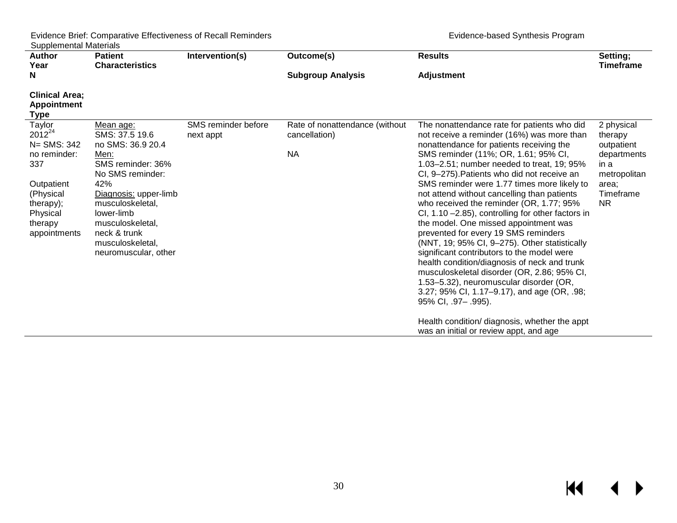$M \leftarrow \leftarrow$ 

| <b>Author</b>                                                                                                                              | <b>Patient</b>                                                                                                                                                                                                                                      | Intervention(s)                  | Outcome(s)                                                   | <b>Results</b>                                                                                                                                                                                                                                                                                                                                                                                                                                                                                                                                                                                                                                                                                                                                                                                                                                                                                                                  | Setting;                                                                                                |
|--------------------------------------------------------------------------------------------------------------------------------------------|-----------------------------------------------------------------------------------------------------------------------------------------------------------------------------------------------------------------------------------------------------|----------------------------------|--------------------------------------------------------------|---------------------------------------------------------------------------------------------------------------------------------------------------------------------------------------------------------------------------------------------------------------------------------------------------------------------------------------------------------------------------------------------------------------------------------------------------------------------------------------------------------------------------------------------------------------------------------------------------------------------------------------------------------------------------------------------------------------------------------------------------------------------------------------------------------------------------------------------------------------------------------------------------------------------------------|---------------------------------------------------------------------------------------------------------|
| Year                                                                                                                                       | <b>Characteristics</b>                                                                                                                                                                                                                              |                                  |                                                              |                                                                                                                                                                                                                                                                                                                                                                                                                                                                                                                                                                                                                                                                                                                                                                                                                                                                                                                                 | <b>Timeframe</b>                                                                                        |
| N                                                                                                                                          |                                                                                                                                                                                                                                                     |                                  | <b>Subgroup Analysis</b>                                     | <b>Adjustment</b>                                                                                                                                                                                                                                                                                                                                                                                                                                                                                                                                                                                                                                                                                                                                                                                                                                                                                                               |                                                                                                         |
| <b>Clinical Area:</b><br><b>Appointment</b><br>Type                                                                                        |                                                                                                                                                                                                                                                     |                                  |                                                              |                                                                                                                                                                                                                                                                                                                                                                                                                                                                                                                                                                                                                                                                                                                                                                                                                                                                                                                                 |                                                                                                         |
| Taylor<br>$2012^{24}$<br>N= SMS: 342<br>no reminder:<br>337<br>Outpatient<br>(Physical<br>therapy);<br>Physical<br>therapy<br>appointments | Mean age:<br>SMS: 37.5 19.6<br>no SMS: 36.9 20.4<br>Men:<br>SMS reminder: 36%<br>No SMS reminder:<br>42%<br>Diagnosis: upper-limb<br>musculoskeletal,<br>lower-limb<br>musculoskeletal,<br>neck & trunk<br>musculoskeletal,<br>neuromuscular, other | SMS reminder before<br>next appt | Rate of nonattendance (without<br>cancellation)<br><b>NA</b> | The nonattendance rate for patients who did<br>not receive a reminder (16%) was more than<br>nonattendance for patients receiving the<br>SMS reminder (11%; OR, 1.61; 95% CI,<br>1.03-2.51; number needed to treat, 19; 95%<br>CI, 9-275). Patients who did not receive an<br>SMS reminder were 1.77 times more likely to<br>not attend without cancelling than patients<br>who received the reminder (OR, 1.77; 95%<br>CI, $1.10 - 2.85$ ), controlling for other factors in<br>the model. One missed appointment was<br>prevented for every 19 SMS reminders<br>(NNT, 19; 95% CI, 9-275). Other statistically<br>significant contributors to the model were<br>health condition/diagnosis of neck and trunk<br>musculoskeletal disorder (OR, 2.86; 95% CI,<br>1.53-5.32), neuromuscular disorder (OR,<br>3.27; 95% CI, 1.17–9.17), and age (OR, .98;<br>95% CI, .97 - .995).<br>Health condition/ diagnosis, whether the appt | 2 physical<br>therapy<br>outpatient<br>departments<br>in a<br>metropolitan<br>area:<br>Timeframe<br>NR. |
|                                                                                                                                            |                                                                                                                                                                                                                                                     |                                  |                                                              | was an initial or review appt, and age                                                                                                                                                                                                                                                                                                                                                                                                                                                                                                                                                                                                                                                                                                                                                                                                                                                                                          |                                                                                                         |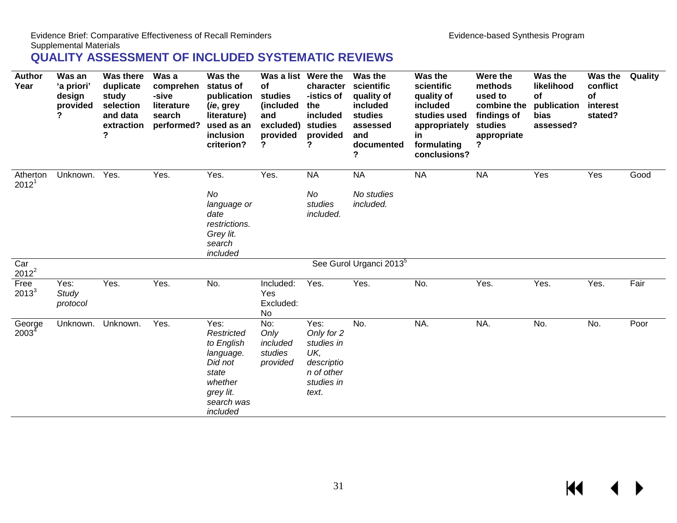#### Supplemental Materials

## **QUALITY ASSESSMENT OF INCLUDED SYSTEMATIC REVIEWS**

<span id="page-32-0"></span>

| <b>Author</b><br>Year         | Was an<br>'a priori'<br>design<br>provided | <b>Was there</b><br>duplicate<br>study<br>selection<br>and data<br>extraction<br>? | Was a<br>comprehen<br>-sive<br>literature<br>search<br>performed? | Was the<br>status of<br>publication<br>(ie, grey<br>literature)<br>used as an<br>inclusion<br>criterion?                   | Was a list Were the<br>of<br>studies<br>(included<br>and<br>excluded)<br>provided<br>? | character<br>-istics of<br>the<br>included<br>studies<br>provided<br>?                     | Was the<br>scientific<br>quality of<br>included<br>studies<br>assessed<br>and<br>documented<br>? | Was the<br>scientific<br>quality of<br>included<br>studies used<br>appropriately<br>in<br>formulating<br>conclusions? | Were the<br>methods<br>used to<br>combine the<br>findings of<br>studies<br>appropriate<br>? | Was the<br>likelihood<br>of<br>publication<br>bias<br>assessed? | Was the<br>conflict<br>of<br>interest<br>stated? | Quality |
|-------------------------------|--------------------------------------------|------------------------------------------------------------------------------------|-------------------------------------------------------------------|----------------------------------------------------------------------------------------------------------------------------|----------------------------------------------------------------------------------------|--------------------------------------------------------------------------------------------|--------------------------------------------------------------------------------------------------|-----------------------------------------------------------------------------------------------------------------------|---------------------------------------------------------------------------------------------|-----------------------------------------------------------------|--------------------------------------------------|---------|
| Atherton<br>2012 <sup>1</sup> | Unknown.                                   | Yes.                                                                               | Yes.                                                              | Yes.                                                                                                                       | Yes.                                                                                   | <b>NA</b>                                                                                  | <b>NA</b>                                                                                        | <b>NA</b>                                                                                                             | <b>NA</b>                                                                                   | Yes                                                             | Yes                                              | Good    |
|                               |                                            |                                                                                    |                                                                   | No<br>language or<br>date<br>restrictions.<br>Grey lit.<br>search<br>included                                              |                                                                                        | No<br>studies<br>included.                                                                 | No studies<br>included.                                                                          |                                                                                                                       |                                                                                             |                                                                 |                                                  |         |
| Car<br>$2012^2$               |                                            |                                                                                    |                                                                   |                                                                                                                            |                                                                                        |                                                                                            | See Gurol Urganci 2013 <sup>5</sup>                                                              |                                                                                                                       |                                                                                             |                                                                 |                                                  |         |
| Free<br>$2013^3$              | Yes:<br>Study<br>protocol                  | Yes.                                                                               | Yes.                                                              | No.                                                                                                                        | Included:<br>Yes<br>Excluded:<br>No                                                    | Yes.                                                                                       | Yes.                                                                                             | No.                                                                                                                   | Yes.                                                                                        | Yes.                                                            | Yes.                                             | Fair    |
| George<br>2003 <sup>4</sup>   |                                            | Unknown. Unknown.                                                                  | Yes.                                                              | Yes:<br><b>Restricted</b><br>to English<br>language.<br>Did not<br>state<br>whether<br>grey lit.<br>search was<br>included | No:<br>Only<br>included<br>studies<br>provided                                         | Yes:<br>Only for 2<br>studies in<br>UK,<br>descriptio<br>n of other<br>studies in<br>text. | No.                                                                                              | NA.                                                                                                                   | NA.                                                                                         | No.                                                             | No.                                              | Poor    |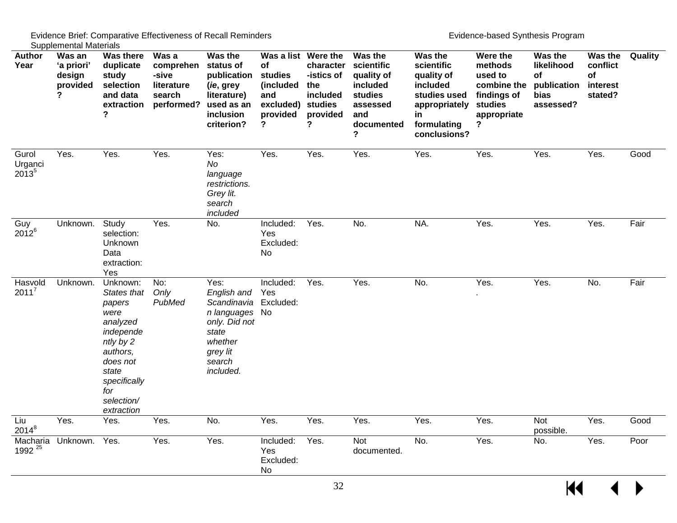| <b>Author</b><br>Year                 | <b>Oupplottional materials</b><br>Was an<br>'a priori'<br>design<br>provided<br>? | <b>Was there</b><br>duplicate<br>study<br>selection<br>and data<br>extraction<br>?                                                                                  | Was a<br>comprehen<br>-sive<br>literature<br>search<br>performed? | Was the<br>status of<br>publication<br>(ie, grey<br>literature)<br>used as an<br>inclusion<br>criterion?                     | Was a list Were the<br>of<br>studies<br>(included<br>and<br>excluded)<br>provided<br>? | character<br>-istics of<br>the<br>included<br>studies<br>provided<br>? | Was the<br>scientific<br>quality of<br>included<br>studies<br>assessed<br>and<br>documented<br>? | Was the<br>scientific<br>quality of<br>included<br>studies used<br>appropriately<br>in<br>formulating<br>conclusions? | Were the<br>methods<br>used to<br>combine the<br>findings of<br>studies<br>appropriate<br>? | Was the<br>likelihood<br>of<br>publication<br>bias<br>assessed? | Was the<br>conflict<br>of<br>interest<br>stated? | Quality |
|---------------------------------------|-----------------------------------------------------------------------------------|---------------------------------------------------------------------------------------------------------------------------------------------------------------------|-------------------------------------------------------------------|------------------------------------------------------------------------------------------------------------------------------|----------------------------------------------------------------------------------------|------------------------------------------------------------------------|--------------------------------------------------------------------------------------------------|-----------------------------------------------------------------------------------------------------------------------|---------------------------------------------------------------------------------------------|-----------------------------------------------------------------|--------------------------------------------------|---------|
| Gurol<br>Urganci<br>2013 <sup>5</sup> | Yes.                                                                              | Yes.                                                                                                                                                                | Yes.                                                              | Yes:<br>No<br>language<br>restrictions.<br>Grey lit.<br>search<br>included                                                   | Yes.                                                                                   | Yes.                                                                   | Yes.                                                                                             | Yes.                                                                                                                  | Yes.                                                                                        | Yes.                                                            | Yes.                                             | Good    |
| Guy<br>$2012^{6}$                     | Unknown.                                                                          | Study<br>selection:<br><b>Unknown</b><br>Data<br>extraction:<br>Yes                                                                                                 | Yes.                                                              | No.                                                                                                                          | Included:<br>Yes<br>Excluded:<br>No                                                    | Yes.                                                                   | No.                                                                                              | NA.                                                                                                                   | Yes.                                                                                        | Yes.                                                            | Yes.                                             | Fair    |
| Hasvold<br>$2011^7$                   | Unknown.                                                                          | Unknown:<br>States that<br>papers<br>were<br>analyzed<br>independe<br>ntly by 2<br>authors,<br>does not<br>state<br>specifically<br>for<br>selection/<br>extraction | No:<br>Only<br>PubMed                                             | Yes:<br>English and<br>Scandinavia<br>n languages No<br>only. Did not<br>state<br>whether<br>grey lit<br>search<br>included. | Included:<br>Yes<br>Excluded:                                                          | Yes.                                                                   | Yes.                                                                                             | No.                                                                                                                   | Yes.                                                                                        | Yes.                                                            | No.                                              | Fair    |
| Liu<br>$2014^8$                       | Yes.                                                                              | Yes.                                                                                                                                                                | Yes.                                                              | No.                                                                                                                          | Yes.                                                                                   | Yes.                                                                   | Yes.                                                                                             | Yes.                                                                                                                  | Yes.                                                                                        | Not<br>possible.                                                | Yes.                                             | Good    |
| Macharia<br>1992 <sup>25</sup>        | Unknown.                                                                          | Yes.                                                                                                                                                                | Yes.                                                              | Yes.                                                                                                                         | Included:<br>Yes<br>Excluded:<br>No                                                    | Yes.                                                                   | Not<br>documented.                                                                               | No.                                                                                                                   | Yes.                                                                                        | No.                                                             | Yes.                                             | Poor    |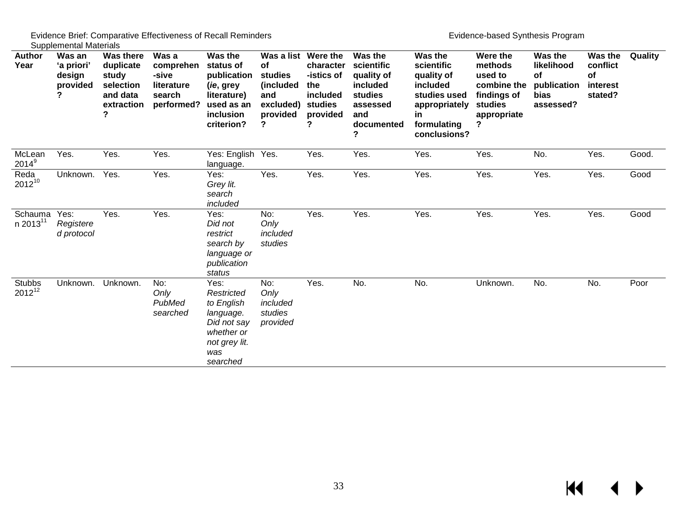| Author<br>Year                       | <b>Ouppionionial materials</b><br>Was an<br>'a priori'<br>design<br>provided | <b>Was there</b><br>duplicate<br>study<br>selection<br>and data<br>extraction | Was a<br>comprehen<br>-sive<br>literature<br>search<br>performed? | Was the<br>status of<br>publication<br>( <i>ie</i> , grey<br>literature)<br>used as an<br>inclusion<br>criterion? | Was a list<br>of<br>studies<br>(included)<br>and<br>excluded)<br>provided<br>? | Were the<br>character<br>-istics of<br>the<br>included<br>studies<br>provided<br>? | Was the<br>scientific<br>quality of<br>included<br>studies<br>assessed<br>and<br>documented<br>7 | Was the<br>scientific<br>quality of<br>included<br>studies used<br>appropriately<br>in<br>formulating<br>conclusions? | Were the<br>methods<br>used to<br>combine the<br>findings of<br>studies<br>appropriate<br>? | Was the<br>likelihood<br>of<br>publication<br>bias<br>assessed? | Was the<br>conflict<br>of<br>interest<br>stated? | Quality |
|--------------------------------------|------------------------------------------------------------------------------|-------------------------------------------------------------------------------|-------------------------------------------------------------------|-------------------------------------------------------------------------------------------------------------------|--------------------------------------------------------------------------------|------------------------------------------------------------------------------------|--------------------------------------------------------------------------------------------------|-----------------------------------------------------------------------------------------------------------------------|---------------------------------------------------------------------------------------------|-----------------------------------------------------------------|--------------------------------------------------|---------|
| McLean<br>$2014^9$                   | Yes.                                                                         | Yes.                                                                          | Yes.                                                              | Yes: English Yes.<br>language.                                                                                    |                                                                                | Yes.                                                                               | Yes.                                                                                             | Yes.                                                                                                                  | Yes.                                                                                        | No.                                                             | Yes.                                             | Good.   |
| Reda<br>$2012^{10}$                  | Unknown.                                                                     | Yes.                                                                          | Yes.                                                              | Yes:<br>Grey lit.<br>search<br>included                                                                           | Yes.                                                                           | Yes.                                                                               | Yes.                                                                                             | Yes.                                                                                                                  | Yes.                                                                                        | Yes.                                                            | Yes.                                             | Good    |
| Schauma Yes:<br>n 2013 <sup>11</sup> | Registere<br>d protocol                                                      | Yes.                                                                          | Yes.                                                              | Yes:<br>Did not<br>restrict<br>search by<br>language or<br>publication<br>status                                  | No:<br>Only<br>included<br>studies                                             | Yes.                                                                               | Yes.                                                                                             | Yes.                                                                                                                  | Yes.                                                                                        | Yes.                                                            | Yes.                                             | Good    |
| <b>Stubbs</b><br>$2012^{12}$         |                                                                              | Unknown. Unknown.                                                             | No:<br>Only<br>PubMed<br>searched                                 | Yes:<br>Restricted<br>to English<br>language.<br>Did not say<br>whether or<br>not grey lit.<br>was<br>searched    | No:<br>Only<br>included<br>studies<br>provided                                 | Yes.                                                                               | No.                                                                                              | No.                                                                                                                   | Unknown.                                                                                    | No.                                                             | No.                                              | Poor    |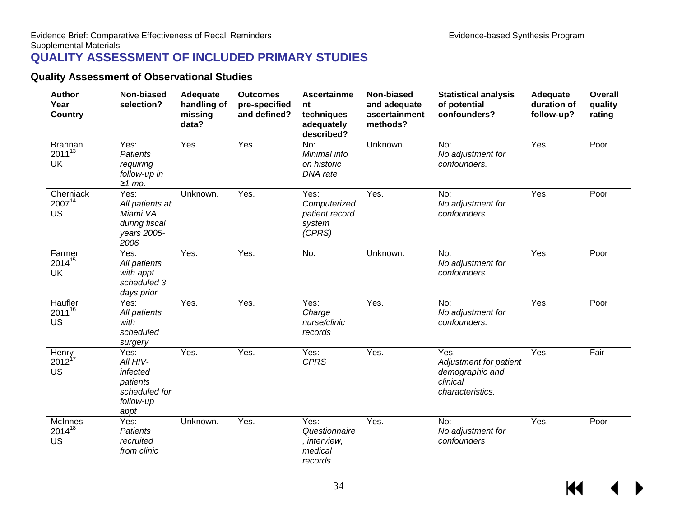## **QUALITY ASSESSMENT OF INCLUDED PRIMARY STUDIES**

#### **Quality Assessment of Observational Studies**

<span id="page-35-1"></span><span id="page-35-0"></span>

| <b>Author</b><br>Year<br><b>Country</b>    | Non-biased<br>selection?                                                       | Adequate<br>handling of<br>missing<br>data? | <b>Outcomes</b><br>pre-specified<br>and defined? | <b>Ascertainme</b><br>nt<br>techniques<br>adequately<br>described? | Non-biased<br>and adequate<br>ascertainment<br>methods? | <b>Statistical analysis</b><br>of potential<br>confounders?                       | Adequate<br>duration of<br>follow-up? | <b>Overall</b><br>quality<br>rating |
|--------------------------------------------|--------------------------------------------------------------------------------|---------------------------------------------|--------------------------------------------------|--------------------------------------------------------------------|---------------------------------------------------------|-----------------------------------------------------------------------------------|---------------------------------------|-------------------------------------|
| <b>Brannan</b><br>$2011^{13}$<br><b>UK</b> | Yes:<br><b>Patients</b><br>requiring<br>follow-up in<br>$≥1$ mo.               | Yes.                                        | Yes.                                             | $\overline{No:}$<br>Minimal info<br>on historic<br>DNA rate        | Unknown.                                                | No:<br>No adjustment for<br>confounders.                                          | Yes.                                  | Poor                                |
| Cherniack<br>$2007^{14}$<br><b>US</b>      | Yes:<br>All patients at<br>Miami VA<br>during fiscal<br>years 2005-<br>2006    | Unknown.                                    | Yes.                                             | Yes:<br>Computerized<br>patient record<br>system<br>(CPRS)         | Yes.                                                    | $\overline{No:}$<br>No adjustment for<br>confounders.                             | Yes.                                  | Poor                                |
| Farmer<br>201415<br>UK                     | Yes:<br>All patients<br>with appt<br>scheduled 3<br>days prior                 | Yes.                                        | Yes.                                             | No.                                                                | Unknown.                                                | No:<br>No adjustment for<br>confounders.                                          | Yes.                                  | Poor                                |
| Haufler<br>$2011^{16}$<br>US               | Yes:<br>All patients<br>with<br>scheduled<br>surgery                           | Yes.                                        | Yes.                                             | Yes:<br>Charge<br>nurse/clinic<br>records                          | Yes.                                                    | No:<br>No adjustment for<br>confounders.                                          | Yes.                                  | Poor                                |
| Henry<br>$2012^{17}$<br><b>US</b>          | Yes:<br>All HIV-<br>infected<br>patients<br>scheduled for<br>follow-up<br>appt | Yes.                                        | Yes.                                             | Yes:<br><b>CPRS</b>                                                | Yes.                                                    | Yes:<br>Adjustment for patient<br>demographic and<br>clinical<br>characteristics. | Yes.                                  | Fair                                |
| <b>McInnes</b><br>201418<br><b>US</b>      | Yes:<br><b>Patients</b><br>recruited<br>from clinic                            | Unknown.                                    | Yes.                                             | Yes:<br>Questionnaire<br>, interview,<br>medical<br>records        | Yes.                                                    | No:<br>No adjustment for<br>confounders                                           | Yes.                                  | Poor                                |

 $\overline{\mathbf{M}}$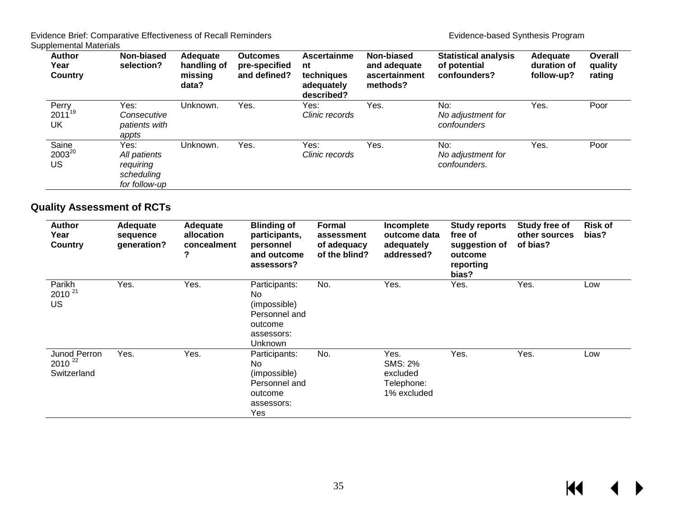| <b>Author</b><br>Year<br>Country | Non-biased<br>selection?                                         | Adequate<br>handling of<br>missing<br>data? | <b>Outcomes</b><br>pre-specified<br>and defined? | Ascertainme<br>nt<br>techniques<br>adequately<br>described? | Non-biased<br>and adequate<br>ascertainment<br>methods? | <b>Statistical analysis</b><br>of potential<br>confounders? | Adequate<br>duration of<br>follow-up? | Overall<br>quality<br>rating |
|----------------------------------|------------------------------------------------------------------|---------------------------------------------|--------------------------------------------------|-------------------------------------------------------------|---------------------------------------------------------|-------------------------------------------------------------|---------------------------------------|------------------------------|
| Perry<br>$2011^{19}$<br>UK       | Yes:<br>Consecutive<br>patients with<br>appts                    | Unknown.                                    | Yes.                                             | Yes:<br>Clinic records                                      | Yes.                                                    | No:<br>No adjustment for<br>confounders                     | Yes.                                  | Poor                         |
| Saine<br>$2003^{20}$<br>US       | Yes:<br>All patients<br>requiring<br>scheduling<br>for follow-up | Unknown.                                    | Yes.                                             | Yes:<br>Clinic records                                      | Yes.                                                    | No:<br>No adjustment for<br>confounders.                    | Yes.                                  | Poor                         |

#### **Quality Assessment of RCTs**

<span id="page-36-0"></span>

| <b>Author</b><br>Year<br>Country           | Adequate<br>sequence<br>generation? | Adequate<br>allocation<br>concealment<br>? | <b>Blinding of</b><br>participants,<br>personnel<br>and outcome<br>assessors?             | Formal<br>assessment<br>of adequacy<br>of the blind? | Incomplete<br>outcome data<br>adequately<br>addressed?          | <b>Study reports</b><br>free of<br>suggestion of<br>outcome<br>reporting<br>bias? | Study free of<br>other sources<br>of bias? | <b>Risk of</b><br>bias? |
|--------------------------------------------|-------------------------------------|--------------------------------------------|-------------------------------------------------------------------------------------------|------------------------------------------------------|-----------------------------------------------------------------|-----------------------------------------------------------------------------------|--------------------------------------------|-------------------------|
| Parikh<br>$2010^{21}$<br><b>US</b>         | Yes.                                | Yes.                                       | Participants:<br>No.<br>(impossible)<br>Personnel and<br>outcome<br>assessors:<br>Unknown | No.                                                  | Yes.                                                            | Yes.                                                                              | Yes.                                       | Low                     |
| Junod Perron<br>$2010^{22}$<br>Switzerland | Yes.                                | Yes.                                       | Participants:<br>No.<br>(impossible)<br>Personnel and<br>outcome<br>assessors:<br>Yes     | No.                                                  | Yes.<br><b>SMS: 2%</b><br>excluded<br>Telephone:<br>1% excluded | Yes.                                                                              | Yes.                                       | Low                     |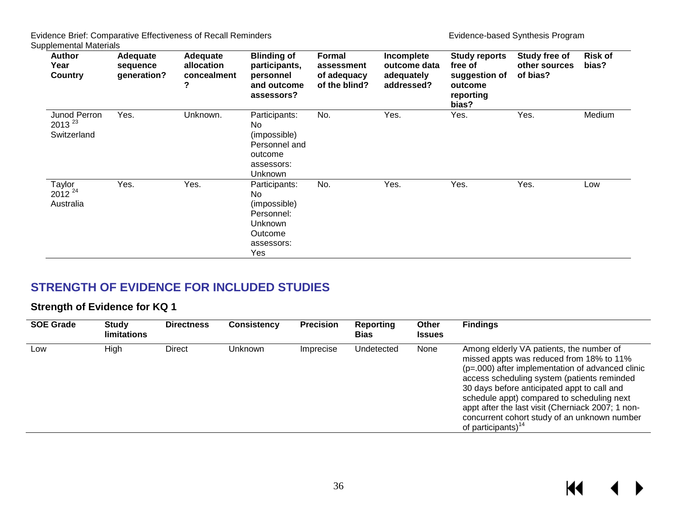| <b>Author</b><br>Year<br>Country           | Adequate<br>sequence<br>generation? | Adequate<br>allocation<br>concealment<br>? | <b>Blinding of</b><br>participants,<br>personnel<br>and outcome<br>assessors?                 | <b>Formal</b><br>assessment<br>of adequacy<br>of the blind? | Incomplete<br>outcome data<br>adequately<br>addressed? | <b>Study reports</b><br>free of<br>suggestion of<br>outcome<br>reporting<br>bias? | Study free of<br>other sources<br>of bias? | <b>Risk of</b><br>bias? |
|--------------------------------------------|-------------------------------------|--------------------------------------------|-----------------------------------------------------------------------------------------------|-------------------------------------------------------------|--------------------------------------------------------|-----------------------------------------------------------------------------------|--------------------------------------------|-------------------------|
| Junod Perron<br>$2013^{23}$<br>Switzerland | Yes.                                | Unknown.                                   | Participants:<br>No.<br>(impossible)<br>Personnel and<br>outcome<br>assessors:<br>Unknown     | No.                                                         | Yes.                                                   | Yes.                                                                              | Yes.                                       | Medium                  |
| Taylor<br>$2012^{24}$<br>Australia         | Yes.                                | Yes.                                       | Participants:<br>No.<br>(impossible)<br>Personnel:<br>Unknown<br>Outcome<br>assessors:<br>Yes | No.                                                         | Yes.                                                   | Yes.                                                                              | Yes.                                       | Low                     |

## **STRENGTH OF EVIDENCE FOR INCLUDED STUDIES**

#### **Strength of Evidence for KQ 1**

<span id="page-37-1"></span><span id="page-37-0"></span>

| <b>SOE Grade</b> | <b>Study</b><br><b>limitations</b> | <b>Directness</b> | <b>Consistency</b> | <b>Precision</b> | Reporting<br><b>Bias</b> | Other<br><b>Issues</b> | <b>Findings</b>                                                                                                                                                                                                                                                                                                                                                                                                               |
|------------------|------------------------------------|-------------------|--------------------|------------------|--------------------------|------------------------|-------------------------------------------------------------------------------------------------------------------------------------------------------------------------------------------------------------------------------------------------------------------------------------------------------------------------------------------------------------------------------------------------------------------------------|
| Low              | High                               | Direct            | <b>Unknown</b>     | Imprecise        | Undetected               | None                   | Among elderly VA patients, the number of<br>missed appts was reduced from 18% to 11%<br>$(p=.000)$ after implementation of advanced clinic<br>access scheduling system (patients reminded<br>30 days before anticipated appt to call and<br>schedule appt) compared to scheduling next<br>appt after the last visit (Cherniack 2007; 1 non-<br>concurrent cohort study of an unknown number<br>of participants) <sup>14</sup> |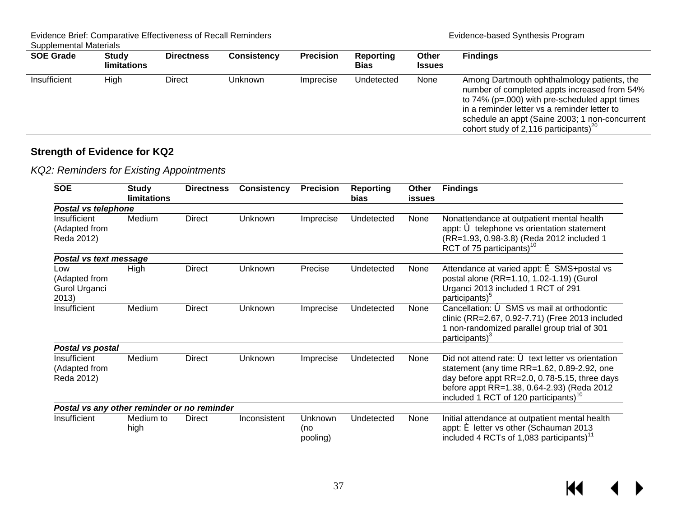Evidence Brief: Comparative Effectiveness of Recall Reminders **Evidence-based Synthesis Program** 

Supplemental Materials

| <b>SOE Grade</b> | <b>Study</b><br><b>limitations</b> | <b>Directness</b> | <b>Consistency</b> | <b>Precision</b> | Reporting<br><b>Bias</b> | Other<br><b>Issues</b> | <b>Findings</b>                                                                                                                                                                                                                                                                                            |
|------------------|------------------------------------|-------------------|--------------------|------------------|--------------------------|------------------------|------------------------------------------------------------------------------------------------------------------------------------------------------------------------------------------------------------------------------------------------------------------------------------------------------------|
| Insufficient     | High                               | Direct            | Unknown            | Imprecise        | Undetected               | None                   | Among Dartmouth ophthalmology patients, the<br>number of completed appts increased from 54%<br>to $74\%$ ( $p=.000$ ) with pre-scheduled appt times<br>in a reminder letter vs a reminder letter to<br>schedule an appt (Saine 2003; 1 non-concurrent<br>cohort study of 2,116 participants) <sup>20</sup> |

#### **Strength of Evidence for KQ2**

*KQ2: Reminders for Existing Appointments*

<span id="page-38-0"></span>

| <b>SOE</b>                                     | <b>Study</b><br><b>limitations</b> | <b>Directness</b> | <b>Consistency</b> | <b>Precision</b>           | <b>Reporting</b><br>bias | Other<br>issues | <b>Findings</b>                                                                                                                                                                                                                                                     |
|------------------------------------------------|------------------------------------|-------------------|--------------------|----------------------------|--------------------------|-----------------|---------------------------------------------------------------------------------------------------------------------------------------------------------------------------------------------------------------------------------------------------------------------|
| Postal vs telephone                            |                                    |                   |                    |                            |                          |                 |                                                                                                                                                                                                                                                                     |
| Insufficient<br>(Adapted from<br>Reda 2012)    | Medium                             | <b>Direct</b>     | Unknown            | Imprecise                  | Undetected               | None            | Nonattendance at outpatient mental health<br>appt: 6 telephone vs orientation statement<br>(RR=1.93, 0.98-3.8) (Reda 2012 included 1<br>RCT of 75 participants) <sup>10</sup>                                                                                       |
| Postal vs text message                         |                                    |                   |                    |                            |                          |                 |                                                                                                                                                                                                                                                                     |
| Low<br>(Adapted from<br>Gurol Urganci<br>2013) | High                               | <b>Direct</b>     | Unknown            | Precise                    | Undetected               | None            | Attendance at varied appt: $\epsilon$ SMS+postal vs<br>postal alone (RR=1.10, 1.02-1.19) (Gurol<br>Urganci 2013 included 1 RCT of 291<br>participants) <sup>5</sup>                                                                                                 |
| Insufficient                                   | Medium                             | <b>Direct</b>     | Unknown            | Imprecise                  | Undetected               | None            | Cancellation: 6 SMS vs mail at orthodontic<br>clinic (RR=2.67, 0.92-7.71) (Free 2013 included<br>1 non-randomized parallel group trial of 301<br>participants) <sup>3</sup>                                                                                         |
| Postal vs postal                               |                                    |                   |                    |                            |                          |                 |                                                                                                                                                                                                                                                                     |
| Insufficient<br>(Adapted from<br>Reda 2012)    | Medium                             | <b>Direct</b>     | Unknown            | Imprecise                  | Undetected               | None            | Did not attend rate: $\ddot{\bullet}$ text letter vs orientation<br>statement (any time RR=1.62, 0.89-2.92, one<br>day before appt RR=2.0, 0.78-5.15, three days<br>before appt RR=1.38, 0.64-2.93) (Reda 2012<br>included 1 RCT of 120 participants) <sup>10</sup> |
| Postal vs any other reminder or no reminder    |                                    |                   |                    |                            |                          |                 |                                                                                                                                                                                                                                                                     |
| Insufficient                                   | Medium to<br>high                  | <b>Direct</b>     | Inconsistent       | Unknown<br>(no<br>pooling) | Undetected               | None            | Initial attendance at outpatient mental health<br>appt: é letter vs other (Schauman 2013<br>included 4 RCTs of 1,083 participants) <sup>11</sup>                                                                                                                    |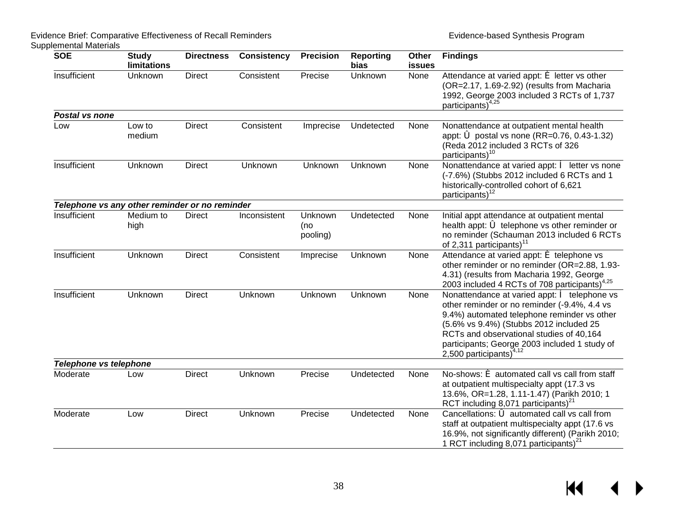| <b>SOE</b>                                     | <b>Study</b><br><b>limitations</b> | <b>Directness</b> | <b>Consistency</b> | <b>Precision</b>           | <b>Reporting</b><br>bias | Other<br><b>issues</b> | <b>Findings</b>                                                                                                                                                                                                                                                                                                           |
|------------------------------------------------|------------------------------------|-------------------|--------------------|----------------------------|--------------------------|------------------------|---------------------------------------------------------------------------------------------------------------------------------------------------------------------------------------------------------------------------------------------------------------------------------------------------------------------------|
| Insufficient                                   | Unknown                            | <b>Direct</b>     | Consistent         | Precise                    | Unknown                  | None                   | Attendance at varied appt: € letter vs other<br>(OR=2.17, 1.69-2.92) (results from Macharia<br>1992, George 2003 included 3 RCTs of 1,737<br>participants) <sup>4,25</sup>                                                                                                                                                |
| Postal vs none                                 |                                    |                   |                    |                            |                          |                        |                                                                                                                                                                                                                                                                                                                           |
| Low                                            | Low to<br>medium                   | <b>Direct</b>     | Consistent         | Imprecise                  | Undetected               | None                   | Nonattendance at outpatient mental health<br>appt: 6 postal vs none (RR=0.76, 0.43-1.32)<br>(Reda 2012 included 3 RCTs of 326<br>participants) <sup>10</sup>                                                                                                                                                              |
| Insufficient                                   | Unknown                            | <b>Direct</b>     | Unknown            | Unknown                    | Unknown                  | None                   | Nonattendance at varied appt: $\hat{e}$ letter vs none<br>(-7.6%) (Stubbs 2012 included 6 RCTs and 1<br>historically-controlled cohort of 6,621<br>participants) <sup>12</sup>                                                                                                                                            |
| Telephone vs any other reminder or no reminder |                                    |                   |                    |                            |                          |                        |                                                                                                                                                                                                                                                                                                                           |
| Insufficient                                   | Medium to<br>high                  | <b>Direct</b>     | Inconsistent       | Unknown<br>(no<br>pooling) | Undetected               | None                   | Initial appt attendance at outpatient mental<br>health appt: 6 telephone vs other reminder or<br>no reminder (Schauman 2013 included 6 RCTs<br>of 2,311 participants) <sup>11</sup>                                                                                                                                       |
| Insufficient                                   | Unknown                            | <b>Direct</b>     | Consistent         | Imprecise                  | Unknown                  | None                   | Attendance at varied appt: $\acute{\text{e}}$ telephone vs<br>other reminder or no reminder (OR=2.88, 1.93-<br>4.31) (results from Macharia 1992, George<br>2003 included 4 RCTs of 708 participants) <sup>4,25</sup>                                                                                                     |
| Insufficient                                   | Unknown                            | <b>Direct</b>     | Unknown            | Unknown                    | Unknown                  | None                   | Nonattendance at varied appt: $\hat{e}$ telephone vs<br>other reminder or no reminder (-9.4%, 4.4 vs<br>9.4%) automated telephone reminder vs other<br>(5.6% vs 9.4%) (Stubbs 2012 included 25<br>RCTs and observational studies of 40,164<br>participants; George 2003 included 1 study of<br>2,500 participants) $4,12$ |
| Telephone vs telephone                         |                                    |                   |                    |                            |                          |                        |                                                                                                                                                                                                                                                                                                                           |
| Moderate                                       | Low                                | <b>Direct</b>     | Unknown            | Precise                    | Undetected               | None                   | No-shows: $\acute{\mathbf{e}}$ automated call vs call from staff<br>at outpatient multispecialty appt (17.3 vs<br>13.6%, OR=1.28, 1.11-1.47) (Parikh 2010; 1<br>RCT including 8,071 participants) <sup>21</sup>                                                                                                           |
| Moderate                                       | Low                                | <b>Direct</b>     | Unknown            | Precise                    | Undetected               | None                   | Cancellations: $\acute{\mathbf{\circ}}$ automated call vs call from<br>staff at outpatient multispecialty appt (17.6 vs<br>16.9%, not significantly different) (Parikh 2010;<br>1 RCT including 8,071 participants) <sup>2</sup>                                                                                          |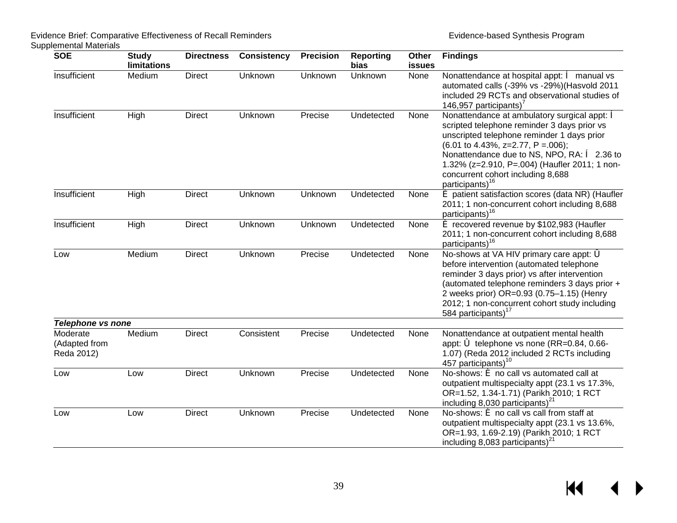| <b>SOE</b>                              | <b>Study</b><br>limitations | <b>Directness</b> | <b>Consistency</b> | <b>Precision</b> | <b>Reporting</b><br>bias | Other<br>issues | <b>Findings</b>                                                                                                                                                                                                                                                                                                                                                               |
|-----------------------------------------|-----------------------------|-------------------|--------------------|------------------|--------------------------|-----------------|-------------------------------------------------------------------------------------------------------------------------------------------------------------------------------------------------------------------------------------------------------------------------------------------------------------------------------------------------------------------------------|
| Insufficient                            | Medium                      | <b>Direct</b>     | Unknown            | Unknown          | Unknown                  | None            | Nonattendance at hospital appt: $\hat{e}$ manual vs<br>automated calls (-39% vs -29%)(Hasvold 2011<br>included 29 RCTs and observational studies of<br>146,957 participants)'                                                                                                                                                                                                 |
| Insufficient                            | High                        | <b>Direct</b>     | Unknown            | Precise          | Undetected               | None            | Nonattendance at ambulatory surgical appt: $\hat{e}$<br>scripted telephone reminder 3 days prior vs<br>unscripted telephone reminder 1 days prior<br>$(6.01 \text{ to } 4.43\%, z=2.77, P=.006);$<br>Nonattendance due to NS, NPO, RA: $\hat{e}$ 2.36 to<br>1.32% (z=2.910, P=.004) (Haufler 2011; 1 non-<br>concurrent cohort including 8,688<br>participants) <sup>16</sup> |
| Insufficient                            | High                        | <b>Direct</b>     | Unknown            | Unknown          | Undetected               | None            | é patient satisfaction scores (data NR) (Haufler<br>2011; 1 non-concurrent cohort including 8,688<br>participants) <sup>16</sup>                                                                                                                                                                                                                                              |
| Insufficient                            | High                        | <b>Direct</b>     | Unknown            | Unknown          | Undetected               | None            | é recovered revenue by \$102,983 (Haufler<br>2011; 1 non-concurrent cohort including 8,688<br>participants) <sup>16</sup>                                                                                                                                                                                                                                                     |
| Low                                     | Medium                      | <b>Direct</b>     | Unknown            | Precise          | Undetected               | None            | No-shows at VA HIV primary care appt: 6<br>before intervention (automated telephone<br>reminder 3 days prior) vs after intervention<br>(automated telephone reminders 3 days prior +<br>2 weeks prior) OR=0.93 (0.75-1.15) (Henry<br>2012; 1 non-concurrent cohort study including<br>584 participants) <sup>17</sup>                                                         |
| <b>Telephone vs none</b>                |                             |                   |                    |                  |                          |                 |                                                                                                                                                                                                                                                                                                                                                                               |
| Moderate<br>(Adapted from<br>Reda 2012) | Medium                      | <b>Direct</b>     | Consistent         | Precise          | Undetected               | None            | Nonattendance at outpatient mental health<br>appt: 6 telephone vs none (RR=0.84, 0.66-<br>1.07) (Reda 2012 included 2 RCTs including<br>457 participants) <sup>10</sup>                                                                                                                                                                                                       |
| Low                                     | Low                         | <b>Direct</b>     | Unknown            | Precise          | Undetected               | None            | No-shows: $\triangleq$ no call vs automated call at<br>outpatient multispecialty appt (23.1 vs 17.3%,<br>OR=1.52, 1.34-1.71) (Parikh 2010; 1 RCT<br>including 8,030 participants) <sup>21</sup>                                                                                                                                                                               |
| Low                                     | Low                         | <b>Direct</b>     | Unknown            | Precise          | Undetected               | None            | No-shows: $\acute{\mathbf{e}}$ no call vs call from staff at<br>outpatient multispecialty appt (23.1 vs 13.6%,<br>OR=1.93, 1.69-2.19) (Parikh 2010; 1 RCT<br>including 8,083 participants) <sup>27</sup>                                                                                                                                                                      |

 $M \leftarrow \leftarrow$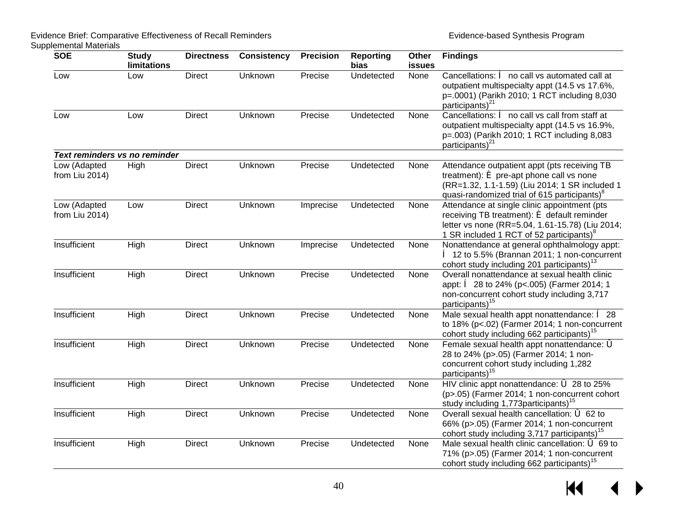| <b>SOE</b>                     | <b>Study</b><br>limitations | <b>Directness</b> | <b>Consistency</b> | <b>Precision</b> | <b>Reporting</b><br>bias | Other<br>issues | <b>Findings</b>                                                                                                                                                                                                              |
|--------------------------------|-----------------------------|-------------------|--------------------|------------------|--------------------------|-----------------|------------------------------------------------------------------------------------------------------------------------------------------------------------------------------------------------------------------------------|
| Low                            | Low                         | <b>Direct</b>     | Unknown            | Precise          | Undetected               | None            | Cancellations: $\hat{e}$ no call vs automated call at<br>outpatient multispecialty appt (14.5 vs 17.6%,<br>p=.0001) (Parikh 2010; 1 RCT including 8,030<br>participants) <sup>21</sup>                                       |
| Low                            | Low                         | <b>Direct</b>     | Unknown            | Precise          | Undetected               | None            | Cancellations: $\hat{e}$ no call vs call from staff at<br>outpatient multispecialty appt (14.5 vs 16.9%,<br>p=.003) (Parikh 2010; 1 RCT including 8,083<br>participants) <sup>21</sup>                                       |
| Text reminders vs no reminder  |                             |                   |                    |                  |                          |                 |                                                                                                                                                                                                                              |
| Low (Adapted<br>from Liu 2014) | High                        | <b>Direct</b>     | Unknown            | Precise          | Undetected               | None            | Attendance outpatient appt (pts receiving TB<br>treatment): $\boldsymbol{\epsilon}$ pre-apt phone call vs none<br>(RR=1.32, 1.1-1.59) (Liu 2014; 1 SR included 1<br>quasi-randomized trial of 615 participants) <sup>8</sup> |
| Low (Adapted<br>from Liu 2014) | Low                         | <b>Direct</b>     | Unknown            | Imprecise        | Undetected               | None            | Attendance at single clinic appointment (pts<br>receiving TB treatment): $\acute{\bullet}$ default reminder<br>letter vs none (RR=5.04, 1.61-15.78) (Liu 2014;<br>1 SR included 1 RCT of 52 participants) <sup>8</sup>       |
| Insufficient                   | High                        | <b>Direct</b>     | Unknown            | Imprecise        | Undetected               | None            | Nonattendance at general ophthalmology appt:<br>● 12 to 5.5% (Brannan 2011; 1 non-concurrent<br>cohort study including 201 participants) <sup>13</sup>                                                                       |
| Insufficient                   | High                        | <b>Direct</b>     | Unknown            | Precise          | Undetected               | None            | Overall nonattendance at sexual health clinic<br>appt: $\hat{e}$ 28 to 24% (p<.005) (Farmer 2014; 1<br>non-concurrent cohort study including 3,717<br>participants) <sup>15</sup>                                            |
| Insufficient                   | High                        | <b>Direct</b>     | Unknown            | Precise          | Undetected               | None            | Male sexual health appt nonattendance: $\hat{e}$ 28<br>to 18% (p<.02) (Farmer 2014; 1 non-concurrent<br>cohort study including 662 participants) <sup>15</sup>                                                               |
| Insufficient                   | High                        | <b>Direct</b>     | Unknown            | Precise          | Undetected               | None            | Female sexual health appt nonattendance: 6<br>28 to 24% (p>.05) (Farmer 2014; 1 non-<br>concurrent cohort study including 1,282<br>participants) <sup>15</sup>                                                               |
| Insufficient                   | High                        | <b>Direct</b>     | Unknown            | Precise          | Undetected               | None            | HIV clinic appt nonattendance: 6 28 to 25%<br>(p>.05) (Farmer 2014; 1 non-concurrent cohort<br>study including 1,773 participants) <sup>15</sup>                                                                             |
| Insufficient                   | High                        | <b>Direct</b>     | Unknown            | Precise          | Undetected               | None            | Overall sexual health cancellation: 6 62 to<br>66% (p>.05) (Farmer 2014; 1 non-concurrent<br>cohort study including 3,717 participants) <sup>15</sup>                                                                        |
| Insufficient                   | High                        | <b>Direct</b>     | Unknown            | Precise          | Undetected               | None            | Male sexual health clinic cancellation: 6 69 to<br>71% (p>.05) (Farmer 2014; 1 non-concurrent<br>cohort study including 662 participants) <sup>15</sup>                                                                      |

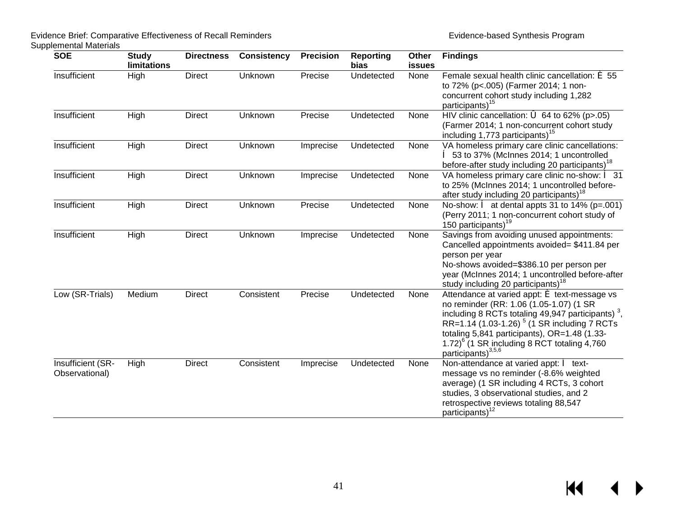| <b>SOE</b>                          | <b>Study</b><br>limitations | <b>Directness</b> | <b>Consistency</b> | <b>Precision</b> | <b>Reporting</b><br>bias | Other<br><b>issues</b> | <b>Findings</b>                                                                                                                                                                                                                                                                                                                                                              |
|-------------------------------------|-----------------------------|-------------------|--------------------|------------------|--------------------------|------------------------|------------------------------------------------------------------------------------------------------------------------------------------------------------------------------------------------------------------------------------------------------------------------------------------------------------------------------------------------------------------------------|
| Insufficient                        | High                        | <b>Direct</b>     | Unknown            | Precise          | Undetected               | None                   | Female sexual health clinic cancellation: $\acute{\mathbf{e}}$ 55<br>to 72% (p<.005) (Farmer 2014; 1 non-<br>concurrent cohort study including 1,282<br>participants) <sup>15</sup>                                                                                                                                                                                          |
| Insufficient                        | High                        | <b>Direct</b>     | Unknown            | Precise          | Undetected               | None                   | HIV clinic cancellation: $\vec{\bullet}$ 64 to 62% (p>.05)<br>(Farmer 2014; 1 non-concurrent cohort study<br>including 1,773 participants) <sup>15</sup>                                                                                                                                                                                                                     |
| Insufficient                        | High                        | <b>Direct</b>     | Unknown            | Imprecise        | Undetected               | None                   | VA homeless primary care clinic cancellations:<br><b>● 53 to 37% (McInnes 2014; 1 uncontrolled</b><br>before-after study including 20 participants) <sup>18</sup>                                                                                                                                                                                                            |
| Insufficient                        | High                        | <b>Direct</b>     | Unknown            | Imprecise        | Undetected               | None                   | VA homeless primary care clinic no-show: $\hat{e}$ 31<br>to 25% (McInnes 2014; 1 uncontrolled before-<br>after study including 20 participants) <sup>18</sup>                                                                                                                                                                                                                |
| Insufficient                        | High                        | <b>Direct</b>     | Unknown            | Precise          | Undetected               | None                   | No-show: $\hat{e}$ at dental appts 31 to 14% (p=.001)<br>(Perry 2011; 1 non-concurrent cohort study of<br>150 participants) <sup>19</sup>                                                                                                                                                                                                                                    |
| Insufficient                        | High                        | <b>Direct</b>     | Unknown            | Imprecise        | Undetected               | None                   | Savings from avoiding unused appointments:<br>Cancelled appointments avoided= \$411.84 per<br>person per year<br>No-shows avoided=\$386.10 per person per<br>year (McInnes 2014; 1 uncontrolled before-after<br>study including 20 participants) <sup>18</sup>                                                                                                               |
| Low (SR-Trials)                     | Medium                      | Direct            | Consistent         | Precise          | Undetected               | None                   | Attendance at varied appt: $\acute{\text{e}}$ text-message vs<br>no reminder (RR: 1.06 (1.05-1.07) (1 SR<br>including 8 RCTs totaling 49,947 participants) <sup>3</sup> ,<br>RR=1.14 (1.03-1.26) <sup>5</sup> (1 SR including 7 RCTs<br>totaling 5,841 participants), OR=1.48 (1.33-<br>1.72 ${^{6}}$ (1 SR including 8 RCT totaling 4,760<br>participants) <sup>3,5,6</sup> |
| Insufficient (SR-<br>Observational) | High                        | <b>Direct</b>     | Consistent         | Imprecise        | Undetected               | None                   | Non-attendance at varied appt: ê text-<br>message vs no reminder (-8.6% weighted<br>average) (1 SR including 4 RCTs, 3 cohort<br>studies, 3 observational studies, and 2<br>retrospective reviews totaling 88,547<br>participants) <sup>12</sup>                                                                                                                             |

 $M \leftarrow \leftarrow$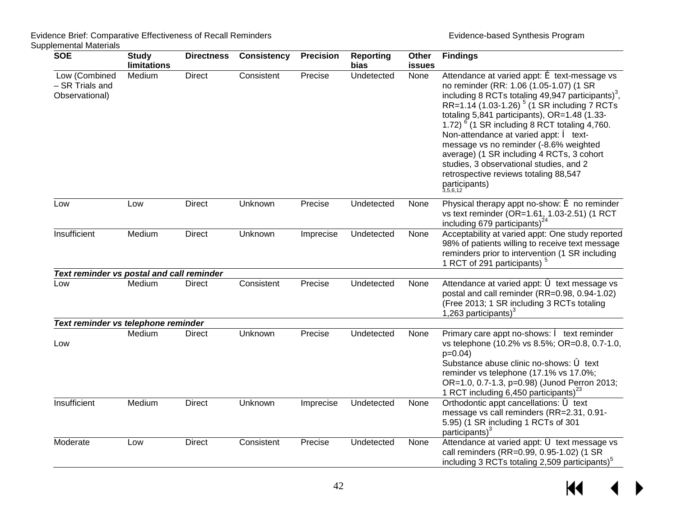| <b>SOE</b>                                         | <b>Study</b><br><b>limitations</b> | <b>Directness</b> | <b>Consistency</b> | <b>Precision</b> | <b>Reporting</b><br>bias | Other<br>issues | <b>Findings</b>                                                                                                                                                                                                                                                                                                                                                                                                                                                                                                                                                                                            |
|----------------------------------------------------|------------------------------------|-------------------|--------------------|------------------|--------------------------|-----------------|------------------------------------------------------------------------------------------------------------------------------------------------------------------------------------------------------------------------------------------------------------------------------------------------------------------------------------------------------------------------------------------------------------------------------------------------------------------------------------------------------------------------------------------------------------------------------------------------------------|
| Low (Combined<br>- SR Trials and<br>Observational) | Medium                             | <b>Direct</b>     | Consistent         | Precise          | Undetected               | None            | Attendance at varied appt: $\acute{\text{e}}$ text-message vs<br>no reminder (RR: 1.06 (1.05-1.07) (1 SR<br>including 8 RCTs totaling 49,947 participants) <sup>3</sup> ,<br>RR=1.14 (1.03-1.26) <sup>5</sup> (1 SR including 7 RCTs<br>totaling 5,841 participants), OR=1.48 (1.33-<br>1.72) <sup>6</sup> (1 SR including 8 RCT totaling 4,760.<br>Non-attendance at varied appt: $\hat{e}$ text-<br>message vs no reminder (-8.6% weighted<br>average) (1 SR including 4 RCTs, 3 cohort<br>studies, 3 observational studies, and 2<br>retrospective reviews totaling 88,547<br>participants)<br>3,5,6,12 |
| Low                                                | Low                                | <b>Direct</b>     | Unknown            | Precise          | Undetected               | None            | Physical therapy appt no-show: $\acute{\mathbf{e}}$ no reminder<br>vs text reminder (OR=1.61, 1.03-2.51) (1 RCT<br>including 679 participants) $^{24}$                                                                                                                                                                                                                                                                                                                                                                                                                                                     |
| Insufficient                                       | Medium                             | <b>Direct</b>     | Unknown            | Imprecise        | Undetected               | None            | Acceptability at varied appt: One study reported<br>98% of patients willing to receive text message<br>reminders prior to intervention (1 SR including<br>1 RCT of 291 participants) <sup>5</sup>                                                                                                                                                                                                                                                                                                                                                                                                          |
| Text reminder vs postal and call reminder          |                                    |                   |                    |                  |                          |                 |                                                                                                                                                                                                                                                                                                                                                                                                                                                                                                                                                                                                            |
| Low                                                | Medium                             | <b>Direct</b>     | Consistent         | Precise          | Undetected               | None            | Attendance at varied appt: 6 text message vs<br>postal and call reminder (RR=0.98, 0.94-1.02)<br>(Free 2013; 1 SR including 3 RCTs totaling<br>1,263 participants) $3$                                                                                                                                                                                                                                                                                                                                                                                                                                     |
| Text reminder vs telephone reminder                |                                    |                   |                    |                  |                          |                 |                                                                                                                                                                                                                                                                                                                                                                                                                                                                                                                                                                                                            |
| Low                                                | Medium                             | <b>Direct</b>     | Unknown            | Precise          | Undetected               | None            | Primary care appt no-shows: $\hat{e}$ text reminder<br>vs telephone (10.2% vs 8.5%; OR=0.8, 0.7-1.0,<br>$p=0.04$ )<br>Substance abuse clinic no-shows: 6 text<br>reminder vs telephone (17.1% vs 17.0%;<br>OR=1.0, 0.7-1.3, p=0.98) (Junod Perron 2013;<br>1 RCT including 6,450 participants) <sup>23</sup>                                                                                                                                                                                                                                                                                               |
| Insufficient                                       | Medium                             | <b>Direct</b>     | Unknown            | Imprecise        | Undetected               | None            | Orthodontic appt cancellations: 6 text<br>message vs call reminders (RR=2.31, 0.91-<br>5.95) (1 SR including 1 RCTs of 301<br>participants) $3$                                                                                                                                                                                                                                                                                                                                                                                                                                                            |
| Moderate                                           | Low                                | <b>Direct</b>     | Consistent         | Precise          | Undetected               | None            | Attendance at varied appt: 6 text message vs<br>call reminders (RR=0.99, 0.95-1.02) (1 SR<br>including 3 RCTs totaling 2,509 participants) <sup>5</sup>                                                                                                                                                                                                                                                                                                                                                                                                                                                    |

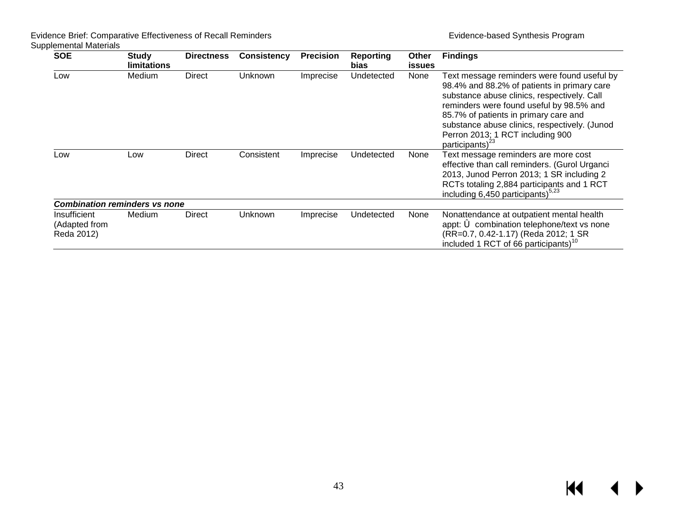| <b>SOE</b>                                  | Study<br><b>limitations</b> | <b>Directness</b> | <b>Consistency</b> | <b>Precision</b> | Reporting<br><b>bias</b> | Other<br><b>issues</b> | <b>Findings</b>                                                                                                                                                                                                                                                                                                                              |
|---------------------------------------------|-----------------------------|-------------------|--------------------|------------------|--------------------------|------------------------|----------------------------------------------------------------------------------------------------------------------------------------------------------------------------------------------------------------------------------------------------------------------------------------------------------------------------------------------|
| Low                                         | Medium                      | Direct            | Unknown            | Imprecise        | Undetected               | None                   | Text message reminders were found useful by<br>98.4% and 88.2% of patients in primary care<br>substance abuse clinics, respectively. Call<br>reminders were found useful by 98.5% and<br>85.7% of patients in primary care and<br>substance abuse clinics, respectively. (Junod<br>Perron 2013; 1 RCT including 900<br>participants) $^{23}$ |
| Low                                         | Low                         | Direct            | Consistent         | Imprecise        | Undetected               | None                   | Text message reminders are more cost<br>effective than call reminders. (Gurol Urganci<br>2013, Junod Perron 2013; 1 SR including 2<br>RCTs totaling 2,884 participants and 1 RCT<br>including 6,450 participants) $5,23$                                                                                                                     |
| <b>Combination reminders vs none</b>        |                             |                   |                    |                  |                          |                        |                                                                                                                                                                                                                                                                                                                                              |
| Insufficient<br>(Adapted from<br>Reda 2012) | Medium                      | Direct            | Unknown            | Imprecise        | Undetected               | None                   | Nonattendance at outpatient mental health<br>appt: 6 combination telephone/text vs none<br>(RR=0.7, 0.42-1.17) (Reda 2012; 1 SR<br>included 1 RCT of 66 participants) <sup>10</sup>                                                                                                                                                          |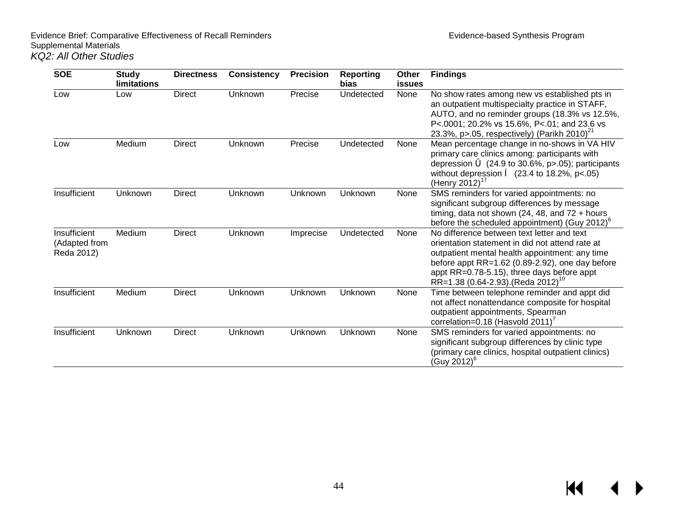| <b>SOE</b>                                  | <b>Study</b><br><b>limitations</b> | <b>Directness</b> | <b>Consistency</b> | <b>Precision</b> | <b>Reporting</b><br>bias | Other<br><b>issues</b> | <b>Findings</b>                                                                                                                                                                                                                                                                                        |
|---------------------------------------------|------------------------------------|-------------------|--------------------|------------------|--------------------------|------------------------|--------------------------------------------------------------------------------------------------------------------------------------------------------------------------------------------------------------------------------------------------------------------------------------------------------|
| Low                                         | Low                                | <b>Direct</b>     | Unknown            | Precise          | Undetected               | None                   | No show rates among new vs established pts in<br>an outpatient multispecialty practice in STAFF,<br>AUTO, and no reminder groups (18.3% vs 12.5%,<br>P<.0001; 20.2% vs 15.6%, P<.01; and 23.6 vs<br>23.3%, p>.05, respectively) (Parikh 2010) <sup>21</sup>                                            |
| Low                                         | Medium                             | <b>Direct</b>     | Unknown            | Precise          | Undetected               | None                   | Mean percentage change in no-shows in VA HIV<br>primary care clinics among: participants with<br>depression $\dot{\bullet}$ (24.9 to 30.6%, p>.05); participants<br>without depression $\hat{e}$ (23.4 to 18.2%, p<.05)<br>(Henry 2012) <sup>17</sup>                                                  |
| Insufficient                                | Unknown                            | <b>Direct</b>     | Unknown            | Unknown          | Unknown                  | None                   | SMS reminders for varied appointments: no<br>significant subgroup differences by message<br>timing, data not shown (24, 48, and $72 + hours$<br>before the scheduled appointment) (Guy 2012) $^6$                                                                                                      |
| Insufficient<br>(Adapted from<br>Reda 2012) | Medium                             | <b>Direct</b>     | Unknown            | Imprecise        | Undetected               | None                   | No difference between text letter and text<br>orientation statement in did not attend rate at<br>outpatient mental health appointment: any time<br>before appt $RR=1.62$ (0.89-2.92), one day before<br>appt RR=0.78-5.15), three days before appt<br>$RR=1.38(0.64-2.93)$ . (Reda 2012) <sup>10</sup> |
| Insufficient                                | Medium                             | <b>Direct</b>     | Unknown            | Unknown          | Unknown                  | None                   | Time between telephone reminder and appt did<br>not affect nonattendance composite for hospital<br>outpatient appointments, Spearman<br>correlation=0.18 (Hasvold 2011)                                                                                                                                |
| Insufficient                                | Unknown                            | <b>Direct</b>     | Unknown            | Unknown          | Unknown                  | None                   | SMS reminders for varied appointments: no<br>significant subgroup differences by clinic type<br>(primary care clinics, hospital outpatient clinics)<br>(Guy 2012) <sup>6</sup>                                                                                                                         |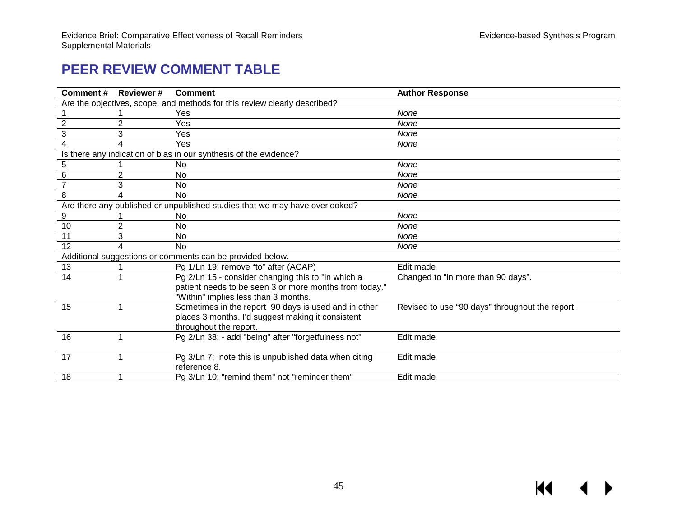# **PEER REVIEW COMMENT TABLE**

<span id="page-46-0"></span>

| Comment#       | <b>Reviewer#</b>                                                          | <b>Comment</b>                                                              | <b>Author Response</b>                          |  |  |  |
|----------------|---------------------------------------------------------------------------|-----------------------------------------------------------------------------|-------------------------------------------------|--|--|--|
|                | Are the objectives, scope, and methods for this review clearly described? |                                                                             |                                                 |  |  |  |
|                |                                                                           | Yes                                                                         | None                                            |  |  |  |
| $\overline{2}$ | 2                                                                         | Yes                                                                         | None                                            |  |  |  |
| 3              | 3                                                                         | Yes                                                                         | None                                            |  |  |  |
| 4              | 4                                                                         | Yes                                                                         | None                                            |  |  |  |
|                |                                                                           | Is there any indication of bias in our synthesis of the evidence?           |                                                 |  |  |  |
| 5              |                                                                           | No                                                                          | None                                            |  |  |  |
| $\,6\,$        | 2                                                                         | <b>No</b>                                                                   | None                                            |  |  |  |
| $\overline{7}$ | 3                                                                         | No                                                                          | None                                            |  |  |  |
| 8              | 4                                                                         | <b>No</b>                                                                   | None                                            |  |  |  |
|                |                                                                           | Are there any published or unpublished studies that we may have overlooked? |                                                 |  |  |  |
| 9              |                                                                           | No                                                                          | None                                            |  |  |  |
| 10             | $\overline{2}$                                                            | No                                                                          | None                                            |  |  |  |
| 11             | 3                                                                         | No                                                                          | None                                            |  |  |  |
| 12             | 4                                                                         | <b>No</b>                                                                   | None                                            |  |  |  |
|                |                                                                           | Additional suggestions or comments can be provided below.                   |                                                 |  |  |  |
| 13             |                                                                           | Pg 1/Ln 19; remove "to" after (ACAP)                                        | Edit made                                       |  |  |  |
| 14             |                                                                           | Pg 2/Ln 15 - consider changing this to "in which a                          | Changed to "in more than 90 days".              |  |  |  |
|                |                                                                           | patient needs to be seen 3 or more months from today."                      |                                                 |  |  |  |
|                |                                                                           | "Within" implies less than 3 months.                                        |                                                 |  |  |  |
| 15             |                                                                           | Sometimes in the report 90 days is used and in other                        | Revised to use "90 days" throughout the report. |  |  |  |
|                |                                                                           | places 3 months. I'd suggest making it consistent                           |                                                 |  |  |  |
|                |                                                                           | throughout the report.                                                      |                                                 |  |  |  |
| 16             |                                                                           | Pg 2/Ln 38; - add "being" after "forgetfulness not"                         | Edit made                                       |  |  |  |
|                |                                                                           |                                                                             |                                                 |  |  |  |
| 17             |                                                                           | Pg 3/Ln 7; note this is unpublished data when citing                        | Edit made                                       |  |  |  |
|                |                                                                           | reference 8.                                                                |                                                 |  |  |  |
| 18             |                                                                           | Pg 3/Ln 10; "remind them" not "reminder them"                               | Edit made                                       |  |  |  |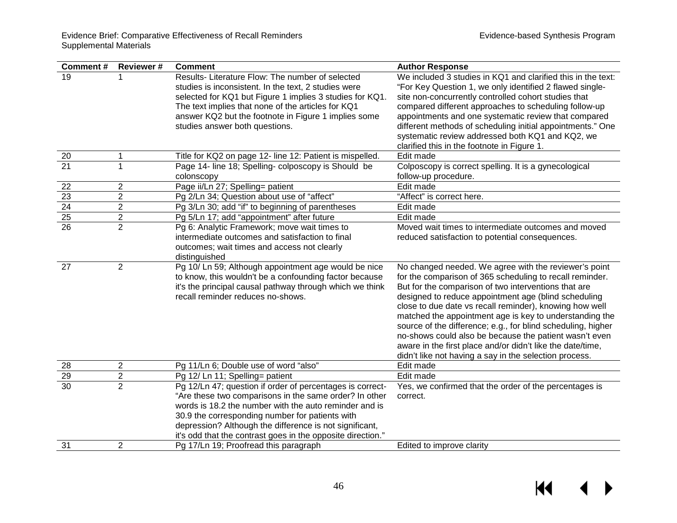| Comment#                           | <b>Reviewer#</b> | <b>Comment</b>                                                                                                                                                                                                                                                                                                                                             | <b>Author Response</b>                                                                                                                                                                                                                                                                                                                                                                                                                                                                                                                                                                                    |
|------------------------------------|------------------|------------------------------------------------------------------------------------------------------------------------------------------------------------------------------------------------------------------------------------------------------------------------------------------------------------------------------------------------------------|-----------------------------------------------------------------------------------------------------------------------------------------------------------------------------------------------------------------------------------------------------------------------------------------------------------------------------------------------------------------------------------------------------------------------------------------------------------------------------------------------------------------------------------------------------------------------------------------------------------|
| 19                                 |                  | Results- Literature Flow: The number of selected<br>studies is inconsistent. In the text, 2 studies were<br>selected for KQ1 but Figure 1 implies 3 studies for KQ1.<br>The text implies that none of the articles for KQ1<br>answer KQ2 but the footnote in Figure 1 implies some<br>studies answer both questions.                                       | We included 3 studies in KQ1 and clarified this in the text:<br>"For Key Question 1, we only identified 2 flawed single-<br>site non-concurrently controlled cohort studies that<br>compared different approaches to scheduling follow-up<br>appointments and one systematic review that compared<br>different methods of scheduling initial appointments." One<br>systematic review addressed both KQ1 and KQ2, we<br>clarified this in the footnote in Figure 1.                                                                                                                                        |
| 20                                 | 1                | Title for KQ2 on page 12- line 12: Patient is mispelled.                                                                                                                                                                                                                                                                                                   | Edit made                                                                                                                                                                                                                                                                                                                                                                                                                                                                                                                                                                                                 |
| $\overline{21}$                    | $\mathbf{1}$     | Page 14- line 18; Spelling- colposcopy is Should be<br>colonscopy                                                                                                                                                                                                                                                                                          | Colposcopy is correct spelling. It is a gynecological<br>follow-up procedure.                                                                                                                                                                                                                                                                                                                                                                                                                                                                                                                             |
| 22                                 | $\overline{2}$   | Page ii/Ln 27; Spelling= patient                                                                                                                                                                                                                                                                                                                           | Edit made                                                                                                                                                                                                                                                                                                                                                                                                                                                                                                                                                                                                 |
| $\frac{23}{24}$<br>$\frac{25}{26}$ | $\overline{2}$   | Pg 2/Ln 34; Question about use of "affect"                                                                                                                                                                                                                                                                                                                 | "Affect" is correct here.                                                                                                                                                                                                                                                                                                                                                                                                                                                                                                                                                                                 |
|                                    | $\overline{2}$   | Pg 3/Ln 30; add "if" to beginning of parentheses                                                                                                                                                                                                                                                                                                           | Edit made                                                                                                                                                                                                                                                                                                                                                                                                                                                                                                                                                                                                 |
|                                    | $\overline{2}$   | Pg 5/Ln 17; add "appointment" after future                                                                                                                                                                                                                                                                                                                 | Edit made                                                                                                                                                                                                                                                                                                                                                                                                                                                                                                                                                                                                 |
|                                    | $\overline{2}$   | Pg 6: Analytic Framework; move wait times to<br>intermediate outcomes and satisfaction to final<br>outcomes; wait times and access not clearly<br>distinguished                                                                                                                                                                                            | Moved wait times to intermediate outcomes and moved<br>reduced satisfaction to potential consequences.                                                                                                                                                                                                                                                                                                                                                                                                                                                                                                    |
| 27                                 | 2                | Pg 10/ Ln 59; Although appointment age would be nice<br>to know, this wouldn't be a confounding factor because<br>it's the principal causal pathway through which we think<br>recall reminder reduces no-shows.                                                                                                                                            | No changed needed. We agree with the reviewer's point<br>for the comparison of 365 scheduling to recall reminder.<br>But for the comparison of two interventions that are<br>designed to reduce appointment age (blind scheduling<br>close to due date vs recall reminder), knowing how well<br>matched the appointment age is key to understanding the<br>source of the difference; e.g., for blind scheduling, higher<br>no-shows could also be because the patient wasn't even<br>aware in the first place and/or didn't like the date/time,<br>didn't like not having a say in the selection process. |
| 28                                 | $\overline{2}$   | Pg 11/Ln 6; Double use of word "also"                                                                                                                                                                                                                                                                                                                      | Edit made                                                                                                                                                                                                                                                                                                                                                                                                                                                                                                                                                                                                 |
| 29                                 | $\sqrt{2}$       | Pg 12/ Ln 11; Spelling= patient                                                                                                                                                                                                                                                                                                                            | Edit made                                                                                                                                                                                                                                                                                                                                                                                                                                                                                                                                                                                                 |
| $\overline{30}$                    | $\overline{2}$   | Pg 12/Ln 47; question if order of percentages is correct-<br>"Are these two comparisons in the same order? In other<br>words is 18.2 the number with the auto reminder and is<br>30.9 the corresponding number for patients with<br>depression? Although the difference is not significant,<br>it's odd that the contrast goes in the opposite direction." | Yes, we confirmed that the order of the percentages is<br>correct.                                                                                                                                                                                                                                                                                                                                                                                                                                                                                                                                        |
| 31                                 | $\overline{2}$   | Pg 17/Ln 19; Proofread this paragraph                                                                                                                                                                                                                                                                                                                      | Edited to improve clarity                                                                                                                                                                                                                                                                                                                                                                                                                                                                                                                                                                                 |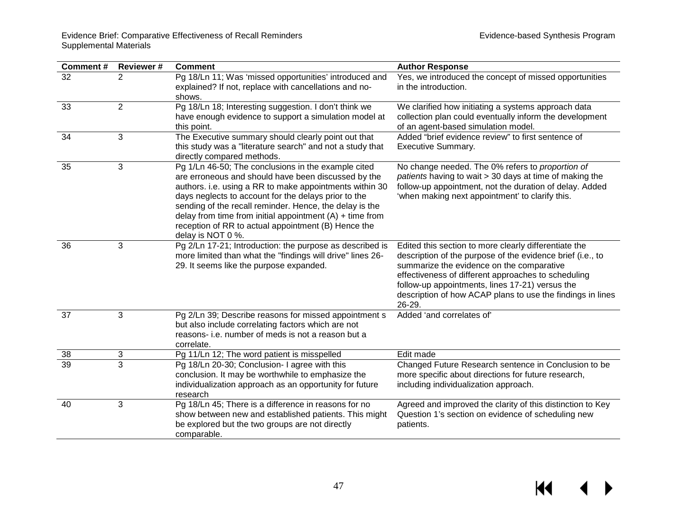| Comment#        | <b>Reviewer#</b> | <b>Comment</b>                                                                                                                                                                                                                                                                                                                                                                                                                     | <b>Author Response</b>                                                                                                                                                                                                                                                                                                                             |
|-----------------|------------------|------------------------------------------------------------------------------------------------------------------------------------------------------------------------------------------------------------------------------------------------------------------------------------------------------------------------------------------------------------------------------------------------------------------------------------|----------------------------------------------------------------------------------------------------------------------------------------------------------------------------------------------------------------------------------------------------------------------------------------------------------------------------------------------------|
| $\overline{32}$ | $\overline{2}$   | Pg 18/Ln 11; Was 'missed opportunities' introduced and<br>explained? If not, replace with cancellations and no-<br>shows.                                                                                                                                                                                                                                                                                                          | Yes, we introduced the concept of missed opportunities<br>in the introduction.                                                                                                                                                                                                                                                                     |
| 33              | $\overline{2}$   | Pg 18/Ln 18; Interesting suggestion. I don't think we<br>have enough evidence to support a simulation model at<br>this point.                                                                                                                                                                                                                                                                                                      | We clarified how initiating a systems approach data<br>collection plan could eventually inform the development<br>of an agent-based simulation model.                                                                                                                                                                                              |
| 34              | 3                | The Executive summary should clearly point out that<br>this study was a "literature search" and not a study that<br>directly compared methods.                                                                                                                                                                                                                                                                                     | Added "brief evidence review" to first sentence of<br><b>Executive Summary.</b>                                                                                                                                                                                                                                                                    |
| 35              | 3                | Pg 1/Ln 46-50; The conclusions in the example cited<br>are erroneous and should have been discussed by the<br>authors. i.e. using a RR to make appointments within 30<br>days neglects to account for the delays prior to the<br>sending of the recall reminder. Hence, the delay is the<br>delay from time from initial appointment $(A) +$ time from<br>reception of RR to actual appointment (B) Hence the<br>delay is NOT 0 %. | No change needed. The 0% refers to proportion of<br>patients having to wait > 30 days at time of making the<br>follow-up appointment, not the duration of delay. Added<br>'when making next appointment' to clarify this.                                                                                                                          |
| 36              | 3                | Pg 2/Ln 17-21; Introduction: the purpose as described is<br>more limited than what the "findings will drive" lines 26-<br>29. It seems like the purpose expanded.                                                                                                                                                                                                                                                                  | Edited this section to more clearly differentiate the<br>description of the purpose of the evidence brief (i.e., to<br>summarize the evidence on the comparative<br>effectiveness of different approaches to scheduling<br>follow-up appointments, lines 17-21) versus the<br>description of how ACAP plans to use the findings in lines<br>26-29. |
| 37              | 3                | Pg 2/Ln 39; Describe reasons for missed appointment s<br>but also include correlating factors which are not<br>reasons- i.e. number of meds is not a reason but a<br>correlate.                                                                                                                                                                                                                                                    | Added 'and correlates of'                                                                                                                                                                                                                                                                                                                          |
| 38              | 3                | Pg 11/Ln 12; The word patient is misspelled                                                                                                                                                                                                                                                                                                                                                                                        | Edit made                                                                                                                                                                                                                                                                                                                                          |
| 39              | $\overline{3}$   | Pg 18/Ln 20-30; Conclusion- I agree with this<br>conclusion. It may be worthwhile to emphasize the<br>individualization approach as an opportunity for future<br>research                                                                                                                                                                                                                                                          | Changed Future Research sentence in Conclusion to be<br>more specific about directions for future research,<br>including individualization approach.                                                                                                                                                                                               |
| 40              | 3                | Pg 18/Ln 45; There is a difference in reasons for no<br>show between new and established patients. This might<br>be explored but the two groups are not directly<br>comparable.                                                                                                                                                                                                                                                    | Agreed and improved the clarity of this distinction to Key<br>Question 1's section on evidence of scheduling new<br>patients.                                                                                                                                                                                                                      |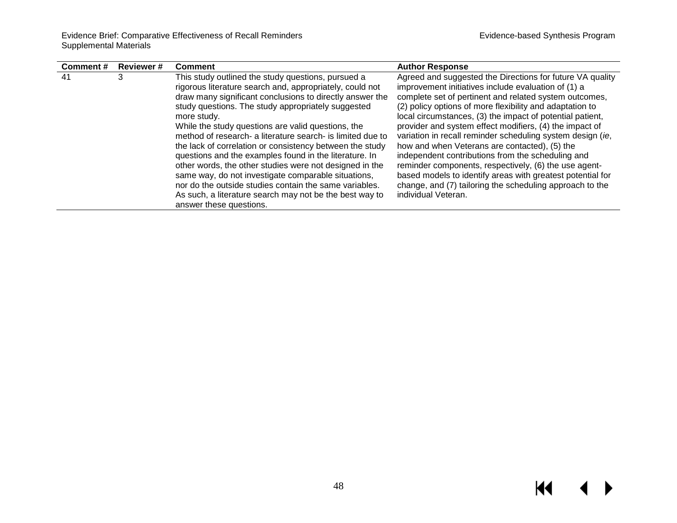| <b>Reviewer#</b><br>Comment# | <b>Comment</b>                                                                                                                                                                                                                                                                                                                                                                                                                                                                                                                                                                                                                                                                                                                                              | <b>Author Response</b>                                                                                                                                                                                                                                                                                                                                                                                                                                                                                                                                                                                                                                                                                                                       |
|------------------------------|-------------------------------------------------------------------------------------------------------------------------------------------------------------------------------------------------------------------------------------------------------------------------------------------------------------------------------------------------------------------------------------------------------------------------------------------------------------------------------------------------------------------------------------------------------------------------------------------------------------------------------------------------------------------------------------------------------------------------------------------------------------|----------------------------------------------------------------------------------------------------------------------------------------------------------------------------------------------------------------------------------------------------------------------------------------------------------------------------------------------------------------------------------------------------------------------------------------------------------------------------------------------------------------------------------------------------------------------------------------------------------------------------------------------------------------------------------------------------------------------------------------------|
| 3<br>-41                     | This study outlined the study questions, pursued a<br>rigorous literature search and, appropriately, could not<br>draw many significant conclusions to directly answer the<br>study questions. The study appropriately suggested<br>more study.<br>While the study questions are valid questions, the<br>method of research- a literature search- is limited due to<br>the lack of correlation or consistency between the study<br>questions and the examples found in the literature. In<br>other words, the other studies were not designed in the<br>same way, do not investigate comparable situations,<br>nor do the outside studies contain the same variables.<br>As such, a literature search may not be the best way to<br>answer these questions. | Agreed and suggested the Directions for future VA quality<br>improvement initiatives include evaluation of (1) a<br>complete set of pertinent and related system outcomes,<br>(2) policy options of more flexibility and adaptation to<br>local circumstances, (3) the impact of potential patient,<br>provider and system effect modifiers, (4) the impact of<br>variation in recall reminder scheduling system design (ie,<br>how and when Veterans are contacted), (5) the<br>independent contributions from the scheduling and<br>reminder components, respectively, (6) the use agent-<br>based models to identify areas with greatest potential for<br>change, and (7) tailoring the scheduling approach to the<br>individual Veteran. |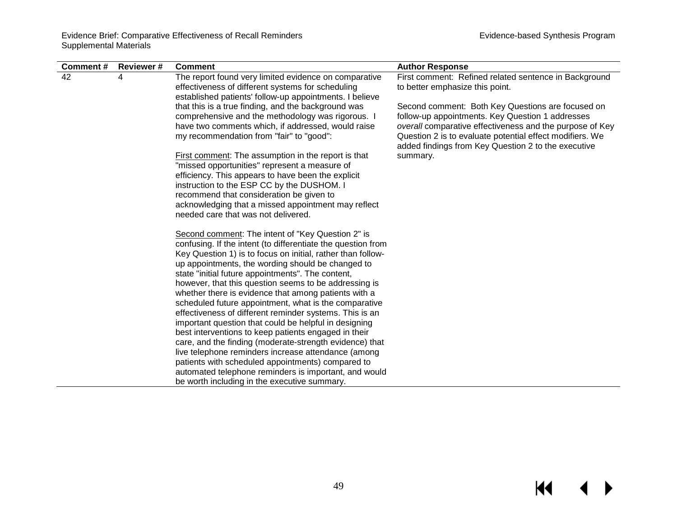| Comment# | <b>Reviewer#</b> | <b>Comment</b>                                                                                                   | <b>Author Response</b>                                                                                               |
|----------|------------------|------------------------------------------------------------------------------------------------------------------|----------------------------------------------------------------------------------------------------------------------|
| 42       | 4                | The report found very limited evidence on comparative                                                            | First comment: Refined related sentence in Background                                                                |
|          |                  | effectiveness of different systems for scheduling                                                                | to better emphasize this point.                                                                                      |
|          |                  | established patients' follow-up appointments. I believe                                                          |                                                                                                                      |
|          |                  | that this is a true finding, and the background was                                                              | Second comment: Both Key Questions are focused on                                                                    |
|          |                  | comprehensive and the methodology was rigorous. I<br>have two comments which, if addressed, would raise          | follow-up appointments. Key Question 1 addresses                                                                     |
|          |                  | my recommendation from "fair" to "good":                                                                         | overall comparative effectiveness and the purpose of Key<br>Question 2 is to evaluate potential effect modifiers. We |
|          |                  |                                                                                                                  | added findings from Key Question 2 to the executive                                                                  |
|          |                  | <b>First comment:</b> The assumption in the report is that                                                       | summary.                                                                                                             |
|          |                  | "missed opportunities" represent a measure of                                                                    |                                                                                                                      |
|          |                  | efficiency. This appears to have been the explicit                                                               |                                                                                                                      |
|          |                  | instruction to the ESP CC by the DUSHOM. I                                                                       |                                                                                                                      |
|          |                  | recommend that consideration be given to                                                                         |                                                                                                                      |
|          |                  | acknowledging that a missed appointment may reflect                                                              |                                                                                                                      |
|          |                  | needed care that was not delivered.                                                                              |                                                                                                                      |
|          |                  | Second comment: The intent of "Key Question 2" is                                                                |                                                                                                                      |
|          |                  | confusing. If the intent (to differentiate the question from                                                     |                                                                                                                      |
|          |                  | Key Question 1) is to focus on initial, rather than follow-                                                      |                                                                                                                      |
|          |                  | up appointments, the wording should be changed to                                                                |                                                                                                                      |
|          |                  | state "initial future appointments". The content,                                                                |                                                                                                                      |
|          |                  | however, that this question seems to be addressing is                                                            |                                                                                                                      |
|          |                  | whether there is evidence that among patients with a                                                             |                                                                                                                      |
|          |                  | scheduled future appointment, what is the comparative<br>effectiveness of different reminder systems. This is an |                                                                                                                      |
|          |                  | important question that could be helpful in designing                                                            |                                                                                                                      |
|          |                  | best interventions to keep patients engaged in their                                                             |                                                                                                                      |
|          |                  | care, and the finding (moderate-strength evidence) that                                                          |                                                                                                                      |
|          |                  | live telephone reminders increase attendance (among                                                              |                                                                                                                      |
|          |                  | patients with scheduled appointments) compared to                                                                |                                                                                                                      |
|          |                  | automated telephone reminders is important, and would                                                            |                                                                                                                      |
|          |                  | be worth including in the executive summary.                                                                     |                                                                                                                      |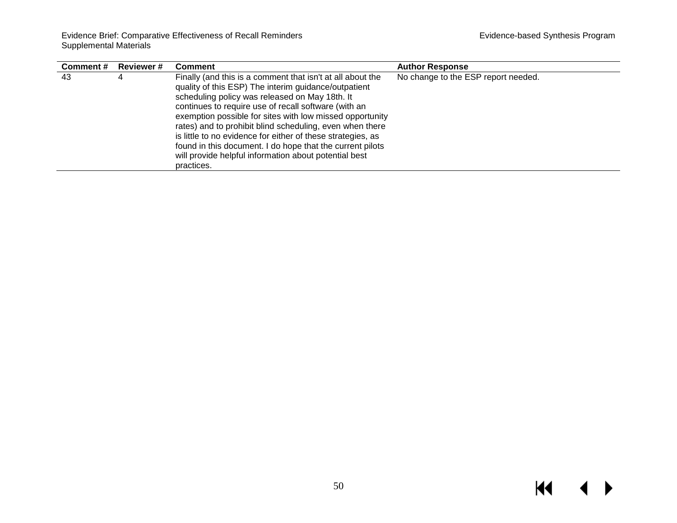| Comment# | <b>Reviewer#</b> | <b>Comment</b>                                                                                                                                                                                                                                                                                                                                                                                                                                                                                                                                          | <b>Author Response</b>              |
|----------|------------------|---------------------------------------------------------------------------------------------------------------------------------------------------------------------------------------------------------------------------------------------------------------------------------------------------------------------------------------------------------------------------------------------------------------------------------------------------------------------------------------------------------------------------------------------------------|-------------------------------------|
| 43       | 4                | Finally (and this is a comment that isn't at all about the<br>quality of this ESP) The interim guidance/outpatient<br>scheduling policy was released on May 18th. It<br>continues to require use of recall software (with an<br>exemption possible for sites with low missed opportunity<br>rates) and to prohibit blind scheduling, even when there<br>is little to no evidence for either of these strategies, as<br>found in this document. I do hope that the current pilots<br>will provide helpful information about potential best<br>practices. | No change to the ESP report needed. |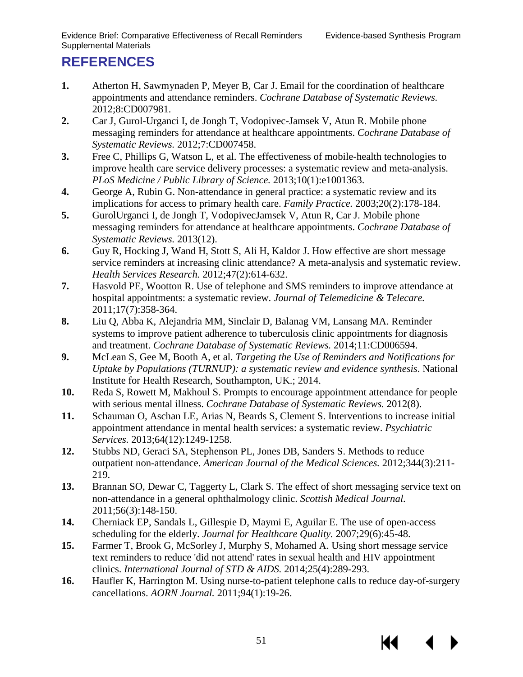КK

# <span id="page-52-5"></span><span id="page-52-4"></span><span id="page-52-3"></span><span id="page-52-2"></span><span id="page-52-1"></span><span id="page-52-0"></span>**REFERENCES**

- <span id="page-52-6"></span>**1.** Atherton H, Sawmynaden P, Meyer B, Car J. Email for the coordination of healthcare appointments and attendance reminders. *Cochrane Database of Systematic Reviews.*  2012;8:CD007981.
- <span id="page-52-7"></span>**2.** Car J, Gurol-Urganci I, de Jongh T, Vodopivec-Jamsek V, Atun R. Mobile phone messaging reminders for attendance at healthcare appointments. *Cochrane Database of Systematic Reviews.* 2012;7:CD007458.
- <span id="page-52-8"></span>**3.** Free C, Phillips G, Watson L, et al. The effectiveness of mobile-health technologies to improve health care service delivery processes: a systematic review and meta-analysis. *PLoS Medicine / Public Library of Science.* 2013;10(1):e1001363.
- <span id="page-52-9"></span>**4.** George A, Rubin G. Non-attendance in general practice: a systematic review and its implications for access to primary health care. *Family Practice.* 2003;20(2):178-184.
- **5.** GurolUrganci I, de Jongh T, VodopivecJamsek V, Atun R, Car J. Mobile phone messaging reminders for attendance at healthcare appointments. *Cochrane Database of Systematic Reviews.* 2013(12).
- <span id="page-52-11"></span><span id="page-52-10"></span>**6.** Guy R, Hocking J, Wand H, Stott S, Ali H, Kaldor J. How effective are short message service reminders at increasing clinic attendance? A meta-analysis and systematic review. *Health Services Research.* 2012;47(2):614-632.
- <span id="page-52-12"></span>**7.** Hasvold PE, Wootton R. Use of telephone and SMS reminders to improve attendance at hospital appointments: a systematic review. *Journal of Telemedicine & Telecare.*  2011;17(7):358-364.
- <span id="page-52-13"></span>**8.** Liu Q, Abba K, Alejandria MM, Sinclair D, Balanag VM, Lansang MA. Reminder systems to improve patient adherence to tuberculosis clinic appointments for diagnosis and treatment. *Cochrane Database of Systematic Reviews.* 2014;11:CD006594.
- <span id="page-52-14"></span>**9.** McLean S, Gee M, Booth A, et al. *Targeting the Use of Reminders and Notifications for Uptake by Populations (TURNUP): a systematic review and evidence synthesis*. National Institute for Health Research, Southampton, UK.; 2014.
- <span id="page-52-15"></span>**10.** Reda S, Rowett M, Makhoul S. Prompts to encourage appointment attendance for people with serious mental illness. *Cochrane Database of Systematic Reviews.* 2012(8).
- <span id="page-52-16"></span>**11.** Schauman O, Aschan LE, Arias N, Beards S, Clement S. Interventions to increase initial appointment attendance in mental health services: a systematic review. *Psychiatric Services.* 2013;64(12):1249-1258.
- **12.** Stubbs ND, Geraci SA, Stephenson PL, Jones DB, Sanders S. Methods to reduce outpatient non-attendance. *American Journal of the Medical Sciences.* 2012;344(3):211- 219.
- **13.** Brannan SO, Dewar C, Taggerty L, Clark S. The effect of short messaging service text on non-attendance in a general ophthalmology clinic. *Scottish Medical Journal.*  2011;56(3):148-150.
- **14.** Cherniack EP, Sandals L, Gillespie D, Maymi E, Aguilar E. The use of open-access scheduling for the elderly. *Journal for Healthcare Quality.* 2007;29(6):45-48.
- **15.** Farmer T, Brook G, McSorley J, Murphy S, Mohamed A. Using short message service text reminders to reduce 'did not attend' rates in sexual health and HIV appointment clinics. *International Journal of STD & AIDS.* 2014;25(4):289-293.
- **16.** Haufler K, Harrington M. Using nurse-to-patient telephone calls to reduce day-of-surgery cancellations. *AORN Journal.* 2011;94(1):19-26.